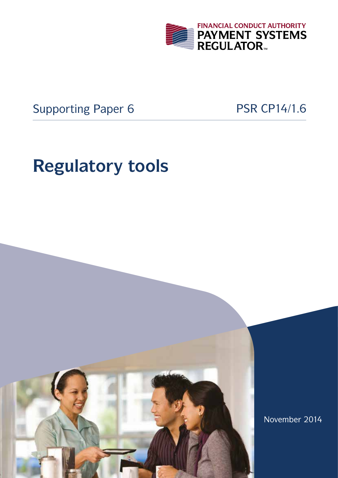

## Supporting Paper 6 PSR CP14/1.6

# **Regulatory tools**



November 2014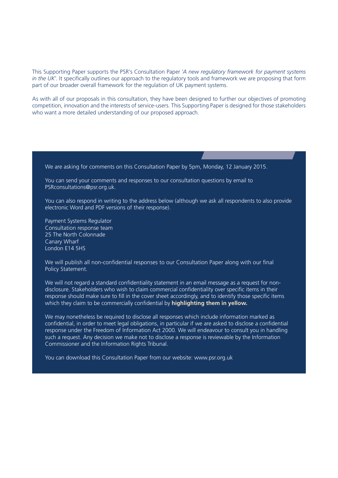This Supporting Paper supports the PSR's Consultation Paper '*A new regulatory framework for payment systems in the UK*'. It specifically outlines our approach to the regulatory tools and framework we are proposing that form part of our broader overall framework for the regulation of UK payment systems.

As with all of our proposals in this consultation, they have been designed to further our objectives of promoting competition, innovation and the interests of service-users. This Supporting Paper is designed for those stakeholders who want a more detailed understanding of our proposed approach.

We are asking for comments on this Consultation Paper by 5pm, Monday, 12 January 2015.

You can send your comments and responses to our consultation questions by email to [PSRconsultations@psr.org.uk](mailto:PSRconsultations%40psr.org.uk?subject=).

You can also respond in writing to the address below (although we ask all respondents to also provide electronic Word and PDF versions of their response).

Payment Systems Regulator Consultation response team 25 The North Colonnade Canary Wharf London E14 5HS

We will publish all non-confidential responses to our Consultation Paper along with our final Policy Statement.

We will not regard a standard confidentiality statement in an email message as a request for nondisclosure. Stakeholders who wish to claim commercial confidentiality over specific items in their response should make sure to fill in the cover sheet accordingly, and to identify those specific items which they claim to be commercially confidential by **highlighting them in yellow.**

We may nonetheless be required to disclose all responses which include information marked as confidential, in order to meet legal obligations, in particular if we are asked to disclose a confidential response under the Freedom of Information Act 2000. We will endeavour to consult you in handling such a request. Any decision we make not to disclose a response is reviewable by the Information Commissioner and the Information Rights Tribunal.

You can download this Consultation Paper from our website: [www.psr.org.uk](http://www.psr.org.uk)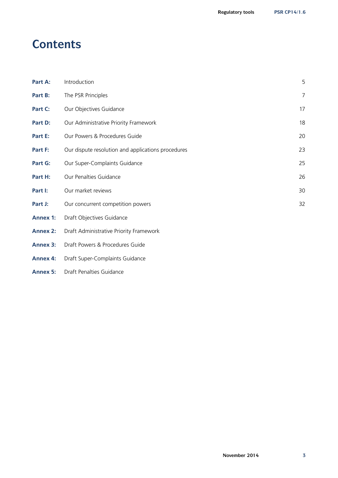### **Contents**

| Part A:         | Introduction                                       | 5              |
|-----------------|----------------------------------------------------|----------------|
| Part B:         | The PSR Principles                                 | $\overline{7}$ |
| Part C:         | Our Objectives Guidance                            | 17             |
| Part D:         | Our Administrative Priority Framework              | 18             |
| Part E:         | Our Powers & Procedures Guide                      | 20             |
| Part F:         | Our dispute resolution and applications procedures | 23             |
| Part G:         | Our Super-Complaints Guidance                      | 25             |
| Part H:         | Our Penalties Guidance                             | 26             |
| Part I:         | Our market reviews                                 | 30             |
| Part J:         | Our concurrent competition powers                  | 32             |
| <b>Annex 1:</b> | Draft Objectives Guidance                          |                |
| <b>Annex 2:</b> | Draft Administrative Priority Framework            |                |
| <b>Annex 3:</b> | Draft Powers & Procedures Guide                    |                |
| <b>Annex 4:</b> | Draft Super-Complaints Guidance                    |                |

**Annex 5:** Draft Penalties Guidance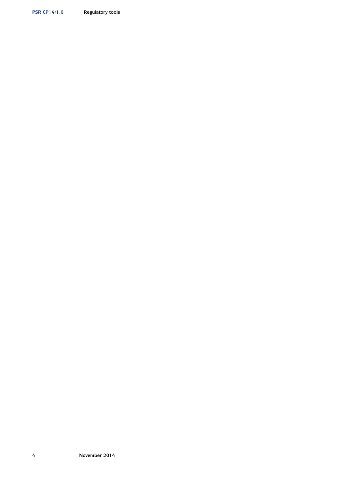#### **PSR CP14/1.6 Regulatory tools**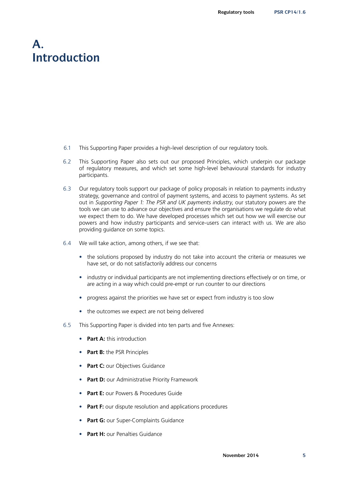### **A. Introduction**

- 6.1 This Supporting Paper provides a high-level description of our regulatory tools.
- 6.2 This Supporting Paper also sets out our proposed Principles, which underpin our package of regulatory measures, and which set some high-level behavioural standards for industry participants.
- 6.3 Our regulatory tools support our package of policy proposals in relation to payments industry strategy, governance and control of payment systems, and access to payment systems. As set out in *Supporting Paper 1: The PSR and UK payments industry*, our statutory powers are the tools we can use to advance our objectives and ensure the organisations we regulate do what we expect them to do. We have developed processes which set out how we will exercise our powers and how industry participants and service-users can interact with us. We are also providing guidance on some topics.
- 6.4 We will take action, among others, if we see that:
	- the solutions proposed by industry do not take into account the criteria or measures we have set, or do not satisfactorily address our concerns
	- industry or individual participants are not implementing directions effectively or on time, or are acting in a way which could pre-empt or run counter to our directions
	- progress against the priorities we have set or expect from industry is too slow
	- the outcomes we expect are not being delivered
- 6.5 This Supporting Paper is divided into ten parts and five Annexes:
	- **Part A:** this introduction
	- **Part B:** the PSR Principles
	- **Part C:** our Objectives Guidance
	- **Part D:** our Administrative Priority Framework
	- **Part E:** our Powers & Procedures Guide
	- **Part F:** our dispute resolution and applications procedures
	- **Part G:** our Super-Complaints Guidance
	- **Part H:** our Penalties Guidance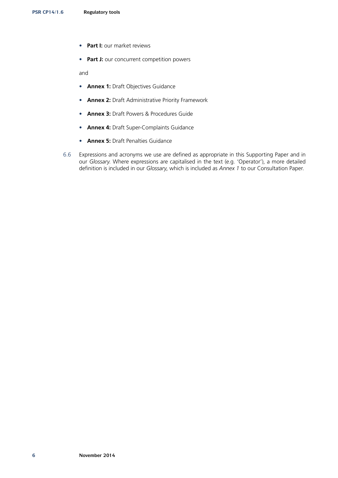- **Part I:** our market reviews
- **Part J:** our concurrent competition powers

and

- **Annex 1:** Draft Objectives Guidance
- **Annex 2:** Draft Administrative Priority Framework
- **Annex 3:** Draft Powers & Procedures Guide
- **Annex 4:** Draft Super-Complaints Guidance
- **Annex 5:** Draft Penalties Guidance
- 6.6 Expressions and acronyms we use are defined as appropriate in this Supporting Paper and in our *Glossary*. Where expressions are capitalised in the text (e.g. 'Operator'), a more detailed definition is included in our *Glossary*, which is included as *Annex 1* to our Consultation Paper.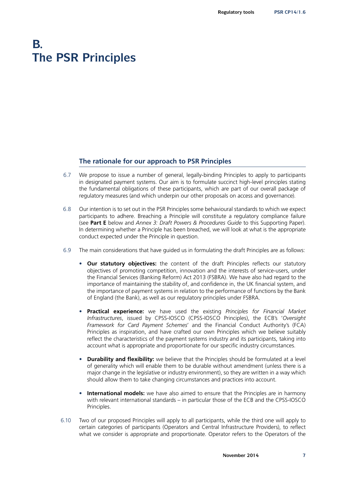### **B. The PSR Principles**

#### **The rationale for our approach to PSR Principles**

- 6.7 We propose to issue a number of general, legally-binding Principles to apply to participants in designated payment systems. Our aim is to formulate succinct high-level principles stating the fundamental obligations of these participants, which are part of our overall package of regulatory measures (and which underpin our other proposals on access and governance).
- 6.8 Our intention is to set out in the PSR Principles some behavioural standards to which we expect participants to adhere. Breaching a Principle will constitute a regulatory compliance failure (see **Part E** below and *Annex 3: Draft Powers & Procedures Guide* to this Supporting Paper). In determining whether a Principle has been breached, we will look at what is the appropriate conduct expected under the Principle in question.
- 6.9 The main considerations that have guided us in formulating the draft Principles are as follows:
	- **Our statutory objectives:** the content of the draft Principles reflects our statutory objectives of promoting competition, innovation and the interests of service-users, under the Financial Services (Banking Reform) Act 2013 (FSBRA). We have also had regard to the importance of maintaining the stability of, and confidence in, the UK financial system, and the importance of payment systems in relation to the performance of functions by the Bank of England (the Bank), as well as our regulatory principles under FSBRA.
	- **Practical experience:** we have used the existing *Principles for Financial Market Infrastructures*, issued by CPSS-IOSCO (CPSS-IOSCO Principles), the ECB's '*Oversight Framework for Card Payment Schemes*' and the Financial Conduct Authority's (FCA) Principles as inspiration, and have crafted our own Principles which we believe suitably reflect the characteristics of the payment systems industry and its participants, taking into account what is appropriate and proportionate for our specific industry circumstances.
	- **Durability and flexibility:** we believe that the Principles should be formulated at a level of generality which will enable them to be durable without amendment (unless there is a major change in the legislative or industry environment), so they are written in a way which should allow them to take changing circumstances and practices into account.
	- **International models:** we have also aimed to ensure that the Principles are in harmony with relevant international standards – in particular those of the ECB and the CPSS-IOSCO Principles.
- 6.10 Two of our proposed Principles will apply to all participants, while the third one will apply to certain categories of participants (Operators and Central Infrastructure Providers), to reflect what we consider is appropriate and proportionate. Operator refers to the Operators of the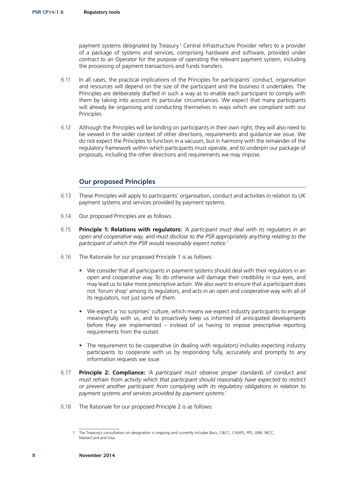payment systems designated by Treasury.<sup>1</sup> Central Infrastructure Provider refers to a provider of a package of systems and services, comprising hardware and software, provided under contract to an Operator for the purpose of operating the relevant payment system, including the processing of payment transactions and funds transfers.

- 6.11 In all cases, the practical implications of the Principles for participants' conduct, organisation and resources will depend on the size of the participant and the business it undertakes. The Principles are deliberately drafted in such a way as to enable each participant to comply with them by taking into account its particular circumstances. We expect that many participants will already be organising and conducting themselves in ways which are compliant with our Principles.
- 6.12 Although the Principles will be binding on participants in their own right, they will also need to be viewed in the wider context of other directions, requirements and guidance we issue. We do not expect the Principles to function in a vacuum, but in harmony with the remainder of the regulatory framework within which participants must operate, and to underpin our package of proposals, including the other directions and requirements we may impose.

### **Our proposed Principles**

- 6.13 These Principles will apply to participants' organisation, conduct and activities in relation to UK payment systems and services provided by payment systems.
- 6.14 Our proposed Principles are as follows.
- 6.15 **Principle 1: Relations with regulators:** *'A participant must deal with its regulators in an open and cooperative way, and must disclose to the PSR appropriately anything relating to the participant of which the PSR would reasonably expect notice.'*
- 6.16 The Rationale for our proposed Principle 1 is as follows:
	- We consider that all participants in payment systems should deal with their regulators in an open and cooperative way. To do otherwise will damage their credibility in our eyes, and may lead us to take more prescriptive action. We also want to ensure that a participant does not 'forum shop' among its regulators, and acts in an open and cooperative way with all of its regulators, not just some of them.
	- We expect a 'no surprises' culture, which means we expect industry participants to engage meaningfully with us, and to proactively keep us informed of anticipated developments before they are implemented – instead of us having to impose prescriptive reporting requirements from the outset.
	- The requirement to be cooperative (in dealing with regulators) includes expecting industry participants to cooperate with us by responding fully, accurately and promptly to any information requests we issue.
- 6.17 **Principle 2: Compliance:** '*A participant must observe proper standards of conduct and must refrain from activity which that participant should reasonably have expected to restrict or prevent another participant from complying with its regulatory obligations in relation to payment systems and services provided by payment systems.*'
- 6.18 The Rationale for our proposed Principle 2 is as follows:

The Treasury's consultation on designation is ongoing and currently includes Bacs, C&CC, CHAPS, FPS, LINK, NICC, MasterCard and Visa.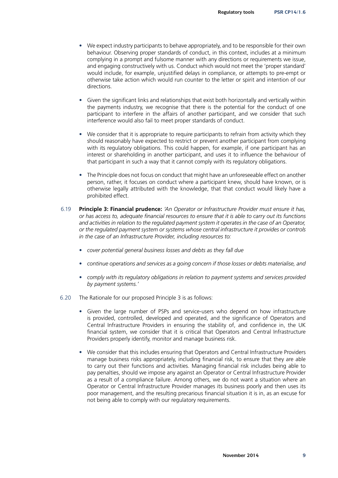- We expect industry participants to behave appropriately, and to be responsible for their own behaviour. Observing proper standards of conduct, in this context, includes at a minimum complying in a prompt and fulsome manner with any directions or requirements we issue, and engaging constructively with us. Conduct which would not meet the 'proper standard' would include, for example, unjustified delays in compliance, or attempts to pre-empt or otherwise take action which would run counter to the letter or spirit and intention of our directions.
- Given the significant links and relationships that exist both horizontally and vertically within the payments industry, we recognise that there is the potential for the conduct of one participant to interfere in the affairs of another participant, and we consider that such interference would also fail to meet proper standards of conduct.
- We consider that it is appropriate to require participants to refrain from activity which they should reasonably have expected to restrict or prevent another participant from complying with its regulatory obligations. This could happen, for example, if one participant has an interest or shareholding in another participant, and uses it to influence the behaviour of that participant in such a way that it cannot comply with its regulatory obligations.
- The Principle does not focus on conduct that might have an unforeseeable effect on another person, rather, it focuses on conduct where a participant knew, should have known, or is otherwise legally attributed with the knowledge, that that conduct would likely have a prohibited effect.
- 6.19 **Principle 3: Financial prudence:** *'An Operator or Infrastructure Provider must ensure it has, or has access to, adequate financial resources to ensure that it is able to carry out its functions and activities in relation to the regulated payment system it operates in the case of an Operator, or the regulated payment system or systems whose central infrastructure it provides or controls in the case of an Infrastructure Provider, including resources to:*
	- *cover potential general business losses and debts as they fall due*
	- *continue operations and services as a going concern if those losses or debts materialise, and*
	- *comply with its regulatory obligations in relation to payment systems and services provided by payment systems.'*
- 6.20 The Rationale for our proposed Principle 3 is as follows:
	- Given the large number of PSPs and service-users who depend on how infrastructure is provided, controlled, developed and operated, and the significance of Operators and Central Infrastructure Providers in ensuring the stability of, and confidence in, the UK financial system, we consider that it is critical that Operators and Central Infrastructure Providers properly identify, monitor and manage business risk.
	- We consider that this includes ensuring that Operators and Central Infrastructure Providers manage business risks appropriately, including financial risk, to ensure that they are able to carry out their functions and activities. Managing financial risk includes being able to pay penalties, should we impose any against an Operator or Central Infrastructure Provider as a result of a compliance failure. Among others, we do not want a situation where an Operator or Central Infrastructure Provider manages its business poorly and then uses its poor management, and the resulting precarious financial situation it is in, as an excuse for not being able to comply with our regulatory requirements.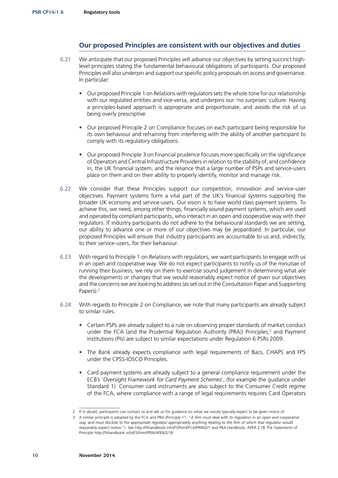#### **Our proposed Principles are consistent with our objectives and duties**

- 6.21 We anticipate that our proposed Principles will advance our objectives by setting succinct highlevel principles stating the fundamental behavioural obligations of participants. Our proposed Principles will also underpin and support our specific policy proposals on access and governance. In particular:
	- Our proposed Principle 1 on Relations with regulators sets the whole tone for our relationship with our regulated entities and vice-versa, and underpins our 'no surprises' culture. Having a principles-based approach is appropriate and proportionate, and avoids the risk of us being overly prescriptive.
	- Our proposed Principle 2 on Compliance focuses on each participant being responsible for its own behaviour and refraining from interfering with the ability of another participant to comply with its regulatory obligations.
	- Our proposed Principle 3 on Financial prudence focuses more specifically on the significance of Operators and Central Infrastructure Providers in relation to the stability of, and confidence in, the UK financial system, and the reliance that a large number of PSPs and service-users place on them and on their ability to properly identify, monitor and manage risk.
- 6.22 We consider that these Principles support our competition, innovation and service-user objectives. Payment systems form a vital part of the UK's financial systems supporting the broader UK economy and service-users. Our vision is to have world class payment systems. To achieve this, we need, among other things, financially sound payment systems, which are used and operated by compliant participants, who interact in an open and cooperative way with their regulators. If industry participants do not adhere to the behavioural standards we are setting, our ability to advance one or more of our objectives may be jeopardised. In particular, our proposed Principles will ensure that industry participants are accountable to us and, indirectly, to their service-users, for their behaviour.
- 6.23 With regard to Principle 1 on Relations with regulators, we want participants to engage with us in an open and cooperative way. We do not expect participants to notify us of the minutiae of running their business, we rely on them to exercise sound judgement in determining what are the developments or changes that we would reasonably expect notice of given our objectives and the concerns we are looking to address (as set out in the Consultation Paper and Supporting Papers).<sup>2</sup>
- 6.24 With regards to Principle 2 on Compliance, we note that many participants are already subject to similar rules.
	- Certain PSPs are already subject to a rule on observing proper standards of market conduct under the FCA (and the Prudential Regulation Authority (PRA)) Principles, $3$  and Payment Institutions (PIs) are subject to similar expectations under Regulation 6 PSRs 2009.
	- The Bank already expects compliance with legal requirements of Bacs, CHAPS and FPS under the CPSS-IOSCO Principles.
	- Card payment systems are already subject to a general compliance requirement under the ECB's '*Oversight Framework for Card Payment Schemes*', (for example the guidance under Standard 1). Consumer card instruments are also subject to the Consumer Credit regime of the FCA, where compliance with a range of legal requirements requires Card Operators

<sup>2</sup> If in doubt, participants can contact us and ask us for guidance on what we would typically expect to be given notice of.

<sup>3</sup> A similar principle is adopted by the FCA and PRA (Principle 11: "*A firm must deal with its regulators in an open and cooperative way, and must disclose to the appropriate regulator appropriately anything relating to the firm of which that regulator would reasonably expect notice.*"). See <http://fshandbook.info/FS/html/FCA/PRIN/2/1>and PRA Handbook, APER 2.1B The Statements of Principle<http://fshandbook.info/FS/html/PRA/APER/2/1B>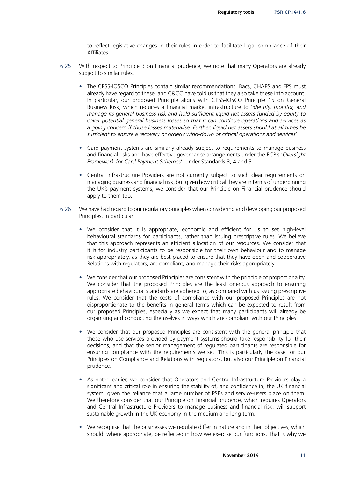to reflect legislative changes in their rules in order to facilitate legal compliance of their Affiliates.

- 6.25 With respect to Principle 3 on Financial prudence, we note that many Operators are already subject to similar rules.
	- The CPSS-IOSCO Principles contain similar recommendations. Bacs, CHAPS and FPS must already have regard to these, and C&CC have told us that they also take these into account. In particular, our proposed Principle aligns with CPSS-IOSCO Principle 15 on General Business Risk, which requires a financial market infrastructure to '*identify, monitor, and manage its general business risk and hold sufficient liquid net assets funded by equity to cover potential general business losses so that it can continue operations and services as a going concern if those losses materialise. Further, liquid net assets should at all times be sufficient to ensure a recovery or orderly wind-down of critical operations and services*'.
	- Card payment systems are similarly already subject to requirements to manage business and financial risks and have effective governance arrangements under the ECB's '*Oversight Framework for Card Payment Schemes*', under Standards 3, 4 and 5.
	- Central Infrastructure Providers are not currently subject to such clear requirements on managing business and financial risk, but given how critical they are in terms of underpinning the UK's payment systems, we consider that our Principle on Financial prudence should apply to them too.
- 6.26 We have had regard to our regulatory principles when considering and developing our proposed Principles. In particular:
	- We consider that it is appropriate, economic and efficient for us to set high-level behavioural standards for participants, rather than issuing prescriptive rules. We believe that this approach represents an efficient allocation of our resources. We consider that it is for industry participants to be responsible for their own behaviour and to manage risk appropriately, as they are best placed to ensure that they have open and cooperative Relations with regulators, are compliant, and manage their risks appropriately.
	- We consider that our proposed Principles are consistent with the principle of proportionality. We consider that the proposed Principles are the least onerous approach to ensuring appropriate behavioural standards are adhered to, as compared with us issuing prescriptive rules. We consider that the costs of compliance with our proposed Principles are not disproportionate to the benefits in general terms which can be expected to result from our proposed Principles, especially as we expect that many participants will already be organising and conducting themselves in ways which are compliant with our Principles.
	- We consider that our proposed Principles are consistent with the general principle that those who use services provided by payment systems should take responsibility for their decisions, and that the senior management of regulated participants are responsible for ensuring compliance with the requirements we set. This is particularly the case for our Principles on Compliance and Relations with regulators, but also our Principle on Financial prudence.
	- As noted earlier, we consider that Operators and Central Infrastructure Providers play a significant and critical role in ensuring the stability of, and confidence in, the UK financial system, given the reliance that a large number of PSPs and service-users place on them. We therefore consider that our Principle on Financial prudence, which requires Operators and Central Infrastructure Providers to manage business and financial risk, will support sustainable growth in the UK economy in the medium and long term.
	- We recognise that the businesses we regulate differ in nature and in their objectives, which should, where appropriate, be reflected in how we exercise our functions. That is why we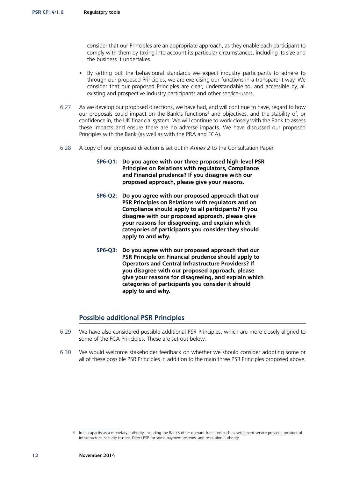consider that our Principles are an appropriate approach, as they enable each participant to comply with them by taking into account its particular circumstances, including its size and the business it undertakes.

- By setting out the behavioural standards we expect industry participants to adhere to through our proposed Principles, we are exercising our functions in a transparent way. We consider that our proposed Principles are clear, understandable to, and accessible by, all existing and prospective industry participants and other service-users.
- 6.27 As we develop our proposed directions, we have had, and will continue to have, regard to how our proposals could impact on the Bank's functions<sup>4</sup> and objectives, and the stability of, or confidence in, the UK financial system. We will continue to work closely with the Bank to assess these impacts and ensure there are no adverse impacts. We have discussed our proposed Principles with the Bank (as well as with the PRA and FCA).
- 6.28 A copy of our proposed direction is set out in *Annex 2* to the Consultation Paper.
	- **SP6-Q1: Do you agree with our three proposed high-level PSR Principles on Relations with regulators, Compliance and Financial prudence? If you disagree with our proposed approach, please give your reasons.**
	- **SP6-Q2: Do you agree with our proposed approach that our PSR Principles on Relations with regulators and on Compliance should apply to all participants? If you disagree with our proposed approach, please give your reasons for disagreeing, and explain which categories of participants you consider they should apply to and why.**
	- **SP6-Q3: Do you agree with our proposed approach that our PSR Principle on Financial prudence should apply to Operators and Central Infrastructure Providers? If you disagree with our proposed approach, please give your reasons for disagreeing, and explain which categories of participants you consider it should apply to and why.**

### **Possible additional PSR Principles**

- 6.29 We have also considered possible additional PSR Principles, which are more closely aligned to some of the FCA Principles. These are set out below.
- 6.30 We would welcome stakeholder feedback on whether we should consider adopting some or all of these possible PSR Principles in addition to the main three PSR Principles proposed above.

<sup>4</sup> In its capacity as a monetary authority, including the Bank's other relevant functions such as settlement service provider, provider of infrastructure, security trustee, Direct PSP for some payment systems, and resolution authority.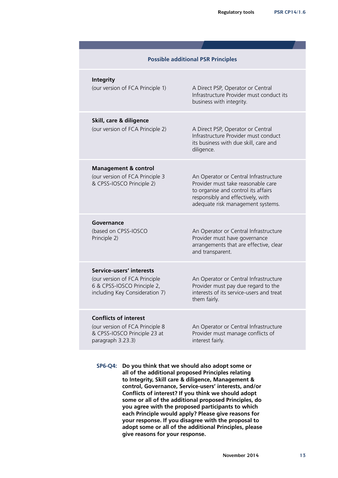**PSR CP14/1.6**

| <b>Possible additional PSR Principles</b> |                                                                                                                            |                                                                                                                                                                                              |  |  |  |
|-------------------------------------------|----------------------------------------------------------------------------------------------------------------------------|----------------------------------------------------------------------------------------------------------------------------------------------------------------------------------------------|--|--|--|
|                                           | <b>Integrity</b><br>(our version of FCA Principle 1)                                                                       | A Direct PSP, Operator or Central<br>Infrastructure Provider must conduct its<br>business with integrity.                                                                                    |  |  |  |
|                                           | Skill, care & diligence<br>(our version of FCA Principle 2)                                                                | A Direct PSP, Operator or Central<br>Infrastructure Provider must conduct<br>its business with due skill, care and<br>diligence.                                                             |  |  |  |
|                                           | <b>Management &amp; control</b><br>(our version of FCA Principle 3<br>& CPSS-IOSCO Principle 2)                            | An Operator or Central Infrastructure<br>Provider must take reasonable care<br>to organise and control its affairs<br>responsibly and effectively, with<br>adequate risk management systems. |  |  |  |
|                                           | Governance<br>(based on CPSS-IOSCO<br>Principle 2)                                                                         | An Operator or Central Infrastructure<br>Provider must have governance<br>arrangements that are effective, clear<br>and transparent.                                                         |  |  |  |
|                                           | Service-users' interests<br>(our version of FCA Principle<br>6 & CPSS-IOSCO Principle 2,<br>including Key Consideration 7) | An Operator or Central Infrastructure<br>Provider must pay due regard to the<br>interests of its service-users and treat<br>them fairly.                                                     |  |  |  |
|                                           | <b>Conflicts of interest</b><br>(our version of FCA Principle 8<br>& CPSS-IOSCO Principle 23 at<br>paragraph 3.23.3)       | An Operator or Central Infrastructure<br>Provider must manage conflicts of<br>interest fairly.                                                                                               |  |  |  |
|                                           |                                                                                                                            |                                                                                                                                                                                              |  |  |  |

**SP6-Q4: Do you think that we should also adopt some or all of the additional proposed Principles relating to Integrity, Skill care & diligence, Management & control, Governance, Service-users' interests, and/or Conflicts of interest? If you think we should adopt some or all of the additional proposed Principles, do you agree with the proposed participants to which each Principle would apply? Please give reasons for your response. If you disagree with the proposal to adopt some or all of the additional Principles, please give reasons for your response.**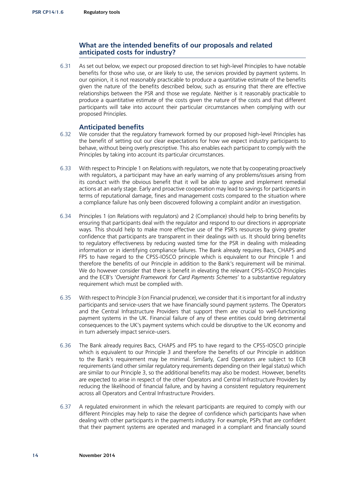### **What are the intended benefits of our proposals and related anticipated costs for industry?**

6.31 As set out below, we expect our proposed direction to set high-level Principles to have notable benefits for those who use, or are likely to use, the services provided by payment systems. In our opinion, it is not reasonably practicable to produce a quantitative estimate of the benefits given the nature of the benefits described below, such as ensuring that there are effective relationships between the PSR and those we regulate. Neither is it reasonably practicable to produce a quantitative estimate of the costs given the nature of the costs and that different participants will take into account their particular circumstances when complying with our proposed Principles.

### **Anticipated benefits**

- 6.32 We consider that the regulatory framework formed by our proposed high-level Principles has the benefit of setting out our clear expectations for how we expect industry participants to behave, without being overly prescriptive. This also enables each participant to comply with the Principles by taking into account its particular circumstances.
- 6.33 With respect to Principle 1 on Relations with regulators, we note that by cooperating proactively with regulators, a participant may have an early warning of any problems/issues arising from its conduct with the obvious benefit that it will be able to agree and implement remedial actions at an early stage. Early and proactive cooperation may lead to savings for participants in terms of reputational damage, fines and management costs compared to the situation where a compliance failure has only been discovered following a complaint and/or an investigation.
- 6.34 Principles 1 (on Relations with regulators) and 2 (Compliance) should help to bring benefits by ensuring that participants deal with the regulator and respond to our directions in appropriate ways. This should help to make more effective use of the PSR's resources by giving greater confidence that participants are transparent in their dealings with us. It should bring benefits to regulatory effectiveness by reducing wasted time for the PSR in dealing with misleading information or in identifying compliance failures. The Bank already requires Bacs, CHAPS and FPS to have regard to the CPSS-IOSCO principle which is equivalent to our Principle 1 and therefore the benefits of our Principle in addition to the Bank's requirement will be minimal. We do however consider that there is benefit in elevating the relevant CPSS-IOSCO Principles and the ECB's '*Oversight Framework for Card Payments Schemes*' to a substantive regulatory requirement which must be complied with.
- 6.35 With respect to Principle 3 (on Financial prudence), we consider that it is important for all industry participants and service-users that we have financially sound payment systems. The Operators and the Central Infrastructure Providers that support them are crucial to well-functioning payment systems in the UK. Financial failure of any of these entities could bring detrimental consequences to the UK's payment systems which could be disruptive to the UK economy and in turn adversely impact service-users.
- 6.36 The Bank already requires Bacs, CHAPS and FPS to have regard to the CPSS-IOSCO principle which is equivalent to our Principle 3 and therefore the benefits of our Principle in addition to the Bank's requirement may be minimal. Similarly, Card Operators are subject to ECB requirements (and other similar regulatory requirements depending on their legal status) which are similar to our Principle 3, so the additional benefits may also be modest. However, benefits are expected to arise in respect of the other Operators and Central Infrastructure Providers by reducing the likelihood of financial failure, and by having a consistent regulatory requirement across all Operators and Central Infrastructure Providers.
- 6.37 A regulated environment in which the relevant participants are required to comply with our different Principles may help to raise the degree of confidence which participants have when dealing with other participants in the payments industry. For example, PSPs that are confident that their payment systems are operated and managed in a compliant and financially sound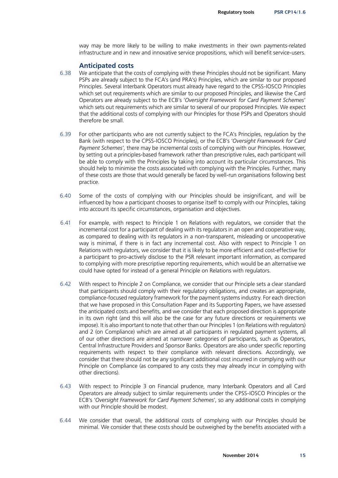way may be more likely to be willing to make investments in their own payments-related infrastructure and in new and innovative service propositions, which will benefit service-users.

### **Anticipated costs**

- 6.38 We anticipate that the costs of complying with these Principles should not be significant. Many PSPs are already subject to the FCA's (and PRA's) Principles, which are similar to our proposed Principles. Several Interbank Operators must already have regard to the CPSS-IOSCO Principles which set out requirements which are similar to our proposed Principles, and likewise the Card Operators are already subject to the ECB's '*Oversight Framework for Card Payment Schemes*' which sets out requirements which are similar to several of our proposed Principles. We expect that the additional costs of complying with our Principles for those PSPs and Operators should therefore be small.
- 6.39 For other participants who are not currently subject to the FCA's Principles, regulation by the Bank (with respect to the CPSS-IOSCO Principles), or the ECB's '*Oversight Framework for Card Payment Schemes*', there may be incremental costs of complying with our Principles. However, by setting out a principles-based framework rather than prescriptive rules, each participant will be able to comply with the Principles by taking into account its particular circumstances. This should help to minimise the costs associated with complying with the Principles. Further, many of these costs are those that would generally be faced by well-run organisations following best practice.
- 6.40 Some of the costs of complying with our Principles should be insignificant, and will be influenced by how a participant chooses to organise itself to comply with our Principles, taking into account its specific circumstances, organisation and objectives.
- 6.41 For example, with respect to Principle 1 on Relations with regulators, we consider that the incremental cost for a participant of dealing with its regulators in an open and cooperative way, as compared to dealing with its regulators in a non-transparent, misleading or uncooperative way is minimal, if there is in fact any incremental cost. Also with respect to Principle 1 on Relations with regulators, we consider that it is likely to be more efficient and cost-effective for a participant to pro-actively disclose to the PSR relevant important information, as compared to complying with more prescriptive reporting requirements, which would be an alternative we could have opted for instead of a general Principle on Relations with regulators.
- 6.42 With respect to Principle 2 on Compliance, we consider that our Principle sets a clear standard that participants should comply with their regulatory obligations, and creates an appropriate, compliance-focused regulatory framework for the payment systems industry. For each direction that we have proposed in this Consultation Paper and its Supporting Papers, we have assessed the anticipated costs and benefits, and we consider that each proposed direction is appropriate in its own right (and this will also be the case for any future directions or requirements we impose). It is also important to note that other than our Principles 1 (on Relations with regulators) and 2 (on Compliance) which are aimed at all participants in regulated payment systems, all of our other directions are aimed at narrower categories of participants, such as Operators, Central Infrastructure Providers and Sponsor Banks. Operators are also under specific reporting requirements with respect to their compliance with relevant directions. Accordingly, we consider that there should not be any significant additional cost incurred in complying with our Principle on Compliance (as compared to any costs they may already incur in complying with other directions).
- 6.43 With respect to Principle 3 on Financial prudence, many Interbank Operators and all Card Operators are already subject to similar requirements under the CPSS-IOSCO Principles or the ECB's '*Oversight Framework for Card Payment Schemes*', so any additional costs in complying with our Principle should be modest.
- 6.44 We consider that overall, the additional costs of complying with our Principles should be minimal. We consider that these costs should be outweighed by the benefits associated with a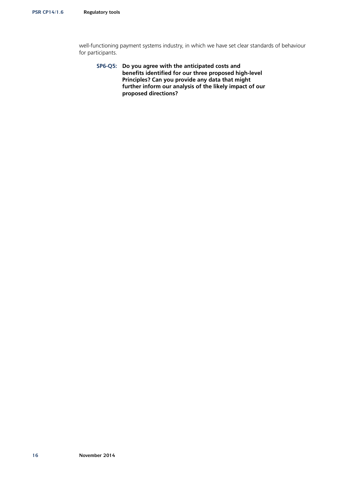well-functioning payment systems industry, in which we have set clear standards of behaviour for participants.

**SP6-Q5: Do you agree with the anticipated costs and benefits identified for our three proposed high-level Principles? Can you provide any data that might further inform our analysis of the likely impact of our proposed directions?**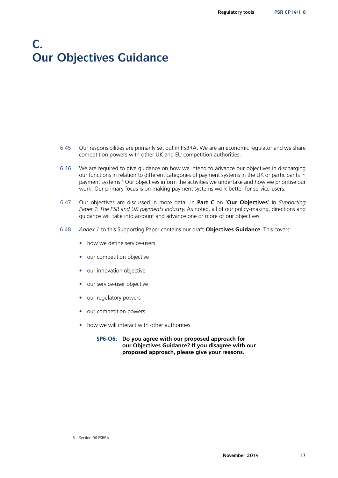### **C. Our Objectives Guidance**

- 6.45 Our responsibilities are primarily set out in FSBRA. We are an economic regulator and we share competition powers with other UK and EU competition authorities.
- 6.46 We are required to give guidance on how we intend to advance our objectives in discharging our functions in relation to different categories of payment systems in the UK or participants in payment systems.5 Our objectives inform the activities we undertake and how we prioritise our work. Our primary focus is on making payment systems work better for service-users.
- 6.47 Our objectives are discussed in more detail in **Part C** on '**Our Objectives**' in *Supporting Paper 1: The PSR and UK payments industry*. As noted, all of our policy-making, directions and guidance will take into account and advance one or more of our objectives.
- 6.48 *Annex 1* to this Supporting Paper contains our draft **Objectives Guidance**. This covers:
	- how we define service-users
	- our competition objective
	- our innovation objective
	- our service-user objective
	- our regulatory powers
	- our competition powers
	- how we will interact with other authorities

**SP6-Q6: Do you agree with our proposed approach for our Objectives Guidance? If you disagree with our proposed approach, please give your reasons.**

<sup>5</sup> Section 96 FSBRA.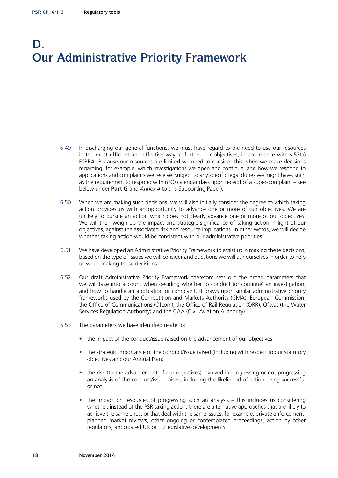#### **Regulatory tools**

## **D. Our Administrative Priority Framework**

- 6.49 In discharging our general functions, we must have regard to the need to use our resources in the most efficient and effective way to further our objectives, in accordance with s.53(a) FSBRA. Because our resources are limited we need to consider this when we make decisions regarding, for example, which investigations we open and continue, and how we respond to applications and complaints we receive (subject to any specific legal duties we might have, such as the requirement to respond within 90 calendar days upon receipt of a super-complaint – see below under **Part G** and *Annex 4* to this Supporting Paper).
- 6.50 When we are making such decisions, we will also initially consider the degree to which taking action provides us with an opportunity to advance one or more of our objectives. We are unlikely to pursue an action which does not clearly advance one or more of our objectives. We will then weigh up the impact and strategic significance of taking action in light of our objectives, against the associated risk and resource implications. In other words, we will decide whether taking action would be consistent with our administrative priorities.
- 6.51 We have developed an Administrative Priority Framework to assist us in making these decisions, based on the type of issues we will consider and questions we will ask ourselves in order to help us when making these decisions.
- 6.52 Our draft Administrative Priority Framework therefore sets out the broad parameters that we will take into account when deciding whether to conduct (or continue) an investigation, and how to handle an application or complaint. It draws upon similar administrative priority frameworks used by the Competition and Markets Authority (CMA), European Commission, the Office of Communications (Ofcom), the Office of Rail Regulation (ORR), Ofwat (the Water Services Regulation Authority) and the CAA (Civil Aviation Authority).
- 6.53 The parameters we have identified relate to:
	- the impact of the conduct/issue raised on the advancement of our objectives
	- the strategic importance of the conduct/issue raised (including with respect to our statutory objectives and our Annual Plan)
	- the risk (to the advancement of our objectives) involved in progressing or not progressing an analysis of the conduct/issue raised, including the likelihood of action being successful or not
	- the impact on resources of progressing such an analysis this includes us considering whether, instead of the PSR taking action, there are alternative approaches that are likely to achieve the same ends, or that deal with the same issues, for example: private enforcement, planned market reviews, other ongoing or contemplated proceedings, action by other regulators, anticipated UK or EU legislative developments.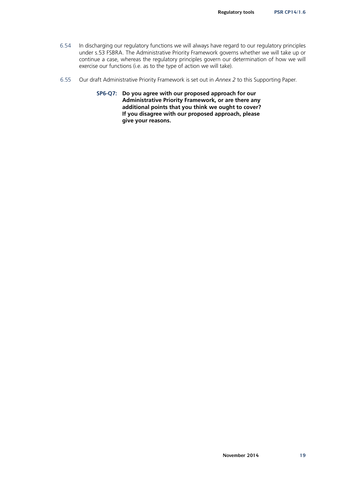- 6.54 In discharging our regulatory functions we will always have regard to our regulatory principles under s.53 FSBRA. The Administrative Priority Framework governs whether we will take up or continue a case, whereas the regulatory principles govern our determination of how we will exercise our functions (i.e. as to the type of action we will take).
- 6.55 Our draft Administrative Priority Framework is set out in *Annex 2* to this Supporting Paper.
	- **SP6-Q7: Do you agree with our proposed approach for our Administrative Priority Framework, or are there any additional points that you think we ought to cover? If you disagree with our proposed approach, please give your reasons.**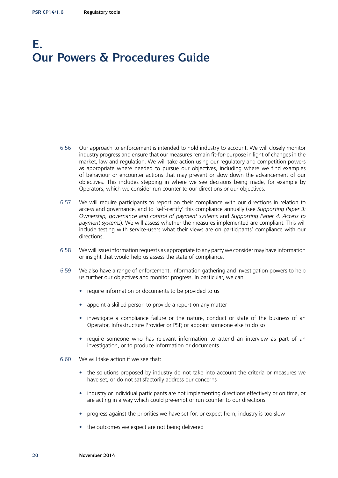## **E. Our Powers & Procedures Guide**

- 6.56 Our approach to enforcement is intended to hold industry to account. We will closely monitor industry progress and ensure that our measures remain fit-for-purpose in light of changes in the market, law and regulation. We will take action using our regulatory and competition powers as appropriate where needed to pursue our objectives, including where we find examples of behaviour or encounter actions that may prevent or slow down the advancement of our objectives. This includes stepping in where we see decisions being made, for example by Operators, which we consider run counter to our directions or our objectives.
- 6.57 We will require participants to report on their compliance with our directions in relation to access and governance, and to 'self-certify' this compliance annually (see *Supporting Paper 3: Ownership, governance and control of payment systems* and *Supporting Paper 4: Access to payment systems*). We will assess whether the measures implemented are compliant. This will include testing with service-users what their views are on participants' compliance with our directions.
- 6.58 We will issue information requests as appropriate to any party we consider may have information or insight that would help us assess the state of compliance.
- 6.59 We also have a range of enforcement, information gathering and investigation powers to help us further our objectives and monitor progress. In particular, we can:
	- require information or documents to be provided to us
	- appoint a skilled person to provide a report on any matter
	- investigate a compliance failure or the nature, conduct or state of the business of an Operator, Infrastructure Provider or PSP, or appoint someone else to do so
	- require someone who has relevant information to attend an interview as part of an investigation, or to produce information or documents.
- 6.60 We will take action if we see that:
	- the solutions proposed by industry do not take into account the criteria or measures we have set, or do not satisfactorily address our concerns
	- industry or individual participants are not implementing directions effectively or on time, or are acting in a way which could pre-empt or run counter to our directions
	- progress against the priorities we have set for, or expect from, industry is too slow
	- the outcomes we expect are not being delivered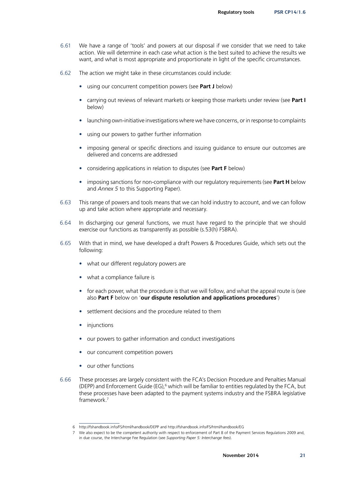- 6.61 We have a range of 'tools' and powers at our disposal if we consider that we need to take action. We will determine in each case what action is the best suited to achieve the results we want, and what is most appropriate and proportionate in light of the specific circumstances.
- 6.62 The action we might take in these circumstances could include:
	- using our concurrent competition powers (see **Part J** below)
	- carrying out reviews of relevant markets or keeping those markets under review (see **Part I**  below)
	- launching own-initiative investigations where we have concerns, or in response to complaints
	- using our powers to gather further information
	- imposing general or specific directions and issuing guidance to ensure our outcomes are delivered and concerns are addressed
	- considering applications in relation to disputes (see **Part F** below)
	- imposing sanctions for non-compliance with our regulatory requirements (see **Part H** below and *Annex 5* to this Supporting Paper).
- 6.63 This range of powers and tools means that we can hold industry to account, and we can follow up and take action where appropriate and necessary.
- 6.64 In discharging our general functions, we must have regard to the principle that we should exercise our functions as transparently as possible (s.53(h) FSBRA).
- 6.65 With that in mind, we have developed a draft Powers & Procedures Guide, which sets out the following:
	- what our different regulatory powers are
	- what a compliance failure is
	- for each power, what the procedure is that we will follow, and what the appeal route is (see also **Part F** below on '**our dispute resolution and applications procedures**')
	- settlement decisions and the procedure related to them
	- injunctions
	- our powers to gather information and conduct investigations
	- our concurrent competition powers
	- our other functions
- 6.66 These processes are largely consistent with the FCA's Decision Procedure and Penalties Manual (DEPP) and Enforcement Guide (EG),<sup>6</sup> which will be familiar to entities regulated by the FCA, but these processes have been adapted to the payment systems industry and the FSBRA legislative framework.7

<sup>6</sup> <http://fshandbook.info/FS/html/handbook/DEPP> and <http://fshandbook.info/FS/html/handbook/EG>

<sup>7</sup> We also expect to be the competent authority with respect to enforcement of Part 8 of the Payment Services Regulations 2009 and, in due course, the Interchange Fee Regulation (see *Supporting Paper 5: Interchange fees*).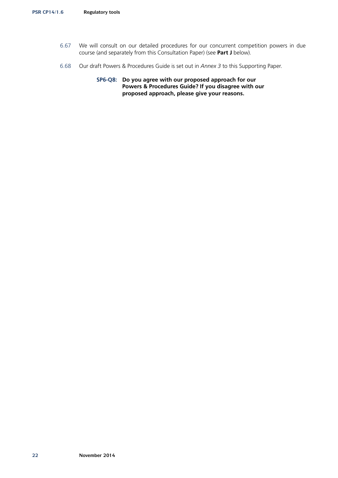- 6.67 We will consult on our detailed procedures for our concurrent competition powers in due course (and separately from this Consultation Paper) (see **Part J** below).
- 6.68 Our draft Powers & Procedures Guide is set out in *Annex 3* to this Supporting Paper.

**SP6-Q8: Do you agree with our proposed approach for our Powers & Procedures Guide? If you disagree with our proposed approach, please give your reasons.**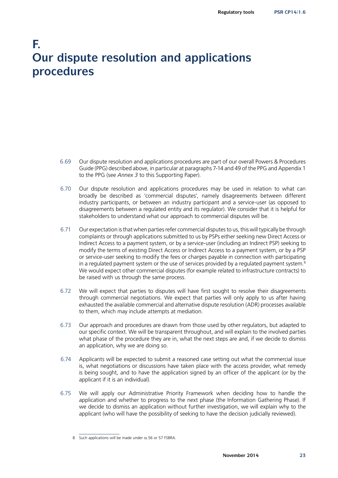### **F. Our dispute resolution and applications procedures**

- 6.69 Our dispute resolution and applications procedures are part of our overall Powers & Procedures Guide (PPG) described above, in particular at paragraphs 7-14 and 49 of the PPG and Appendix 1 to the PPG (see *Annex 3* to this Supporting Paper).
- 6.70 Our dispute resolution and applications procedures may be used in relation to what can broadly be described as 'commercial disputes', namely disagreements between different industry participants, or between an industry participant and a service-user (as opposed to disagreements between a regulated entity and its regulator). We consider that it is helpful for stakeholders to understand what our approach to commercial disputes will be.
- 6.71 Our expectation is that when parties refer commercial disputes to us, this will typically be through complaints or through applications submitted to us by PSPs either seeking new Direct Access or Indirect Access to a payment system, or by a service-user (including an Indirect PSP) seeking to modify the terms of existing Direct Access or Indirect Access to a payment system, or by a PSP or service-user seeking to modify the fees or charges payable in connection with participating in a regulated payment system or the use of services provided by a regulated payment system.<sup>8</sup> We would expect other commercial disputes (for example related to infrastructure contracts) to be raised with us through the same process.
- 6.72 We will expect that parties to disputes will have first sought to resolve their disagreements through commercial negotiations. We expect that parties will only apply to us after having exhausted the available commercial and alternative dispute resolution (ADR) processes available to them, which may include attempts at mediation.
- 6.73 Our approach and procedures are drawn from those used by other regulators, but adapted to our specific context. We will be transparent throughout, and will explain to the involved parties what phase of the procedure they are in, what the next steps are and, if we decide to dismiss an application, why we are doing so.
- 6.74 Applicants will be expected to submit a reasoned case setting out what the commercial issue is, what negotiations or discussions have taken place with the access provider, what remedy is being sought, and to have the application signed by an officer of the applicant (or by the applicant if it is an individual).
- 6.75 We will apply our Administrative Priority Framework when deciding how to handle the application and whether to progress to the next phase (the Information Gathering Phase). If we decide to dismiss an application without further investigation, we will explain why to the applicant (who will have the possibility of seeking to have the decision judicially reviewed).

<sup>8</sup> Such applications will be made under ss.56 or 57 FSBRA.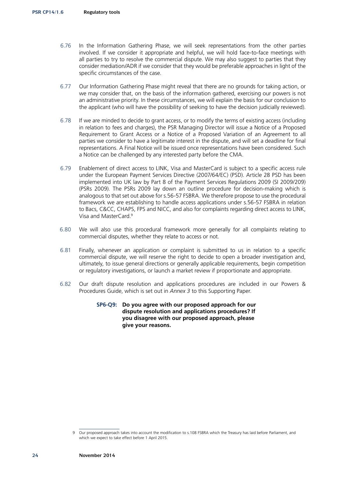- 6.76 In the Information Gathering Phase, we will seek representations from the other parties involved. If we consider it appropriate and helpful, we will hold face-to-face meetings with all parties to try to resolve the commercial dispute. We may also suggest to parties that they consider mediation/ADR if we consider that they would be preferable approaches in light of the specific circumstances of the case.
- 6.77 Our Information Gathering Phase might reveal that there are no grounds for taking action, or we may consider that, on the basis of the information gathered, exercising our powers is not an administrative priority. In these circumstances, we will explain the basis for our conclusion to the applicant (who will have the possibility of seeking to have the decision judicially reviewed).
- 6.78 If we are minded to decide to grant access, or to modify the terms of existing access (including in relation to fees and charges), the PSR Managing Director will issue a Notice of a Proposed Requirement to Grant Access or a Notice of a Proposed Variation of an Agreement to all parties we consider to have a legitimate interest in the dispute, and will set a deadline for final representations. A Final Notice will be issued once representations have been considered. Such a Notice can be challenged by any interested party before the CMA.
- 6.79 Enablement of direct access to LINK, Visa and MasterCard is subject to a specific access rule under the European Payment Services Directive (2007/64/EC) (PSD). Article 28 PSD has been implemented into UK law by Part 8 of the Payment Services Regulations 2009 (SI 2009/209) (PSRs 2009). The PSRs 2009 lay down an outline procedure for decision-making which is analogous to that set out above for s.56-57 FSBRA. We therefore propose to use the procedural framework we are establishing to handle access applications under s.56-57 FSBRA in relation to Bacs, C&CC, CHAPS, FPS and NICC, and also for complaints regarding direct access to LINK, Visa and MasterCard.9
- 6.80 We will also use this procedural framework more generally for all complaints relating to commercial disputes, whether they relate to access or not.
- 6.81 Finally, whenever an application or complaint is submitted to us in relation to a specific commercial dispute, we will reserve the right to decide to open a broader investigation and, ultimately, to issue general directions or generally applicable requirements, begin competition or regulatory investigations, or launch a market review if proportionate and appropriate.
- 6.82 Our draft dispute resolution and applications procedures are included in our Powers & Procedures Guide, which is set out in *Annex 3* to this Supporting Paper.
	- **SP6-Q9: Do you agree with our proposed approach for our dispute resolution and applications procedures? If you disagree with our proposed approach, please give your reasons.**

<sup>9</sup> Our proposed approach takes into account the modification to s.108 FSBRA which the Treasury has laid before Parliament, and which we expect to take effect before 1 April 2015.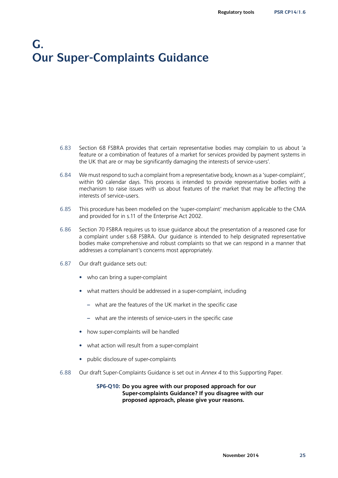### **G. Our Super-Complaints Guidance**

- 6.83 Section 68 FSBRA provides that certain representative bodies may complain to us about 'a feature or a combination of features of a market for services provided by payment systems in the UK that are or may be significantly damaging the interests of service-users'.
- 6.84 We must respond to such a complaint from a representative body, known as a 'super-complaint', within 90 calendar days. This process is intended to provide representative bodies with a mechanism to raise issues with us about features of the market that may be affecting the interests of service-users.
- 6.85 This procedure has been modelled on the 'super-complaint' mechanism applicable to the CMA and provided for in s.11 of the Enterprise Act 2002.
- 6.86 Section 70 FSBRA requires us to issue guidance about the presentation of a reasoned case for a complaint under s.68 FSBRA. Our guidance is intended to help designated representative bodies make comprehensive and robust complaints so that we can respond in a manner that addresses a complainant's concerns most appropriately.
- 6.87 Our draft guidance sets out:
	- who can bring a super-complaint
	- what matters should be addressed in a super-complaint, including
		- **–** what are the features of the UK market in the specific case
		- **–** what are the interests of service-users in the specific case
	- how super-complaints will be handled
	- what action will result from a super-complaint
	- public disclosure of super-complaints
- 6.88 Our draft Super-Complaints Guidance is set out in *Annex 4* to this Supporting Paper.

**SP6-Q10: Do you agree with our proposed approach for our Super-complaints Guidance? If you disagree with our proposed approach, please give your reasons.**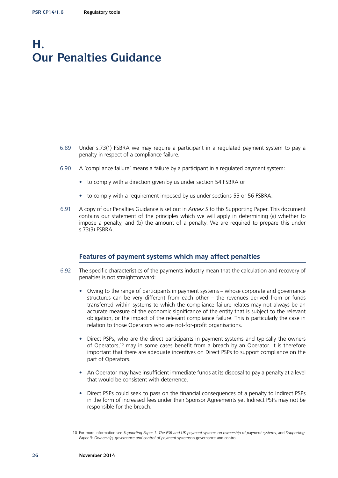## **H. Our Penalties Guidance**

- 6.89 Under s.73(1) FSBRA we may require a participant in a regulated payment system to pay a penalty in respect of a compliance failure.
- 6.90 A 'compliance failure' means a failure by a participant in a regulated payment system:
	- to comply with a direction given by us under section 54 FSBRA or
	- to comply with a requirement imposed by us under sections 55 or 56 FSBRA.
- 6.91 A copy of our Penalties Guidance is set out in *Annex 5* to this Supporting Paper. This document contains our statement of the principles which we will apply in determining (a) whether to impose a penalty, and (b) the amount of a penalty. We are required to prepare this under s.73(3) FSBRA.

### **Features of payment systems which may affect penalties**

- 6.92 The specific characteristics of the payments industry mean that the calculation and recovery of penalties is not straightforward:
	- Owing to the range of participants in payment systems whose corporate and governance structures can be very different from each other – the revenues derived from or funds transferred within systems to which the compliance failure relates may not always be an accurate measure of the economic significance of the entity that is subject to the relevant obligation, or the impact of the relevant compliance failure. This is particularly the case in relation to those Operators who are not-for-profit organisations.
	- Direct PSPs, who are the direct participants in payment systems and typically the owners of Operators,10 may in some cases benefit from a breach by an Operator. It is therefore important that there are adequate incentives on Direct PSPs to support compliance on the part of Operators.
	- An Operator may have insufficient immediate funds at its disposal to pay a penalty at a level that would be consistent with deterrence.
	- Direct PSPs could seek to pass on the financial consequences of a penalty to Indirect PSPs in the form of increased fees under their Sponsor Agreements yet Indirect PSPs may not be responsible for the breach.

<sup>10</sup> For more information see *Supporting Paper 1: The PSR and UK payment systems on ownership of payment systems*, and *Supporting Paper 3: Ownership, governance and control of payment systems*on governance and control.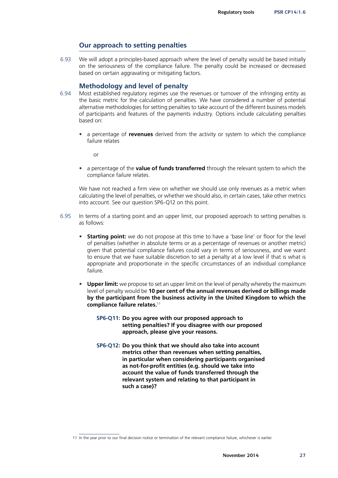### **Our approach to setting penalties**

6.93 We will adopt a principles-based approach where the level of penalty would be based initially on the seriousness of the compliance failure. The penalty could be increased or decreased based on certain aggravating or mitigating factors.

### **Methodology and level of penalty**

- 6.94 Most established regulatory regimes use the revenues or turnover of the infringing entity as the basic metric for the calculation of penalties. We have considered a number of potential alternative methodologies for setting penalties to take account of the different business models of participants and features of the payments industry. Options include calculating penalties based on:
	- a percentage of **revenues** derived from the activity or system to which the compliance failure relates

or

• a percentage of the **value of funds transferred** through the relevant system to which the compliance failure relates.

We have not reached a firm view on whether we should use only revenues as a metric when calculating the level of penalties, or whether we should also, in certain cases, take other metrics into account. See our question SP6-Q12 on this point.

- 6.95 In terms of a starting point and an upper limit, our proposed approach to setting penalties is as follows:
	- **Starting point:** we do not propose at this time to have a 'base line' or floor for the level of penalties (whether in absolute terms or as a percentage of revenues or another metric) given that potential compliance failures could vary in terms of seriousness, and we want to ensure that we have suitable discretion to set a penalty at a low level if that is what is appropriate and proportionate in the specific circumstances of an individual compliance failure.
	- **Upper limit:** we propose to set an upper limit on the level of penalty whereby the maximum level of penalty would be **10 per cent of the annual revenues derived or billings made by the participant from the business activity in the United Kingdom to which the compliance failure relates.**<sup>11</sup>
		- **SP6-Q11: Do you agree with our proposed approach to setting penalties? If you disagree with our proposed approach, please give your reasons.**
		- **SP6-Q12: Do you think that we should also take into account metrics other than revenues when setting penalties, in particular when considering participants organised as not-for-profit entities (e.g. should we take into account the value of funds transferred through the relevant system and relating to that participant in such a case)?**

<sup>11</sup> In the year prior to our final decision notice or termination of the relevant compliance failure, whichever is earlier.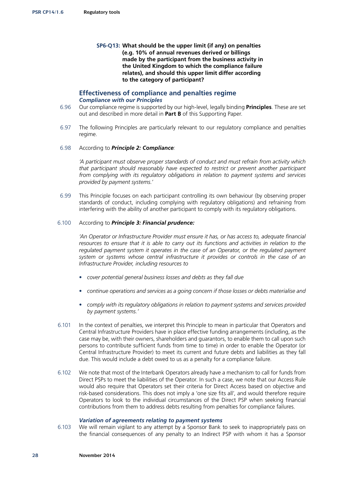**SP6-Q13: What should be the upper limit (if any) on penalties (e.g. 10% of annual revenues derived or billings made by the participant from the business activity in the United Kingdom to which the compliance failure relates), and should this upper limit differ according to the category of participant?**

### **Effectiveness of compliance and penalties regime** *Compliance with our Principles*

- 6.96 Our compliance regime is supported by our high-level, legally binding **Principles**. These are set out and described in more detail in **Part B** of this Supporting Paper.
- 6.97 The following Principles are particularly relevant to our regulatory compliance and penalties regime.
- 6.98 According to *Principle 2: Compliance:*

*'A participant must observe proper standards of conduct and must refrain from activity which that participant should reasonably have expected to restrict or prevent another participant from complying with its regulatory obligations in relation to payment systems and services provided by payment systems.'*

6.99 This Principle focuses on each participant controlling its own behaviour (by observing proper standards of conduct, including complying with regulatory obligations) and refraining from interfering with the ability of another participant to comply with its regulatory obligations.

#### 6.100 According to *Principle 3: Financial prudence:*

*'An Operator or Infrastructure Provider must ensure it has, or has access to, adequate financial resources to ensure that it is able to carry out its functions and activities in relation to the*  regulated payment system it operates in the case of an Operator, or the regulated payment *system or systems whose central infrastructure it provides or controls in the case of an Infrastructure Provider, including resources to*

- *cover potential general business losses and debts as they fall due*
- *continue operations and services as a going concern if those losses or debts materialise and*
- *comply with its regulatory obligations in relation to payment systems and services provided by payment systems.'*
- 6.101 In the context of penalties, we interpret this Principle to mean in particular that Operators and Central Infrastructure Providers have in place effective funding arrangements (including, as the case may be, with their owners, shareholders and guarantors, to enable them to call upon such persons to contribute sufficient funds from time to time) in order to enable the Operator (or Central Infrastructure Provider) to meet its current and future debts and liabilities as they fall due. This would include a debt owed to us as a penalty for a compliance failure.
- 6.102 We note that most of the Interbank Operators already have a mechanism to call for funds from Direct PSPs to meet the liabilities of the Operator. In such a case, we note that our Access Rule would also require that Operators set their criteria for Direct Access based on objective and risk-based considerations. This does not imply a 'one size fits all', and would therefore require Operators to look to the individual circumstances of the Direct PSP when seeking financial contributions from them to address debts resulting from penalties for compliance failures.

#### *Variation of agreements relating to payment systems*

6.103 We will remain vigilant to any attempt by a Sponsor Bank to seek to inappropriately pass on the financial consequences of any penalty to an Indirect PSP with whom it has a Sponsor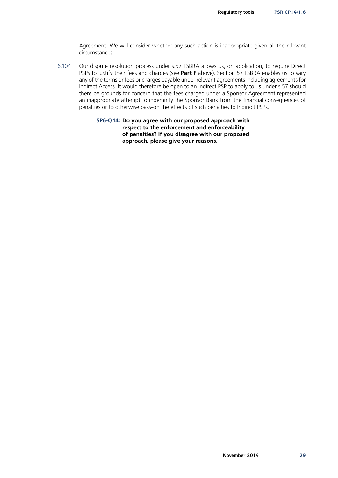Agreement. We will consider whether any such action is inappropriate given all the relevant circumstances.

6.104 Our dispute resolution process under s.57 FSBRA allows us, on application, to require Direct PSPs to justify their fees and charges (see **Part F** above). Section 57 FSBRA enables us to vary any of the terms or fees or charges payable under relevant agreements including agreements for Indirect Access. It would therefore be open to an Indirect PSP to apply to us under s.57 should there be grounds for concern that the fees charged under a Sponsor Agreement represented an inappropriate attempt to indemnify the Sponsor Bank from the financial consequences of penalties or to otherwise pass-on the effects of such penalties to Indirect PSPs.

> **SP6-Q14: Do you agree with our proposed approach with respect to the enforcement and enforceability of penalties? If you disagree with our proposed approach, please give your reasons.**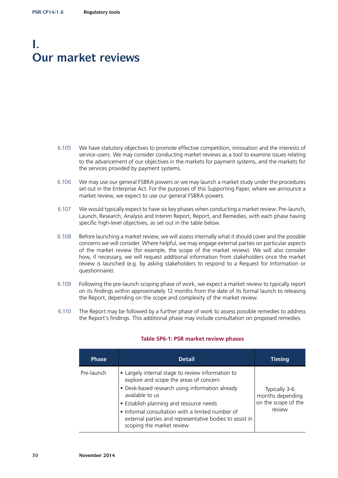### **I. Our market reviews**

- 6.105 We have statutory objectives to promote effective competition, innovation and the interests of service-users. We may consider conducting market reviews as a tool to examine issues relating to the advancement of our objectives in the markets for payment systems, and the markets for the services provided by payment systems.
- 6.106 We may use our general FSBRA powers or we may launch a market study under the procedures set out in the Enterprise Act. For the purposes of this Supporting Paper, where we announce a market review, we expect to use our general FSBRA powers.
- 6.107 We would typically expect to have six key phases when conducting a market review: Pre-launch, Launch, Research, Analysis and Interim Report, Report, and Remedies, with each phase having specific high-level objectives, as set out in the table below.
- 6.108 Before launching a market review, we will assess internally what it should cover and the possible concerns we will consider. Where helpful, we may engage external parties on particular aspects of the market review (for example, the scope of the market review). We will also consider how, if necessary, we will request additional information from stakeholders once the market review is launched (e.g. by asking stakeholders to respond to a Request for Information or questionnaire).
- 6.109 Following the pre-launch scoping phase of work, we expect a market review to typically report on its findings within approximately 12 months from the date of its formal launch to releasing the Report, depending on the scope and complexity of the market review.
- 6.110 The Report may be followed by a further phase of work to assess possible remedies to address the Report's findings. This additional phase may include consultation on proposed remedies.

| <b>Phase</b> | <b>Detail</b>                                                                                                                                                                                                                                                                                                                                            | <b>Timing</b>                                                      |
|--------------|----------------------------------------------------------------------------------------------------------------------------------------------------------------------------------------------------------------------------------------------------------------------------------------------------------------------------------------------------------|--------------------------------------------------------------------|
| Pre-launch   | • Largely internal stage to review information to<br>explore and scope the areas of concern<br>• Desk-based research using information already<br>available to us<br>• Establish planning and resource needs<br>• Informal consultation with a limited number of<br>external parties and representative bodies to assist in<br>scoping the market review | Typically 3-6<br>months depending<br>on the scope of the<br>review |

#### **Table SP6-1: PSR market review phases**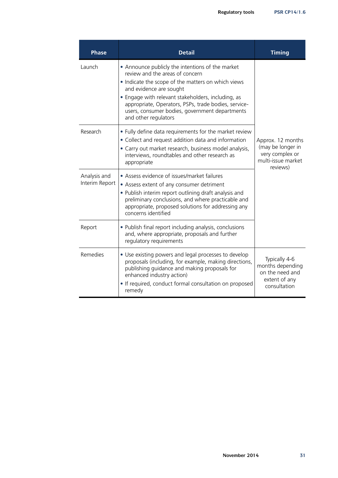| <b>Phase</b>                   | <b>Detail</b>                                                                                                                                                                                                                                                                                                                                                | <b>Timing</b>                                                                               |  |
|--------------------------------|--------------------------------------------------------------------------------------------------------------------------------------------------------------------------------------------------------------------------------------------------------------------------------------------------------------------------------------------------------------|---------------------------------------------------------------------------------------------|--|
| Launch                         | • Announce publicly the intentions of the market<br>review and the areas of concern<br>• Indicate the scope of the matters on which views<br>and evidence are sought<br>• Engage with relevant stakeholders, including, as<br>appropriate, Operators, PSPs, trade bodies, service-<br>users, consumer bodies, government departments<br>and other regulators |                                                                                             |  |
| Research                       | • Fully define data requirements for the market review<br>• Collect and request addition data and information<br>• Carry out market research, business model analysis,<br>interviews, roundtables and other research as<br>appropriate                                                                                                                       | Approx. 12 months<br>(may be longer in<br>very complex or<br>multi-issue market<br>reviews) |  |
| Analysis and<br>Interim Report | • Assess evidence of issues/market failures<br>• Assess extent of any consumer detriment<br>• Publish interim report outlining draft analysis and<br>preliminary conclusions, and where practicable and<br>appropriate, proposed solutions for addressing any<br>concerns identified                                                                         |                                                                                             |  |
| Report                         | • Publish final report including analysis, conclusions<br>and, where appropriate, proposals and further<br>regulatory requirements                                                                                                                                                                                                                           |                                                                                             |  |
| Remedies                       | • Use existing powers and legal processes to develop<br>proposals (including, for example, making directions,<br>publishing guidance and making proposals for<br>enhanced industry action)<br>• If required, conduct formal consultation on proposed<br>remedy                                                                                               | Typically 4-6<br>months depending<br>on the need and<br>extent of any<br>consultation       |  |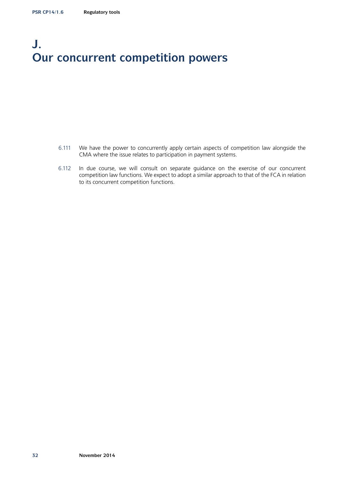## **J. Our concurrent competition powers**

- 6.111 We have the power to concurrently apply certain aspects of competition law alongside the CMA where the issue relates to participation in payment systems.
- 6.112 In due course, we will consult on separate guidance on the exercise of our concurrent competition law functions. We expect to adopt a similar approach to that of the FCA in relation to its concurrent competition functions.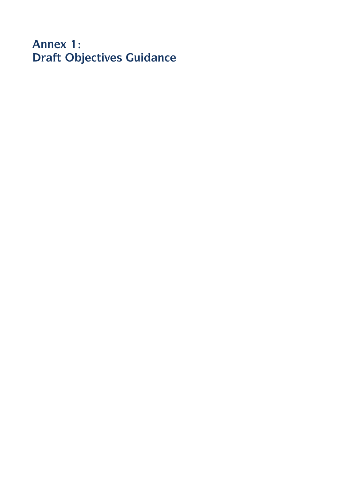**Annex 1: Draft Objectives Guidance**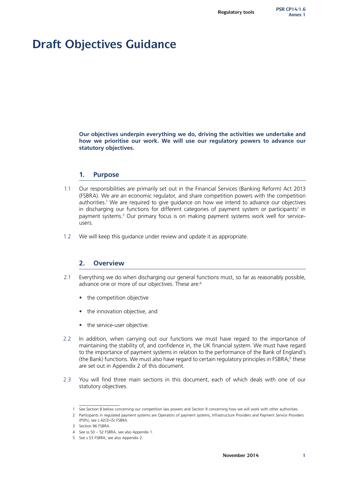### **Draft Objectives Guidance**

**Our objectives underpin everything we do, driving the activities we undertake and how we prioritise our work. We will use our regulatory powers to advance our statutory objectives.**

#### **1. Purpose**

- 1.1 Our responsibilities are primarily set out in the Financial Services (Banking Reform) Act 2013 (FSBRA). We are an economic regulator, and share competition powers with the competition authorities.1 We are required to give guidance on how we intend to advance our objectives in discharging our functions for different categories of payment system or participants<sup>2</sup> in payment systems.3 Our primary focus is on making payment systems work well for serviceusers.
- 1.2 We will keep this guidance under review and update it as appropriate.

### **2. Overview**

- 2.1 Everything we do when discharging our general functions must, so far as reasonably possible, advance one or more of our objectives. These are:4
	- the competition objective
	- the innovation objective, and
	- the service-user objective.
- 2.2 In addition, when carrying out our functions we must have regard to the importance of maintaining the stability of, and confidence in, the UK financial system. We must have regard to the importance of payment systems in relation to the performance of the Bank of England's (the Bank) functions. We must also have regard to certain regulatory principles in FSBRA;<sup>5</sup> these are set out in Appendix 2 of this document.
- 2.3 You will find three main sections in this document, each of which deals with one of our statutory objectives.

<sup>1</sup> See Section 8 below concerning our competition law powers and Section 9 concerning how we will work with other authorities.

<sup>2</sup> Participants in regulated payment systems are Operators of payment systems, Infrastructure Providers and Payment Service Providers (PSPs), see s.42(3)-(5) FSBRA.

<sup>3</sup> Section 96 FSBRA.

<sup>4</sup> See ss.50 – 52 FSBRA, see also Appendix 1.

<sup>5</sup> See s.53 FSBRA, see also Appendix 2.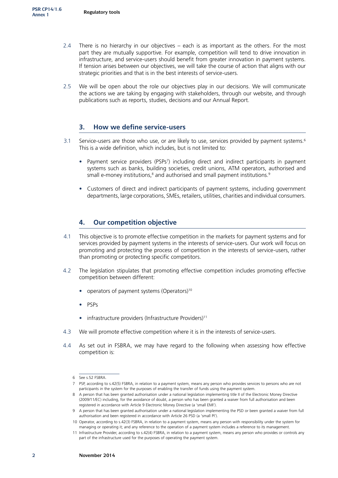- 2.4 There is no hierarchy in our objectives each is as important as the others. For the most part they are mutually supportive. For example, competition will tend to drive innovation in infrastructure, and service-users should benefit from greater innovation in payment systems. If tension arises between our objectives, we will take the course of action that aligns with our strategic priorities and that is in the best interests of service-users.
- 2.5 We will be open about the role our objectives play in our decisions. We will communicate the actions we are taking by engaging with stakeholders, through our website, and through publications such as reports, studies, decisions and our Annual Report.

### **3. How we define service-users**

- 3.1 Service-users are those who use, or are likely to use, services provided by payment systems.<sup>6</sup> This is a wide definition, which includes, but is not limited to:
	- Payment service providers (PSPs<sup>7</sup>) including direct and indirect participants in payment systems such as banks, building societies, credit unions, ATM operators, authorised and small e-money institutions, $^8$  and authorised and small payment institutions. $^{\rm 9}$
	- Customers of direct and indirect participants of payment systems, including government departments, large corporations, SMEs, retailers, utilities, charities and individual consumers.

### **4. Our competition objective**

- 4.1 This objective is to promote effective competition in the markets for payment systems and for services provided by payment systems in the interests of service-users. Our work will focus on promoting and protecting the process of competition in the interests of service-users, rather than promoting or protecting specific competitors.
- 4.2 The legislation stipulates that promoting effective competition includes promoting effective competition between different:
	- operators of payment systems (Operators)<sup>10</sup>
	- PSPs
	- infrastructure providers (Infrastructure Providers)<sup>11</sup>
- 4.3 We will promote effective competition where it is in the interests of service-users.
- 4.4 As set out in FSBRA, we may have regard to the following when assessing how effective competition is:

<sup>6</sup> See s.52 FSBRA.

<sup>7</sup> PSP, according to s.42(5) FSBRA, in relation to a payment system, means any person who provides services to persons who are not participants in the system for the purposes of enabling the transfer of funds using the payment system.

<sup>8</sup> A person that has been granted authorisation under a national legislation implementing title II of the Electronic Money Directive (2009/11/EC) including, for the avoidance of doubt, a person who has been granted a waiver from full authorisation and been registered in accordance with Article 9 Electronic Money Directive (a 'small EMI').

<sup>9</sup> A person that has been granted authorisation under a national legislation implementing the PSD or been granted a waiver from full authorisation and been registered in accordance with Article 26 PSD (a 'small PI').

<sup>10</sup> Operator, according to s.42(3) FSBRA, in relation to a payment system, means any person with responsibility under the system for managing or operating it; and any reference to the operation of a payment system includes a reference to its management.

<sup>11</sup> Infrastructure Provider, according to s.42(4) FSBRA, in relation to a payment system, means any person who provides or controls any part of the infrastructure used for the purposes of operating the payment system.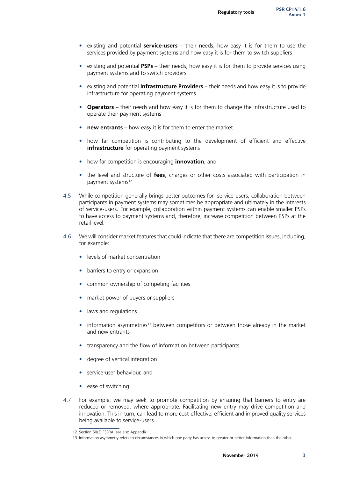- existing and potential **service-users** their needs, how easy it is for them to use the services provided by payment systems and how easy it is for them to switch suppliers
- existing and potential **PSPs**  their needs, how easy it is for them to provide services using payment systems and to switch providers
- existing and potential **Infrastructure Providers**  their needs and how easy it is to provide infrastructure for operating payment systems
- **Operators** their needs and how easy it is for them to change the infrastructure used to operate their payment systems
- **new entrants** how easy it is for them to enter the market
- how far competition is contributing to the development of efficient and effective **infrastructure** for operating payment systems
- how far competition is encouraging **innovation**, and
- the level and structure of **fees**, charges or other costs associated with participation in payment systems<sup>12</sup>
- 4.5 While competition generally brings better outcomes for service-users, collaboration between participants in payment systems may sometimes be appropriate and ultimately in the interests of service-users. For example, collaboration within payment systems can enable smaller PSPs to have access to payment systems and, therefore, increase competition between PSPs at the retail level.
- 4.6 We will consider market features that could indicate that there are competition issues, including, for example:
	- levels of market concentration
	- barriers to entry or expansion
	- common ownership of competing facilities
	- market power of buyers or suppliers
	- laws and regulations
	- information asymmetries<sup>13</sup> between competitors or between those already in the market and new entrants
	- transparency and the flow of information between participants
	- degree of vertical integration
	- service-user behaviour, and
	- ease of switching
- 4.7 For example, we may seek to promote competition by ensuring that barriers to entry are reduced or removed, where appropriate. Facilitating new entry may drive competition and innovation. This in turn, can lead to more cost-effective, efficient and improved quality services being available to service-users.

<sup>12</sup> Section 50(3) FSBRA, see also Appendix 1.

<sup>13</sup> Information asymmetry refers to circumstances in which one party has access to greater or better information than the other.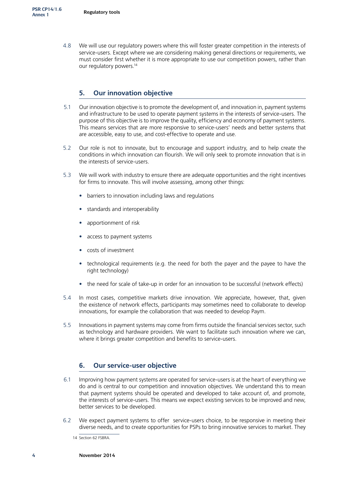4.8 We will use our regulatory powers where this will foster greater competition in the interests of service-users. Except where we are considering making general directions or requirements, we must consider first whether it is more appropriate to use our competition powers, rather than our regulatory powers.<sup>14</sup>

## **5. Our innovation objective**

- 5.1 Our innovation objective is to promote the development of, and innovation in, payment systems and infrastructure to be used to operate payment systems in the interests of service-users. The purpose of this objective is to improve the quality, efficiency and economy of payment systems. This means services that are more responsive to service-users' needs and better systems that are accessible, easy to use, and cost-effective to operate and use.
- 5.2 Our role is not to innovate, but to encourage and support industry, and to help create the conditions in which innovation can flourish. We will only seek to promote innovation that is in the interests of service-users.
- 5.3 We will work with industry to ensure there are adequate opportunities and the right incentives for firms to innovate. This will involve assessing, among other things:
	- barriers to innovation including laws and regulations
	- standards and interoperability
	- apportionment of risk
	- access to payment systems
	- costs of investment
	- technological requirements (e.g. the need for both the payer and the payee to have the right technology)
	- the need for scale of take-up in order for an innovation to be successful (network effects)
- 5.4 In most cases, competitive markets drive innovation. We appreciate, however, that, given the existence of network effects, participants may sometimes need to collaborate to develop innovations, for example the collaboration that was needed to develop Paym.
- 5.5 Innovations in payment systems may come from firms outside the financial services sector, such as technology and hardware providers. We want to facilitate such innovation where we can, where it brings greater competition and benefits to service-users.

# **6. Our service-user objective**

- 6.1 Improving how payment systems are operated for service-users is at the heart of everything we do and is central to our competition and innovation objectives. We understand this to mean that payment systems should be operated and developed to take account of, and promote, the interests of service-users. This means we expect existing services to be improved and new, better services to be developed.
- 6.2 We expect payment systems to offer service-users choice, to be responsive in meeting their diverse needs, and to create opportunities for PSPs to bring innovative services to market. They

<sup>14</sup> Section 62 FSBRA.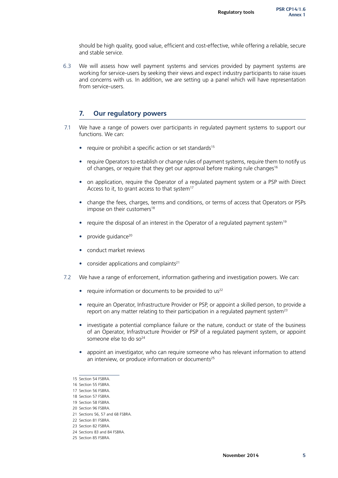should be high quality, good value, efficient and cost-effective, while offering a reliable, secure and stable service.

6.3 We will assess how well payment systems and services provided by payment systems are working for service-users by seeking their views and expect industry participants to raise issues and concerns with us. In addition, we are setting up a panel which will have representation from service-users.

## **7. Our regulatory powers**

- 7.1 We have a range of powers over participants in regulated payment systems to support our functions. We can:
	- require or prohibit a specific action or set standards<sup>15</sup>
	- require Operators to establish or change rules of payment systems, require them to notify us of changes, or require that they get our approval before making rule changes<sup>16</sup>
	- on application, require the Operator of a regulated payment system or a PSP with Direct Access to it, to grant access to that system<sup>17</sup>
	- change the fees, charges, terms and conditions, or terms of access that Operators or PSPs impose on their customers<sup>18</sup>
	- require the disposal of an interest in the Operator of a requlated payment system<sup>19</sup>
	- provide quidance<sup>20</sup>
	- conduct market reviews
	- consider applications and complaints $21$
- 7.2 We have a range of enforcement, information gathering and investigation powers. We can:
	- require information or documents to be provided to  $us^{22}$
	- require an Operator, Infrastructure Provider or PSP, or appoint a skilled person, to provide a report on any matter relating to their participation in a regulated payment system $^{23}$
	- investigate a potential compliance failure or the nature, conduct or state of the business of an Operator, Infrastructure Provider or PSP of a regulated payment system, or appoint someone else to do so<sup>24</sup>
	- appoint an investigator, who can require someone who has relevant information to attend an interview, or produce information or documents<sup>25</sup>

- 16 Section 55 FSBRA.
- 17 Section 56 FSBRA.
- 18 Section 57 FSBRA.
- 19 Section 58 FSBRA.
- 20 Section 96 FSBRA.
- 21 Sections 56, 57 and 68 FSBRA.
- 22 Section 81 FSBRA.
- 23 Section 82 FSBRA.
- 24 Sections 83 and 84 FSBRA.
- 25 Section 85 FSBRA.

<sup>15</sup> Section 54 FSBRA.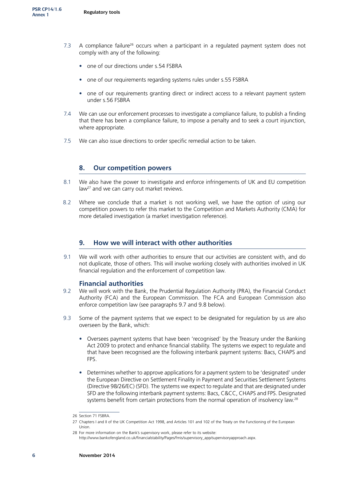- 7.3 A compliance failure<sup>26</sup> occurs when a participant in a regulated payment system does not comply with any of the following:
	- one of our directions under s.54 FSBRA
	- one of our requirements regarding systems rules under s.55 FSBRA
	- one of our requirements granting direct or indirect access to a relevant payment system under s.56 FSBRA
- 7.4 We can use our enforcement processes to investigate a compliance failure, to publish a finding that there has been a compliance failure, to impose a penalty and to seek a court injunction, where appropriate.
- 7.5 We can also issue directions to order specific remedial action to be taken.

### **8. Our competition powers**

- 8.1 We also have the power to investigate and enforce infringements of UK and EU competition law<sup>27</sup> and we can carry out market reviews.
- 8.2 Where we conclude that a market is not working well, we have the option of using our competition powers to refer this market to the Competition and Markets Authority (CMA) for more detailed investigation (a market investigation reference).

### **9. How we will interact with other authorities**

9.1 We will work with other authorities to ensure that our activities are consistent with, and do not duplicate, those of others. This will involve working closely with authorities involved in UK financial regulation and the enforcement of competition law.

### **Financial authorities**

- 9.2 We will work with the Bank, the Prudential Regulation Authority (PRA), the Financial Conduct Authority (FCA) and the European Commission. The FCA and European Commission also enforce competition law (see paragraphs 9.7 and 9.8 below).
- 9.3 Some of the payment systems that we expect to be designated for regulation by us are also overseen by the Bank, which:
	- Oversees payment systems that have been 'recognised' by the Treasury under the Banking Act 2009 to protect and enhance financial stability. The systems we expect to regulate and that have been recognised are the following interbank payment systems: Bacs, CHAPS and FPS.
	- Determines whether to approve applications for a payment system to be 'designated' under the European Directive on Settlement Finality in Payment and Securities Settlement Systems (Directive 98/26/EC) (SFD). The systems we expect to regulate and that are designated under SFD are the following interbank payment systems: Bacs, C&CC, CHAPS and FPS. Designated systems benefit from certain protections from the normal operation of insolvency law.<sup>28</sup>

<sup>26</sup> Section 71 FSBRA.

<sup>27</sup> Chapters I and II of the UK Competition Act 1998, and Articles 101 and 102 of the Treaty on the Functioning of the European Union.

<sup>28</sup> For more information on the Bank's supervisory work, please refer to its website: http://www.bankofengland.co.uk/financialstability/Pages/fmis/supervisory\_app/supervisoryapproach.aspx.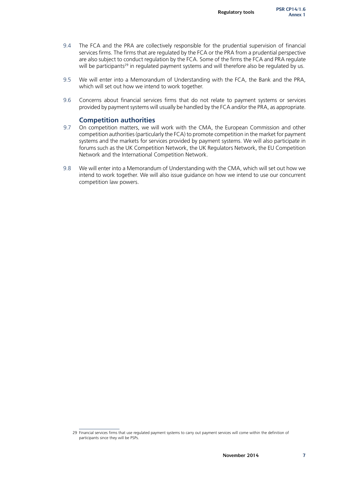- 9.4 The FCA and the PRA are collectively responsible for the prudential supervision of financial services firms. The firms that are regulated by the FCA or the PRA from a prudential perspective are also subject to conduct regulation by the FCA. Some of the firms the FCA and PRA regulate will be participants<sup>29</sup> in regulated payment systems and will therefore also be regulated by us.
- 9.5 We will enter into a Memorandum of Understanding with the FCA, the Bank and the PRA, which will set out how we intend to work together.
- 9.6 Concerns about financial services firms that do not relate to payment systems or services provided by payment systems will usually be handled by the FCA and/or the PRA, as appropriate.

### **Competition authorities**

- 9.7 On competition matters, we will work with the CMA, the European Commission and other competition authorities (particularly the FCA) to promote competition in the market for payment systems and the markets for services provided by payment systems. We will also participate in forums such as the UK Competition Network, the UK Regulators Network, the EU Competition Network and the International Competition Network.
- 9.8 We will enter into a Memorandum of Understanding with the CMA, which will set out how we intend to work together. We will also issue guidance on how we intend to use our concurrent competition law powers.

<sup>29</sup> Financial services firms that use regulated payment systems to carry out payment services will come within the definition of participants since they will be PSPs.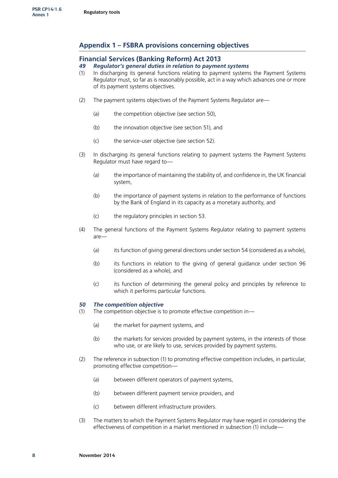## **Appendix 1 – FSBRA provisions concerning objectives**

### **Financial Services (Banking Reform) Act 2013**

## *49 Regulator's general duties in relation to payment systems*

- (1) In discharging its general functions relating to payment systems the Payment Systems Regulator must, so far as is reasonably possible, act in a way which advances one or more of its payment systems objectives.
- (2) The payment systems objectives of the Payment Systems Regulator are—
	- (a) the competition objective (see section 50),
	- (b) the innovation objective (see section 51), and
	- (c) the service-user objective (see section 52).
- (3) In discharging its general functions relating to payment systems the Payment Systems Regulator must have regard to—
	- (a) the importance of maintaining the stability of, and confidence in, the UK financial system,
	- (b) the importance of payment systems in relation to the performance of functions by the Bank of England in its capacity as a monetary authority, and
	- (c) the regulatory principles in section 53.
- (4) The general functions of the Payment Systems Regulator relating to payment systems are—
	- (a) its function of giving general directions under section 54 (considered as a whole),
	- (b) its functions in relation to the giving of general guidance under section 96 (considered as a whole), and
	- (c) its function of determining the general policy and principles by reference to which it performs particular functions.

### *50 The competition objective*

- (1) The competition objective is to promote effective competition in—
	- (a) the market for payment systems, and
	- (b) the markets for services provided by payment systems, in the interests of those who use, or are likely to use, services provided by payment systems.
- (2) The reference in subsection (1) to promoting effective competition includes, in particular, promoting effective competition—
	- (a) between different operators of payment systems,
	- (b) between different payment service providers, and
	- (c) between different infrastructure providers.
- (3) The matters to which the Payment Systems Regulator may have regard in considering the effectiveness of competition in a market mentioned in subsection (1) include—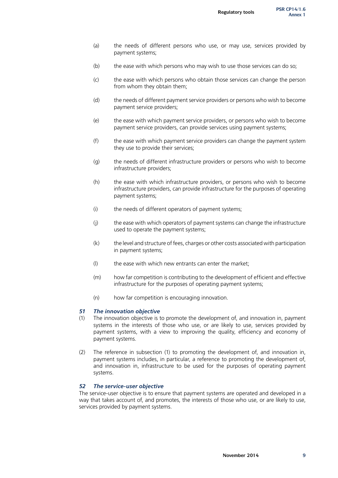- (a) the needs of different persons who use, or may use, services provided by payment systems;
- (b) the ease with which persons who may wish to use those services can do so;
- (c) the ease with which persons who obtain those services can change the person from whom they obtain them;
- (d) the needs of different payment service providers or persons who wish to become payment service providers;
- (e) the ease with which payment service providers, or persons who wish to become payment service providers, can provide services using payment systems;
- (f) the ease with which payment service providers can change the payment system they use to provide their services;
- (g) the needs of different infrastructure providers or persons who wish to become infrastructure providers;
- (h) the ease with which infrastructure providers, or persons who wish to become infrastructure providers, can provide infrastructure for the purposes of operating payment systems;
- (i) the needs of different operators of payment systems;
- (j) the ease with which operators of payment systems can change the infrastructure used to operate the payment systems;
- (k) the level and structure of fees, charges or other costs associated with participation in payment systems;
- (I) the ease with which new entrants can enter the market:
- (m) how far competition is contributing to the development of efficient and effective infrastructure for the purposes of operating payment systems;
- (n) how far competition is encouraging innovation.

### *51 The innovation objective*

- (1) The innovation objective is to promote the development of, and innovation in, payment systems in the interests of those who use, or are likely to use, services provided by payment systems, with a view to improving the quality, efficiency and economy of payment systems.
- (2) The reference in subsection (1) to promoting the development of, and innovation in, payment systems includes, in particular, a reference to promoting the development of, and innovation in, infrastructure to be used for the purposes of operating payment systems.

### *52 The service-user objective*

The service-user objective is to ensure that payment systems are operated and developed in a way that takes account of, and promotes, the interests of those who use, or are likely to use, services provided by payment systems.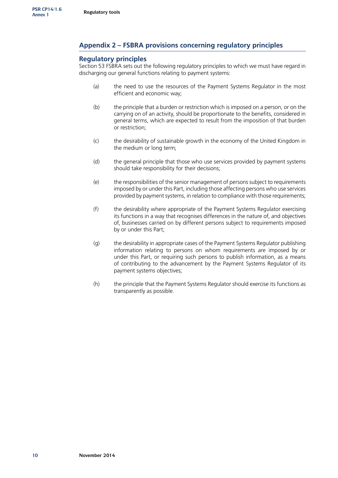## **Appendix 2 – FSBRA provisions concerning regulatory principles**

### **Regulatory principles**

Section 53 FSBRA sets out the following regulatory principles to which we must have regard in discharging our general functions relating to payment systems:

- (a) the need to use the resources of the Payment Systems Regulator in the most efficient and economic way;
- (b) the principle that a burden or restriction which is imposed on a person, or on the carrying on of an activity, should be proportionate to the benefits, considered in general terms, which are expected to result from the imposition of that burden or restriction;
- (c) the desirability of sustainable growth in the economy of the United Kingdom in the medium or long term;
- (d) the general principle that those who use services provided by payment systems should take responsibility for their decisions;
- (e) the responsibilities of the senior management of persons subject to requirements imposed by or under this Part, including those affecting persons who use services provided by payment systems, in relation to compliance with those requirements;
- (f) the desirability where appropriate of the Payment Systems Regulator exercising its functions in a way that recognises differences in the nature of, and objectives of, businesses carried on by different persons subject to requirements imposed by or under this Part;
- (g) the desirability in appropriate cases of the Payment Systems Regulator publishing information relating to persons on whom requirements are imposed by or under this Part, or requiring such persons to publish information, as a means of contributing to the advancement by the Payment Systems Regulator of its payment systems objectives;
- (h) the principle that the Payment Systems Regulator should exercise its functions as transparently as possible.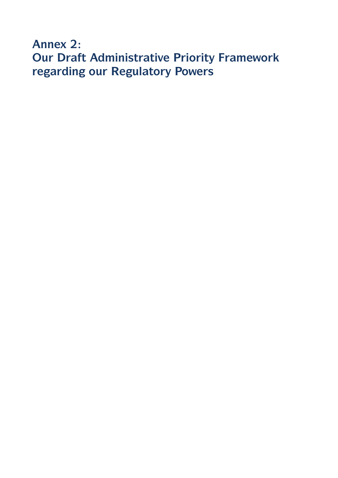# **Annex 2: Our Draft Administrative Priority Framework regarding our Regulatory Powers**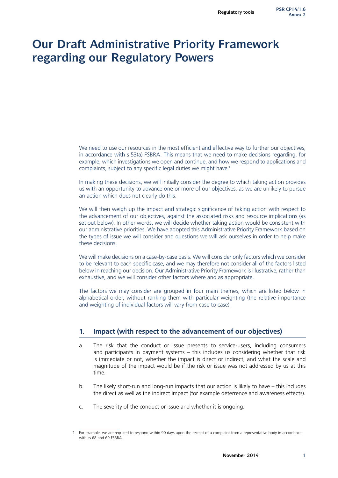# **Our Draft Administrative Priority Framework regarding our Regulatory Powers**

We need to use our resources in the most efficient and effective way to further our objectives, in accordance with s.53(a) FSBRA. This means that we need to make decisions regarding, for example, which investigations we open and continue, and how we respond to applications and complaints, subject to any specific legal duties we might have.<sup>1</sup>

In making these decisions, we will initially consider the degree to which taking action provides us with an opportunity to advance one or more of our objectives, as we are unlikely to pursue an action which does not clearly do this.

We will then weigh up the impact and strategic significance of taking action with respect to the advancement of our objectives, against the associated risks and resource implications (as set out below). In other words, we will decide whether taking action would be consistent with our administrative priorities. We have adopted this Administrative Priority Framework based on the types of issue we will consider and questions we will ask ourselves in order to help make these decisions.

We will make decisions on a case-by-case basis. We will consider only factors which we consider to be relevant to each specific case, and we may therefore not consider all of the factors listed below in reaching our decision. Our Administrative Priority Framework is illustrative, rather than exhaustive, and we will consider other factors where and as appropriate.

The factors we may consider are grouped in four main themes, which are listed below in alphabetical order, without ranking them with particular weighting (the relative importance and weighting of individual factors will vary from case to case).

## **1. Impact (with respect to the advancement of our objectives)**

- a. The risk that the conduct or issue presents to service-users, including consumers and participants in payment systems – this includes us considering whether that risk is immediate or not, whether the impact is direct or indirect, and what the scale and magnitude of the impact would be if the risk or issue was not addressed by us at this time.
- b. The likely short-run and long-run impacts that our action is likely to have this includes the direct as well as the indirect impact (for example deterrence and awareness effects).
- c. The severity of the conduct or issue and whether it is ongoing.

For example, we are required to respond within 90 days upon the receipt of a complaint from a representative body in accordance with ss.68 and 69 FSBRA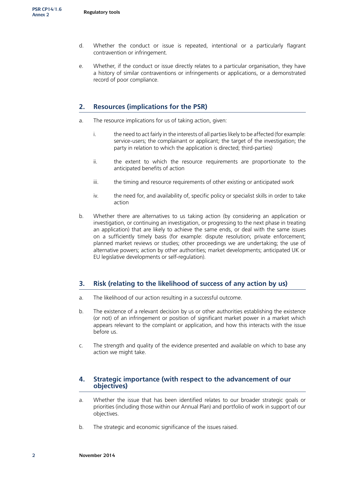- d. Whether the conduct or issue is repeated, intentional or a particularly flagrant contravention or infringement.
- e. Whether, if the conduct or issue directly relates to a particular organisation, they have a history of similar contraventions or infringements or applications, or a demonstrated record of poor compliance.

## **2. Resources (implications for the PSR)**

- a. The resource implications for us of taking action, given:
	- i. the need to act fairly in the interests of all parties likely to be affected (for example: service-users; the complainant or applicant; the target of the investigation; the party in relation to which the application is directed; third-parties)
	- ii. the extent to which the resource requirements are proportionate to the anticipated benefits of action
	- iii. the timing and resource requirements of other existing or anticipated work
	- iv. the need for, and availability of, specific policy or specialist skills in order to take action
- b. Whether there are alternatives to us taking action (by considering an application or investigation, or continuing an investigation, or progressing to the next phase in treating an application) that are likely to achieve the same ends, or deal with the same issues on a sufficiently timely basis (for example: dispute resolution; private enforcement; planned market reviews or studies; other proceedings we are undertaking; the use of alternative powers; action by other authorities; market developments; anticipated UK or EU legislative developments or self-regulation).

## **3. Risk (relating to the likelihood of success of any action by us)**

- a. The likelihood of our action resulting in a successful outcome.
- b. The existence of a relevant decision by us or other authorities establishing the existence (or not) of an infringement or position of significant market power in a market which appears relevant to the complaint or application, and how this interacts with the issue before us.
- c. The strength and quality of the evidence presented and available on which to base any action we might take.

### **4. Strategic importance (with respect to the advancement of our objectives)**

- a. Whether the issue that has been identified relates to our broader strategic goals or priorities (including those within our Annual Plan) and portfolio of work in support of our objectives.
- b. The strategic and economic significance of the issues raised.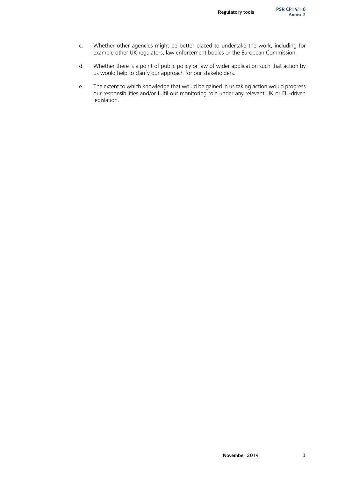- c. Whether other agencies might be better placed to undertake the work, including for example other UK regulators, law enforcement bodies or the European Commission.
- d. Whether there is a point of public policy or law of wider application such that action by us would help to clarify our approach for our stakeholders.
- e. The extent to which knowledge that would be gained in us taking action would progress our responsibilities and/or fulfil our monitoring role under any relevant UK or EU-driven legislation.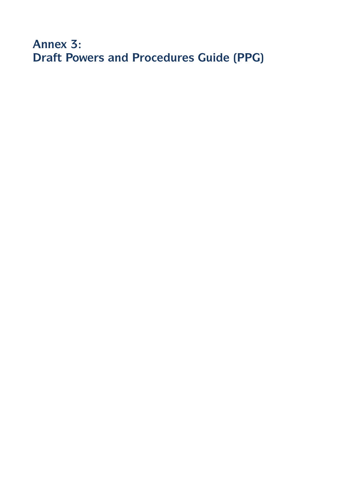**Annex 3: Draft Powers and Procedures Guide (PPG)**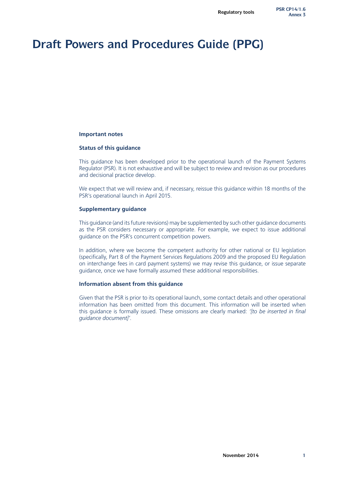# **Draft Powers and Procedures Guide (PPG)**

#### **Important notes**

### **Status of this guidance**

This guidance has been developed prior to the operational launch of the Payment Systems Regulator (PSR). It is not exhaustive and will be subject to review and revision as our procedures and decisional practice develop.

We expect that we will review and, if necessary, reissue this guidance within 18 months of the PSR's operational launch in April 2015.

### **Supplementary guidance**

This guidance (and its future revisions) may be supplemented by such other guidance documents as the PSR considers necessary or appropriate. For example, we expect to issue additional guidance on the PSR's concurrent competition powers.

In addition, where we become the competent authority for other national or EU legislation (specifically, Part 8 of the Payment Services Regulations 2009 and the proposed EU Regulation on interchange fees in card payment systems) we may revise this guidance, or issue separate guidance, once we have formally assumed these additional responsibilities.

#### **Information absent from this guidance**

Given that the PSR is prior to its operational launch, some contact details and other operational information has been omitted from this document. This information will be inserted when this guidance is formally issued. These omissions are clearly marked: *'[to be inserted in final guidance document]'*.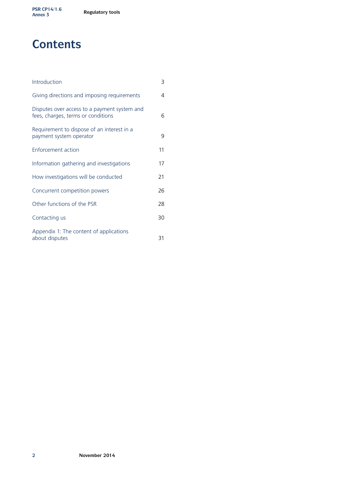# **Contents**

| Introduction                                                                       | 3  |
|------------------------------------------------------------------------------------|----|
| Giving directions and imposing requirements                                        | 4  |
| Disputes over access to a payment system and<br>fees, charges, terms or conditions | 6  |
| Requirement to dispose of an interest in a<br>payment system operator              | 9  |
| <b>Enforcement action</b>                                                          | 11 |
| Information gathering and investigations                                           | 17 |
| How investigations will be conducted                                               | 21 |
| Concurrent competition powers                                                      | 26 |
| Other functions of the PSR                                                         | 28 |
| Contacting us                                                                      | 30 |
| Appendix 1: The content of applications<br>about disputes                          | 31 |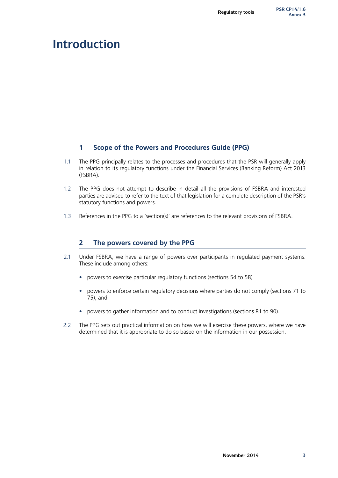# **Introduction**

## **1 Scope of the Powers and Procedures Guide (PPG)**

- 1.1 The PPG principally relates to the processes and procedures that the PSR will generally apply in relation to its regulatory functions under the Financial Services (Banking Reform) Act 2013 (FSBRA).
- 1.2 The PPG does not attempt to describe in detail all the provisions of FSBRA and interested parties are advised to refer to the text of that legislation for a complete description of the PSR's statutory functions and powers.
- 1.3 References in the PPG to a 'section(s)' are references to the relevant provisions of FSBRA.

## **2 The powers covered by the PPG**

- 2.1 Under FSBRA, we have a range of powers over participants in regulated payment systems. These include among others:
	- powers to exercise particular regulatory functions (sections 54 to 58)
	- powers to enforce certain regulatory decisions where parties do not comply (sections 71 to 75), and
	- powers to gather information and to conduct investigations (sections 81 to 90).
- 2.2 The PPG sets out practical information on how we will exercise these powers, where we have determined that it is appropriate to do so based on the information in our possession.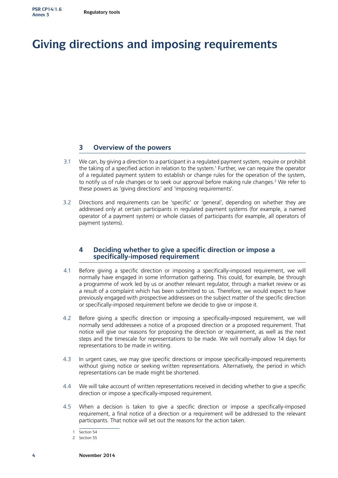# **Giving directions and imposing requirements**

## **3 Overview of the powers**

- 3.1 We can, by giving a direction to a participant in a regulated payment system, require or prohibit the taking of a specified action in relation to the system.<sup>1</sup> Further, we can require the operator of a regulated payment system to establish or change rules for the operation of the system, to notify us of rule changes or to seek our approval before making rule changes.<sup>2</sup> We refer to these powers as 'giving directions' and 'imposing requirements'.
- 3.2 Directions and requirements can be 'specific' or 'general', depending on whether they are addressed only at certain participants in regulated payment systems (for example, a named operator of a payment system) or whole classes of participants (for example, all operators of payment systems).

### **4 Deciding whether to give a specific direction or impose a specifically-imposed requirement**

- 4.1 Before giving a specific direction or imposing a specifically-imposed requirement, we will normally have engaged in some information gathering. This could, for example, be through a programme of work led by us or another relevant regulator, through a market review or as a result of a complaint which has been submitted to us. Therefore, we would expect to have previously engaged with prospective addressees on the subject matter of the specific direction or specifically-imposed requirement before we decide to give or impose it.
- 4.2 Before giving a specific direction or imposing a specifically-imposed requirement, we will normally send addressees a notice of a proposed direction or a proposed requirement. That notice will give our reasons for proposing the direction or requirement, as well as the next steps and the timescale for representations to be made. We will normally allow 14 days for representations to be made in writing.
- 4.3 In urgent cases, we may give specific directions or impose specifically-imposed requirements without giving notice or seeking written representations. Alternatively, the period in which representations can be made might be shortened.
- 4.4 We will take account of written representations received in deciding whether to give a specific direction or impose a specifically-imposed requirement.
- 4.5 When a decision is taken to give a specific direction or impose a specifically-imposed requirement, a final notice of a direction or a requirement will be addressed to the relevant participants. That notice will set out the reasons for the action taken.

<sup>1</sup> Section 54

<sup>2</sup> Section 55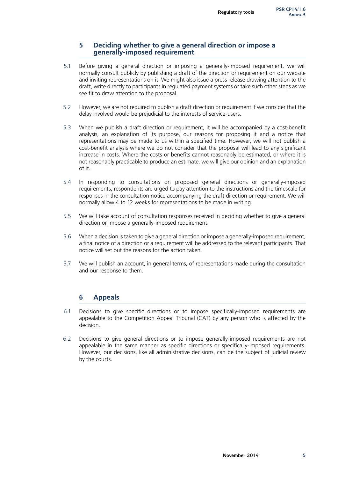## **5 Deciding whether to give a general direction or impose a generally-imposed requirement**

- 5.1 Before giving a general direction or imposing a generally-imposed requirement, we will normally consult publicly by publishing a draft of the direction or requirement on our website and inviting representations on it. We might also issue a press release drawing attention to the draft, write directly to participants in regulated payment systems or take such other steps as we see fit to draw attention to the proposal.
- 5.2 However, we are not required to publish a draft direction or requirement if we consider that the delay involved would be prejudicial to the interests of service-users.
- 5.3 When we publish a draft direction or requirement, it will be accompanied by a cost-benefit analysis, an explanation of its purpose, our reasons for proposing it and a notice that representations may be made to us within a specified time. However, we will not publish a cost-benefit analysis where we do not consider that the proposal will lead to any significant increase in costs. Where the costs or benefits cannot reasonably be estimated, or where it is not reasonably practicable to produce an estimate, we will give our opinion and an explanation of it.
- 5.4 In responding to consultations on proposed general directions or generally-imposed requirements, respondents are urged to pay attention to the instructions and the timescale for responses in the consultation notice accompanying the draft direction or requirement. We will normally allow 4 to 12 weeks for representations to be made in writing.
- 5.5 We will take account of consultation responses received in deciding whether to give a general direction or impose a generally-imposed requirement.
- 5.6 When a decision is taken to give a general direction or impose a generally-imposed requirement, a final notice of a direction or a requirement will be addressed to the relevant participants. That notice will set out the reasons for the action taken.
- 5.7 We will publish an account, in general terms, of representations made during the consultation and our response to them.

## **6 Appeals**

- 6.1 Decisions to give specific directions or to impose specifically-imposed requirements are appealable to the Competition Appeal Tribunal (CAT) by any person who is affected by the decision.
- 6.2 Decisions to give general directions or to impose generally-imposed requirements are not appealable in the same manner as specific directions or specifically-imposed requirements. However, our decisions, like all administrative decisions, can be the subject of judicial review by the courts.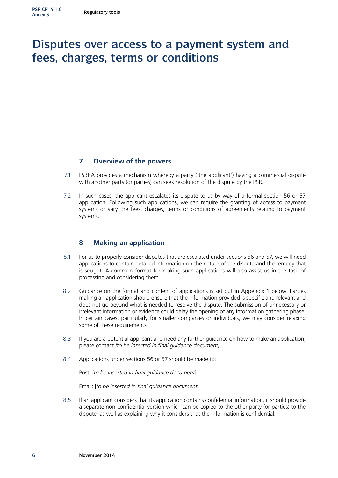# **Disputes over access to a payment system and fees, charges, terms or conditions**

## **7 Overview of the powers**

- 7.1 FSBRA provides a mechanism whereby a party ('the applicant') having a commercial dispute with another party (or parties) can seek resolution of the dispute by the PSR.
- 7.2 In such cases, the applicant escalates its dispute to us by way of a formal section 56 or 57 application. Following such applications, we can require the granting of access to payment systems or vary the fees, charges, terms or conditions of agreements relating to payment systems.

## **8 Making an application**

- 8.1 For us to properly consider disputes that are escalated under sections 56 and 57, we will need applications to contain detailed information on the nature of the dispute and the remedy that is sought. A common format for making such applications will also assist us in the task of processing and considering them.
- 8.2 Guidance on the format and content of applications is set out in Appendix 1 below. Parties making an application should ensure that the information provided is specific and relevant and does not go beyond what is needed to resolve the dispute. The submission of unnecessary or irrelevant information or evidence could delay the opening of any information gathering phase. In certain cases, particularly for smaller companies or individuals, we may consider relaxing some of these requirements.
- 8.3 If you are a potential applicant and need any further guidance on how to make an application, please contact *[to be inserted in final guidance document].*
- 8.4 Applications under sections 56 or 57 should be made to:

Post: [*to be inserted in final guidance document*]

Email: [*to be inserted in final guidance document*]

8.5 If an applicant considers that its application contains confidential information, it should provide a separate non-confidential version which can be copied to the other party (or parties) to the dispute, as well as explaining why it considers that the information is confidential.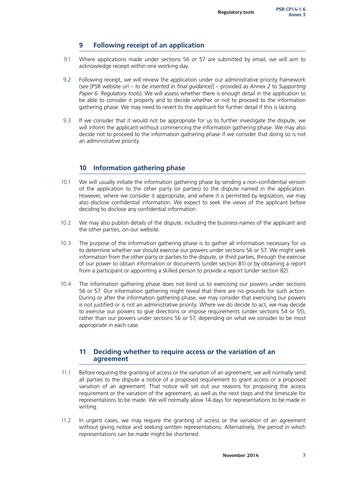# **9 Following receipt of an application**

- 9.1 Where applications made under sections 56 or 57 are submitted by email, we will aim to acknowledge receipt within one working day.
- 9.2 Following receipt, we will review the application under our administrative priority framework (see [PSR website url – *to be inserted in final guidance]*] – provided as *Annex 2* to *Supporting Paper 6: Regulatory tools*). We will assess whether there is enough detail in the application to be able to consider it properly and to decide whether or not to proceed to the information gathering phase. We may need to revert to the applicant for further detail if this is lacking.
- 9.3 If we consider that it would not be appropriate for us to further investigate the dispute, we will inform the applicant without commencing the information gathering phase. We may also decide not to proceed to the information gathering phase if we consider that doing so is not an administrative priority.

# **10 Information gathering phase**

- 10.1 We will usually initiate the information gathering phase by sending a non-confidential version of the application to the other party (or parties) to the dispute named in the application. However, where we consider it appropriate, and where it is permitted by legislation, we may also disclose confidential information. We expect to seek the views of the applicant before deciding to disclose any confidential information.
- 10.2 We may also publish details of the dispute, including the business names of the applicant and the other parties, on our website.
- 10.3 The purpose of the information gathering phase is to gather all information necessary for us to determine whether we should exercise our powers under sections 56 or 57. We might seek information from the other party or parties to the dispute, or third parties, through the exercise of our power to obtain information or documents (under section 81) or by obtaining a report from a participant or appointing a skilled person to provide a report (under section 82).
- 10.4 The information gathering phase does not bind us to exercising our powers under sections 56 or 57. Our information gathering might reveal that there are no grounds for such action. During or after the information gathering phase, we may consider that exercising our powers is not justified or is not an administrative priority. Where we do decide to act, we may decide to exercise our powers to give directions or impose requirements (under sections 54 or 55), rather than our powers under sections 56 or 57, depending on what we consider to be most appropriate in each case.

## **11 Deciding whether to require access or the variation of an agreement**

- 11.1 Before requiring the granting of access or the variation of an agreement, we will normally send all parties to the dispute a notice of a proposed requirement to grant access or a proposed variation of an agreement. That notice will set out our reasons for proposing the access requirement or the variation of the agreement, as well as the next steps and the timescale for representations to be made. We will normally allow 14 days for representations to be made in writing.
- 11.2 In urgent cases, we may require the granting of access or the variation of an agreement without giving notice and seeking written representations. Alternatively, the period in which representations can be made might be shortened.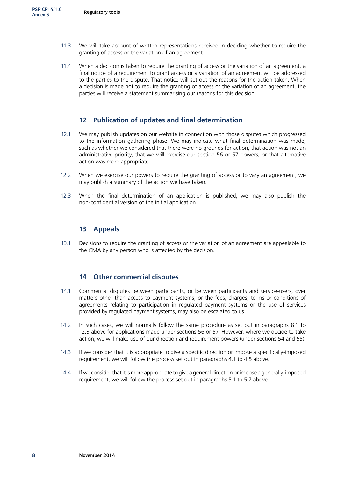- 11.3 We will take account of written representations received in deciding whether to require the granting of access or the variation of an agreement.
- 11.4 When a decision is taken to require the granting of access or the variation of an agreement, a final notice of a requirement to grant access or a variation of an agreement will be addressed to the parties to the dispute. That notice will set out the reasons for the action taken. When a decision is made not to require the granting of access or the variation of an agreement, the parties will receive a statement summarising our reasons for this decision.

## **12 Publication of updates and final determination**

- 12.1 We may publish updates on our website in connection with those disputes which progressed to the information gathering phase. We may indicate what final determination was made, such as whether we considered that there were no grounds for action, that action was not an administrative priority, that we will exercise our section 56 or 57 powers, or that alternative action was more appropriate.
- 12.2 When we exercise our powers to require the granting of access or to vary an agreement, we may publish a summary of the action we have taken.
- 12.3 When the final determination of an application is published, we may also publish the non-confidential version of the initial application.

## **13 Appeals**

13.1 Decisions to require the granting of access or the variation of an agreement are appealable to the CMA by any person who is affected by the decision.

## **14 Other commercial disputes**

- 14.1 Commercial disputes between participants, or between participants and service-users, over matters other than access to payment systems, or the fees, charges, terms or conditions of agreements relating to participation in regulated payment systems or the use of services provided by regulated payment systems, may also be escalated to us.
- 14.2 In such cases, we will normally follow the same procedure as set out in paragraphs 8.1 to 12.3 above for applications made under sections 56 or 57. However, where we decide to take action, we will make use of our direction and requirement powers (under sections 54 and 55).
- 14.3 If we consider that it is appropriate to give a specific direction or impose a specifically-imposed requirement, we will follow the process set out in paragraphs 4.1 to 4.5 above.
- 14.4 If we consider that it is more appropriate to give a general direction or impose a generally-imposed requirement, we will follow the process set out in paragraphs 5.1 to 5.7 above.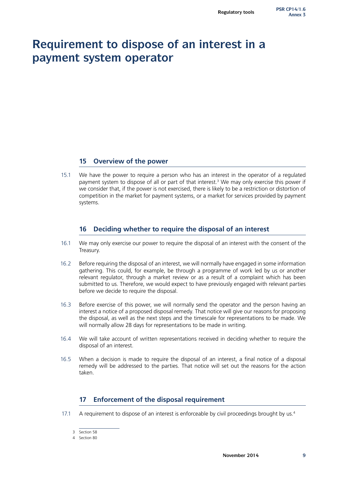# **Requirement to dispose of an interest in a payment system operator**

## **15 Overview of the power**

15.1 We have the power to require a person who has an interest in the operator of a regulated payment system to dispose of all or part of that interest.<sup>3</sup> We may only exercise this power if we consider that, if the power is not exercised, there is likely to be a restriction or distortion of competition in the market for payment systems, or a market for services provided by payment systems.

## **16 Deciding whether to require the disposal of an interest**

- 16.1 We may only exercise our power to require the disposal of an interest with the consent of the Treasury.
- 16.2 Before requiring the disposal of an interest, we will normally have engaged in some information gathering. This could, for example, be through a programme of work led by us or another relevant regulator, through a market review or as a result of a complaint which has been submitted to us. Therefore, we would expect to have previously engaged with relevant parties before we decide to require the disposal.
- 16.3 Before exercise of this power, we will normally send the operator and the person having an interest a notice of a proposed disposal remedy. That notice will give our reasons for proposing the disposal, as well as the next steps and the timescale for representations to be made. We will normally allow 28 days for representations to be made in writing.
- 16.4 We will take account of written representations received in deciding whether to require the disposal of an interest.
- 16.5 When a decision is made to require the disposal of an interest, a final notice of a disposal remedy will be addressed to the parties. That notice will set out the reasons for the action taken.

# **17 Enforcement of the disposal requirement**

17.1 A requirement to dispose of an interest is enforceable by civil proceedings brought by us.<sup>4</sup>

<sup>3</sup> Section 58

<sup>4</sup> Section 80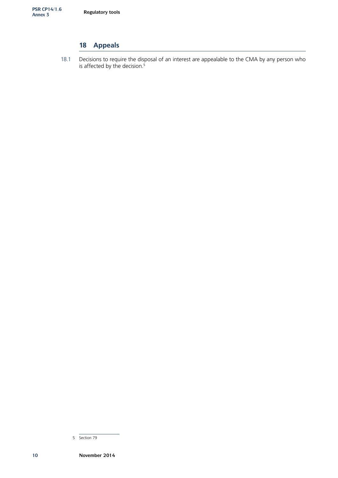# **18 Appeals**

18.1 Decisions to require the disposal of an interest are appealable to the CMA by any person who is affected by the decision.<sup>5</sup>

<sup>5</sup> Section 79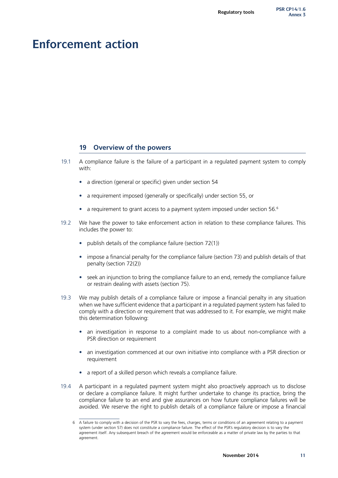# **Enforcement action**

## **19 Overview of the powers**

- 19.1 A compliance failure is the failure of a participant in a regulated payment system to comply with:
	- a direction (general or specific) given under section 54
	- a requirement imposed (generally or specifically) under section 55, or
	- a requirement to grant access to a payment system imposed under section 56.<sup>6</sup>
- 19.2 We have the power to take enforcement action in relation to these compliance failures. This includes the power to:
	- publish details of the compliance failure (section 72(1))
	- impose a financial penalty for the compliance failure (section 73) and publish details of that penalty (section 72(2))
	- seek an injunction to bring the compliance failure to an end, remedy the compliance failure or restrain dealing with assets (section 75).
- 19.3 We may publish details of a compliance failure or impose a financial penalty in any situation when we have sufficient evidence that a participant in a regulated payment system has failed to comply with a direction or requirement that was addressed to it. For example, we might make this determination following:
	- an investigation in response to a complaint made to us about non-compliance with a PSR direction or requirement
	- an investigation commenced at our own initiative into compliance with a PSR direction or requirement
	- a report of a skilled person which reveals a compliance failure.
- 19.4 A participant in a regulated payment system might also proactively approach us to disclose or declare a compliance failure. It might further undertake to change its practice, bring the compliance failure to an end and give assurances on how future compliance failures will be avoided. We reserve the right to publish details of a compliance failure or impose a financial

<sup>6</sup> A failure to comply with a decision of the PSR to vary the fees, charges, terms or conditions of an agreement relating to a payment system (under section 57) does not constitute a compliance failure. The effect of the PSR's regulatory decision is to vary the agreement itself. Any subsequent breach of the agreement would be enforceable as a matter of private law by the parties to that agreement.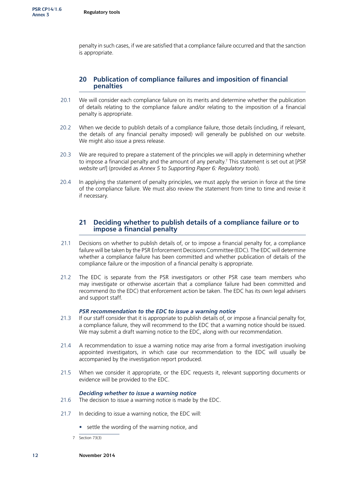penalty in such cases, if we are satisfied that a compliance failure occurred and that the sanction is appropriate.

### **20 Publication of compliance failures and imposition of financial penalties**

- 20.1 We will consider each compliance failure on its merits and determine whether the publication of details relating to the compliance failure and/or relating to the imposition of a financial penalty is appropriate.
- 20.2 When we decide to publish details of a compliance failure, those details (including, if relevant, the details of any financial penalty imposed) will generally be published on our website. We might also issue a press release.
- 20.3 We are required to prepare a statement of the principles we will apply in determining whether to impose a financial penalty and the amount of any penalty.7 This statement is set out at [*PSR website url*] (provided as *Annex 5* to *Supporting Paper 6: Regulatory tools*).
- 20.4 In applying the statement of penalty principles, we must apply the version in force at the time of the compliance failure. We must also review the statement from time to time and revise it if necessary.

### **21 Deciding whether to publish details of a compliance failure or to impose a financial penalty**

- 21.1 Decisions on whether to publish details of, or to impose a financial penalty for, a compliance failure will be taken by the PSR Enforcement Decisions Committee (EDC). The EDC will determine whether a compliance failure has been committed and whether publication of details of the compliance failure or the imposition of a financial penalty is appropriate.
- 21.2 The EDC is separate from the PSR investigators or other PSR case team members who may investigate or otherwise ascertain that a compliance failure had been committed and recommend (to the EDC) that enforcement action be taken. The EDC has its own legal advisers and support staff.

### *PSR recommendation to the EDC to issue a warning notice*

- 21.3 If our staff consider that it is appropriate to publish details of, or impose a financial penalty for, a compliance failure, they will recommend to the EDC that a warning notice should be issued. We may submit a draft warning notice to the EDC, along with our recommendation.
- 21.4 A recommendation to issue a warning notice may arise from a formal investigation involving appointed investigators, in which case our recommendation to the EDC will usually be accompanied by the investigation report produced.
- 21.5 When we consider it appropriate, or the EDC requests it, relevant supporting documents or evidence will be provided to the EDC.

### *Deciding whether to issue a warning notice*

- 21.6 The decision to issue a warning notice is made by the EDC.
- 21.7 In deciding to issue a warning notice, the EDC will:
	- settle the wording of the warning notice, and
	- 7 Section 73(3)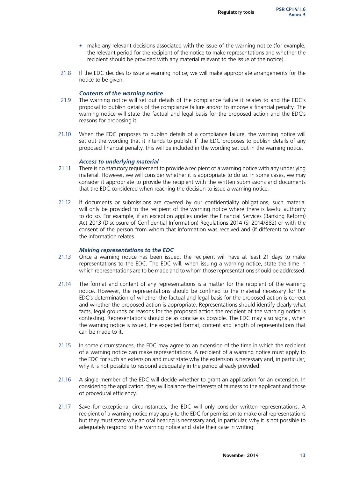- make any relevant decisions associated with the issue of the warning notice (for example, the relevant period for the recipient of the notice to make representations and whether the recipient should be provided with any material relevant to the issue of the notice).
- 21.8 If the EDC decides to issue a warning notice, we will make appropriate arrangements for the notice to be given.

### *Contents of the warning notice*

- 21.9 The warning notice will set out details of the compliance failure it relates to and the EDC's proposal to publish details of the compliance failure and/or to impose a financial penalty. The warning notice will state the factual and legal basis for the proposed action and the EDC's reasons for proposing it.
- 21.10 When the EDC proposes to publish details of a compliance failure, the warning notice will set out the wording that it intends to publish. If the EDC proposes to publish details of any proposed financial penalty, this will be included in the wording set out in the warning notice.

### *Access to underlying material*

- 21.11 There is no statutory requirement to provide a recipient of a warning notice with any underlying material. However, we will consider whether it is appropriate to do so. In some cases, we may consider it appropriate to provide the recipient with the written submissions and documents that the EDC considered when reaching the decision to issue a warning notice.
- 21.12 If documents or submissions are covered by our confidentiality obligations, such material will only be provided to the recipient of the warning notice where there is lawful authority to do so. For example, if an exception applies under the Financial Services (Banking Reform) Act 2013 (Disclosure of Confidential Information) Regulations 2014 (SI 2014/882) or with the consent of the person from whom that information was received and (if different) to whom the information relates.

### *Making representations to the EDC*

- 21.13 Once a warning notice has been issued, the recipient will have at least 21 days to make representations to the EDC. The EDC will, when issuing a warning notice, state the time in which representations are to be made and to whom those representations should be addressed.
- 21.14 The format and content of any representations is a matter for the recipient of the warning notice. However, the representations should be confined to the material necessary for the EDC's determination of whether the factual and legal basis for the proposed action is correct and whether the proposed action is appropriate. Representations should identify clearly what facts, legal grounds or reasons for the proposed action the recipient of the warning notice is contesting. Representations should be as concise as possible. The EDC may also signal, when the warning notice is issued, the expected format, content and length of representations that can be made to it.
- 21.15 In some circumstances, the EDC may agree to an extension of the time in which the recipient of a warning notice can make representations. A recipient of a warning notice must apply to the EDC for such an extension and must state why the extension is necessary and, in particular, why it is not possible to respond adequately in the period already provided.
- 21.16 A single member of the EDC will decide whether to grant an application for an extension. In considering the application, they will balance the interests of fairness to the applicant and those of procedural efficiency.
- 21.17 Save for exceptional circumstances, the EDC will only consider written representations. A recipient of a warning notice may apply to the EDC for permission to make oral representations but they must state why an oral hearing is necessary and, in particular, why it is not possible to adequately respond to the warning notice and state their case in writing.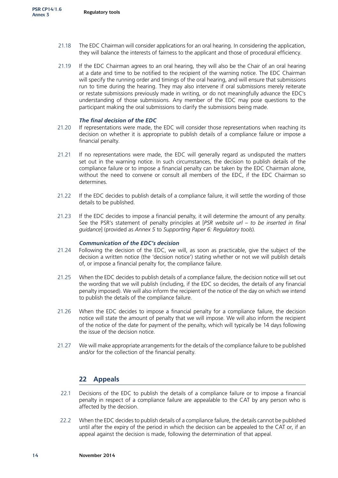- 21.18 The EDC Chairman will consider applications for an oral hearing. In considering the application, they will balance the interests of fairness to the applicant and those of procedural efficiency.
- 21.19 If the EDC Chairman agrees to an oral hearing, they will also be the Chair of an oral hearing at a date and time to be notified to the recipient of the warning notice. The EDC Chairman will specify the running order and timings of the oral hearing, and will ensure that submissions run to time during the hearing. They may also intervene if oral submissions merely reiterate or restate submissions previously made in writing, or do not meaningfully advance the EDC's understanding of those submissions. Any member of the EDC may pose questions to the participant making the oral submissions to clarify the submissions being made.

### *The final decision of the EDC*

- 21.20 If representations were made, the EDC will consider those representations when reaching its decision on whether it is appropriate to publish details of a compliance failure or impose a financial penalty.
- 21.21 If no representations were made, the EDC will generally regard as undisputed the matters set out in the warning notice. In such circumstances, the decision to publish details of the compliance failure or to impose a financial penalty can be taken by the EDC Chairman alone, without the need to convene or consult all members of the EDC, if the EDC Chairman so determines.
- 21.22 If the EDC decides to publish details of a compliance failure, it will settle the wording of those details to be published.
- 21.23 If the EDC decides to impose a financial penalty, it will determine the amount of any penalty. See the PSR's statement of penalty principles at [*PSR website url – to be inserted in final guidance*] (provided as *Annex 5* to *Supporting Paper 6: Regulatory tools*).

### *Communication of the EDC's decision*

- 21.24 Following the decision of the EDC, we will, as soon as practicable, give the subject of the decision a written notice (the 'decision notice') stating whether or not we will publish details of, or impose a financial penalty for, the compliance failure.
- 21.25 When the EDC decides to publish details of a compliance failure, the decision notice will set out the wording that we will publish (including, if the EDC so decides, the details of any financial penalty imposed). We will also inform the recipient of the notice of the day on which we intend to publish the details of the compliance failure.
- 21.26 When the EDC decides to impose a financial penalty for a compliance failure, the decision notice will state the amount of penalty that we will impose. We will also inform the recipient of the notice of the date for payment of the penalty, which will typically be 14 days following the issue of the decision notice.
- 21.27 We will make appropriate arrangements for the details of the compliance failure to be published and/or for the collection of the financial penalty.

### **22 Appeals**

- 22.1 Decisions of the EDC to publish the details of a compliance failure or to impose a financial penalty in respect of a compliance failure are appealable to the CAT by any person who is affected by the decision.
- 22.2 When the EDC decides to publish details of a compliance failure, the details cannot be published until after the expiry of the period in which the decision can be appealed to the CAT or, if an appeal against the decision is made, following the determination of that appeal.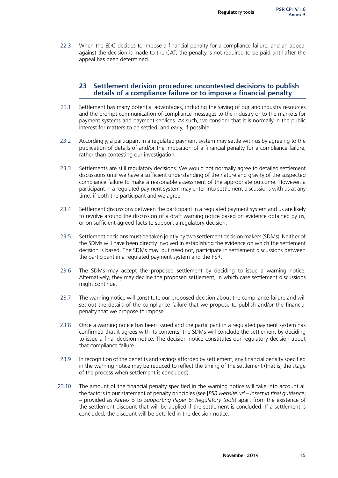22.3 When the EDC decides to impose a financial penalty for a compliance failure, and an appeal against the decision is made to the CAT, the penalty is not required to be paid until after the appeal has been determined.

### **23 Settlement decision procedure: uncontested decisions to publish details of a compliance failure or to impose a financial penalty**

- 23.1 Settlement has many potential advantages, including the saving of our and industry resources and the prompt communication of compliance messages to the industry or to the markets for payment systems and payment services. As such, we consider that it is normally in the public interest for matters to be settled, and early, if possible.
- 23.2 Accordingly, a participant in a regulated payment system may settle with us by agreeing to the publication of details of and/or the imposition of a financial penalty for a compliance failure, rather than contesting our investigation.
- 23.3 Settlements are still regulatory decisions. We would not normally agree to detailed settlement discussions until we have a sufficient understanding of the nature and gravity of the suspected compliance failure to make a reasonable assessment of the appropriate outcome. However, a participant in a regulated payment system may enter into settlement discussions with us at any time, if both the participant and we agree.
- 23.4 Settlement discussions between the participant in a regulated payment system and us are likely to revolve around the discussion of a draft warning notice based on evidence obtained by us, or on sufficient agreed facts to support a regulatory decision.
- 23.5 Settlement decisions must be taken jointly by two settlement decision makers (SDMs). Neither of the SDMs will have been directly involved in establishing the evidence on which the settlement decision is based. The SDMs may, but need not, participate in settlement discussions between the participant in a regulated payment system and the PSR.
- 23.6 The SDMs may accept the proposed settlement by deciding to issue a warning notice. Alternatively, they may decline the proposed settlement, in which case settlement discussions might continue.
- 23.7 The warning notice will constitute our proposed decision about the compliance failure and will set out the details of the compliance failure that we propose to publish and/or the financial penalty that we propose to impose.
- 23.8 Once a warning notice has been issued and the participant in a regulated payment system has confirmed that it agrees with its contents, the SDMs will conclude the settlement by deciding to issue a final decision notice. The decision notice constitutes our regulatory decision about that compliance failure.
- 23.9 In recognition of the benefits and savings afforded by settlement, any financial penalty specified in the warning notice may be reduced to reflect the timing of the settlement (that is, the stage of the process when settlement is concluded).
- 23.10 The amount of the financial penalty specified in the warning notice will take into account all the factors in our statement of penalty principles (see [*PSR website url – insert in final guidance*] – provided as *Annex 5* to *Supporting Paper 6: Regulatory tools*) apart from the existence of the settlement discount that will be applied if the settlement is concluded. If a settlement is concluded, the discount will be detailed in the decision notice.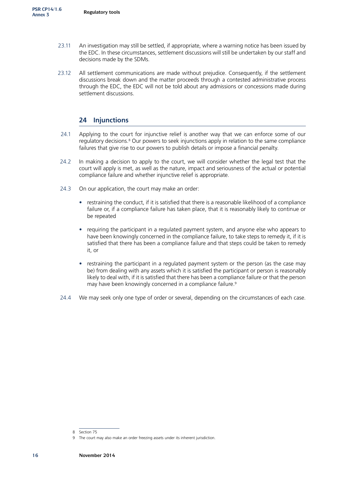- 23.11 An investigation may still be settled, if appropriate, where a warning notice has been issued by the EDC. In these circumstances, settlement discussions will still be undertaken by our staff and decisions made by the SDMs.
- 23.12 All settlement communications are made without prejudice. Consequently, if the settlement discussions break down and the matter proceeds through a contested administrative process through the EDC, the EDC will not be told about any admissions or concessions made during settlement discussions.

## **24 Injunctions**

- 24.1 Applying to the court for injunctive relief is another way that we can enforce some of our regulatory decisions.<sup>8</sup> Our powers to seek injunctions apply in relation to the same compliance failures that give rise to our powers to publish details or impose a financial penalty.
- 24.2 In making a decision to apply to the court, we will consider whether the legal test that the court will apply is met, as well as the nature, impact and seriousness of the actual or potential compliance failure and whether injunctive relief is appropriate.
- 24.3 On our application, the court may make an order:
	- restraining the conduct, if it is satisfied that there is a reasonable likelihood of a compliance failure or, if a compliance failure has taken place, that it is reasonably likely to continue or be repeated
	- requiring the participant in a regulated payment system, and anyone else who appears to have been knowingly concerned in the compliance failure, to take steps to remedy it, if it is satisfied that there has been a compliance failure and that steps could be taken to remedy it, or
	- restraining the participant in a regulated payment system or the person (as the case may be) from dealing with any assets which it is satisfied the participant or person is reasonably likely to deal with, if it is satisfied that there has been a compliance failure or that the person may have been knowingly concerned in a compliance failure.<sup>9</sup>
- 24.4 We may seek only one type of order or several, depending on the circumstances of each case.

<sup>8</sup> Section 75

<sup>9</sup> The court may also make an order freezing assets under its inherent jurisdiction.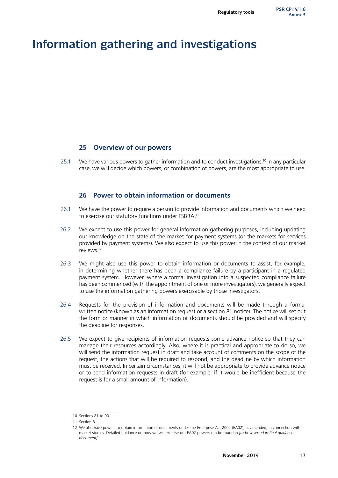# **Information gathering and investigations**

## **25 Overview of our powers**

25.1 We have various powers to gather information and to conduct investigations.<sup>10</sup> In any particular case, we will decide which powers, or combination of powers, are the most appropriate to use.

## **26 Power to obtain information or documents**

- 26.1 We have the power to require a person to provide information and documents which we need to exercise our statutory functions under FSBRA.<sup>11</sup>
- 26.2 We expect to use this power for general information gathering purposes, including updating our knowledge on the state of the market for payment systems (or the markets for services provided by payment systems). We also expect to use this power in the context of our market reviews.12
- 26.3 We might also use this power to obtain information or documents to assist, for example, in determining whether there has been a compliance failure by a participant in a regulated payment system. However, where a formal investigation into a suspected compliance failure has been commenced (with the appointment of one or more investigators), we generally expect to use the information gathering powers exercisable by those investigators.
- 26.4 Requests for the provision of information and documents will be made through a formal written notice (known as an information request or a section 81 notice). The notice will set out the form or manner in which information or documents should be provided and will specify the deadline for responses.
- 26.5 We expect to give recipients of information requests some advance notice so that they can manage their resources accordingly. Also, where it is practical and appropriate to do so, we will send the information request in draft and take account of comments on the scope of the request, the actions that will be required to respond, and the deadline by which information must be received. In certain circumstances, it will not be appropriate to provide advance notice or to send information requests in draft (for example, if it would be inefficient because the request is for a small amount of information).

<sup>10</sup> Sections 81 to 90

<sup>11</sup> Section 81

<sup>12</sup> We also have powers to obtain information or documents under the Enterprise Act 2002 (EA02), as amended, in connection with market studies. Detailed guidance on how we will exercise our EA02 powers can be found in *[to be inserted in final guidance document].*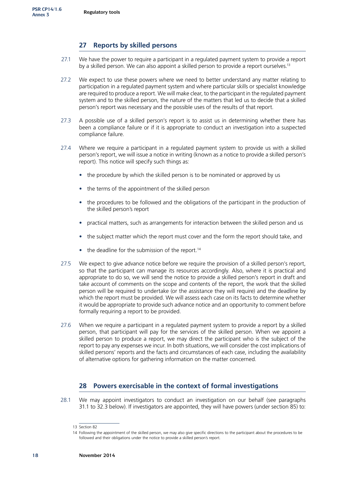## **27 Reports by skilled persons**

- 27.1 We have the power to require a participant in a regulated payment system to provide a report by a skilled person. We can also appoint a skilled person to provide a report ourselves.<sup>13</sup>
- 27.2 We expect to use these powers where we need to better understand any matter relating to participation in a regulated payment system and where particular skills or specialist knowledge are required to produce a report. We will make clear, to the participant in the regulated payment system and to the skilled person, the nature of the matters that led us to decide that a skilled person's report was necessary and the possible uses of the results of that report.
- 27.3 A possible use of a skilled person's report is to assist us in determining whether there has been a compliance failure or if it is appropriate to conduct an investigation into a suspected compliance failure.
- 27.4 Where we require a participant in a regulated payment system to provide us with a skilled person's report, we will issue a notice in writing (known as a notice to provide a skilled person's report). This notice will specify such things as:
	- the procedure by which the skilled person is to be nominated or approved by us
	- the terms of the appointment of the skilled person
	- the procedures to be followed and the obligations of the participant in the production of the skilled person's report
	- practical matters, such as arrangements for interaction between the skilled person and us
	- the subject matter which the report must cover and the form the report should take, and
	- the deadline for the submission of the report.<sup>14</sup>
- 27.5 We expect to give advance notice before we require the provision of a skilled person's report, so that the participant can manage its resources accordingly. Also, where it is practical and appropriate to do so, we will send the notice to provide a skilled person's report in draft and take account of comments on the scope and contents of the report, the work that the skilled person will be required to undertake (or the assistance they will require) and the deadline by which the report must be provided. We will assess each case on its facts to determine whether it would be appropriate to provide such advance notice and an opportunity to comment before formally requiring a report to be provided.
- 27.6 When we require a participant in a regulated payment system to provide a report by a skilled person, that participant will pay for the services of the skilled person. When we appoint a skilled person to produce a report, we may direct the participant who is the subject of the report to pay any expenses we incur. In both situations, we will consider the cost implications of skilled persons' reports and the facts and circumstances of each case, including the availability of alternative options for gathering information on the matter concerned.

# **28 Powers exercisable in the context of formal investigations**

28.1 We may appoint investigators to conduct an investigation on our behalf (see paragraphs 31.1 to 32.3 below). If investigators are appointed, they will have powers (under section 85) to:

<sup>13</sup> Section 82

<sup>14</sup> Following the appointment of the skilled person, we may also give specific directions to the participant about the procedures to be followed and their obligations under the notice to provide a skilled person's report.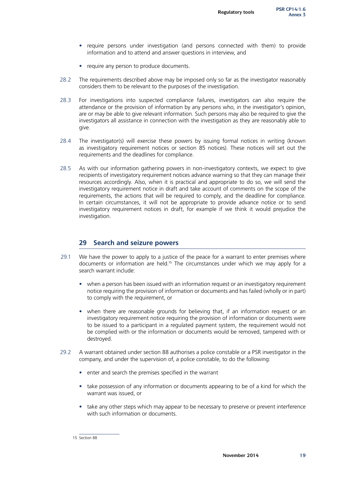- require persons under investigation (and persons connected with them) to provide information and to attend and answer questions in interview, and
- require any person to produce documents.
- 28.2 The requirements described above may be imposed only so far as the investigator reasonably considers them to be relevant to the purposes of the investigation.
- 28.3 For investigations into suspected compliance failures, investigators can also require the attendance or the provision of information by any persons who, in the investigator's opinion, are or may be able to give relevant information. Such persons may also be required to give the investigators all assistance in connection with the investigation as they are reasonably able to give.
- 28.4 The investigator(s) will exercise these powers by issuing formal notices in writing (known as investigatory requirement notices or section 85 notices). These notices will set out the requirements and the deadlines for compliance.
- 28.5 As with our information gathering powers in non-investigatory contexts, we expect to give recipients of investigatory requirement notices advance warning so that they can manage their resources accordingly. Also, when it is practical and appropriate to do so, we will send the investigatory requirement notice in draft and take account of comments on the scope of the requirements, the actions that will be required to comply, and the deadline for compliance. In certain circumstances, it will not be appropriate to provide advance notice or to send investigatory requirement notices in draft, for example if we think it would prejudice the investigation.

### **29 Search and seizure powers**

- 29.1 We have the power to apply to a justice of the peace for a warrant to enter premises where documents or information are held.15 The circumstances under which we may apply for a search warrant include:
	- when a person has been issued with an information request or an investigatory requirement notice requiring the provision of information or documents and has failed (wholly or in part) to comply with the requirement, or
	- when there are reasonable grounds for believing that, if an information request or an investigatory requirement notice requiring the provision of information or documents were to be issued to a participant in a regulated payment system, the requirement would not be complied with or the information or documents would be removed, tampered with or destroyed.
- 29.2 A warrant obtained under section 88 authorises a police constable or a PSR investigator in the company, and under the supervision of, a police constable, to do the following:
	- enter and search the premises specified in the warrant
	- take possession of any information or documents appearing to be of a kind for which the warrant was issued, or
	- take any other steps which may appear to be necessary to preserve or prevent interference with such information or documents.

<sup>15</sup> Section 88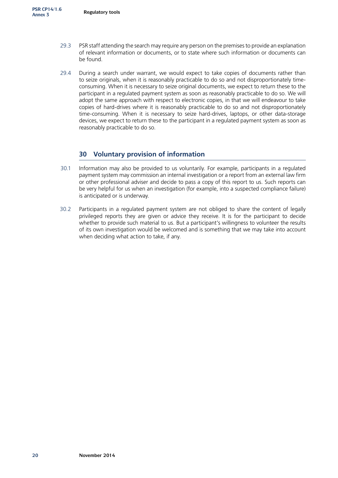- 29.3 PSR staff attending the search may require any person on the premises to provide an explanation of relevant information or documents, or to state where such information or documents can be found.
- 29.4 During a search under warrant, we would expect to take copies of documents rather than to seize originals, when it is reasonably practicable to do so and not disproportionately timeconsuming. When it is necessary to seize original documents, we expect to return these to the participant in a regulated payment system as soon as reasonably practicable to do so. We will adopt the same approach with respect to electronic copies, in that we will endeavour to take copies of hard-drives where it is reasonably practicable to do so and not disproportionately time-consuming. When it is necessary to seize hard-drives, laptops, or other data-storage devices, we expect to return these to the participant in a regulated payment system as soon as reasonably practicable to do so.

## **30 Voluntary provision of information**

- 30.1 Information may also be provided to us voluntarily. For example, participants in a regulated payment system may commission an internal investigation or a report from an external law firm or other professional adviser and decide to pass a copy of this report to us. Such reports can be very helpful for us when an investigation (for example, into a suspected compliance failure) is anticipated or is underway.
- 30.2 Participants in a regulated payment system are not obliged to share the content of legally privileged reports they are given or advice they receive. It is for the participant to decide whether to provide such material to us. But a participant's willingness to volunteer the results of its own investigation would be welcomed and is something that we may take into account when deciding what action to take, if any.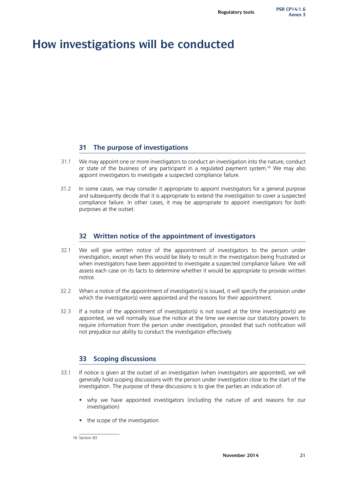# **How investigations will be conducted**

# **31 The purpose of investigations**

- 31.1 We may appoint one or more investigators to conduct an investigation into the nature, conduct or state of the business of any participant in a regulated payment system.16 We may also appoint investigators to investigate a suspected compliance failure.
- 31.2 In some cases, we may consider it appropriate to appoint investigators for a general purpose and subsequently decide that it is appropriate to extend the investigation to cover a suspected compliance failure. In other cases, it may be appropriate to appoint investigators for both purposes at the outset.

## **32 Written notice of the appointment of investigators**

- 32.1 We will give written notice of the appointment of investigators to the person under investigation, except when this would be likely to result in the investigation being frustrated or when investigators have been appointed to investigate a suspected compliance failure. We will assess each case on its facts to determine whether it would be appropriate to provide written notice.
- 32.2 When a notice of the appointment of investigator(s) is issued, it will specify the provision under which the investigator(s) were appointed and the reasons for their appointment.
- 32.3 If a notice of the appointment of investigator(s) is not issued at the time investigator(s) are appointed, we will normally issue the notice at the time we exercise our statutory powers to require information from the person under investigation, provided that such notification will not prejudice our ability to conduct the investigation effectively.

# **33 Scoping discussions**

- 33.1 If notice is given at the outset of an investigation (when investigators are appointed), we will generally hold scoping discussions with the person under investigation close to the start of the investigation. The purpose of these discussions is to give the parties an indication of:
	- why we have appointed investigators (including the nature of and reasons for our investigation)
	- the scope of the investigation

<sup>16</sup> Section 83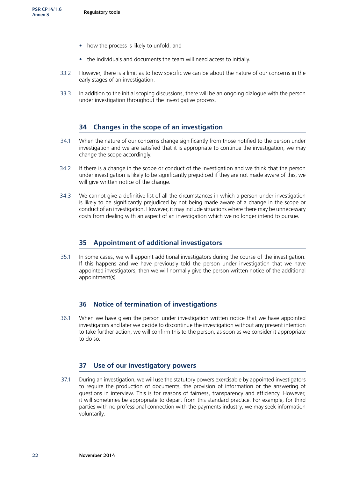- how the process is likely to unfold, and
- the individuals and documents the team will need access to initially.
- 33.2 However, there is a limit as to how specific we can be about the nature of our concerns in the early stages of an investigation.
- 33.3 In addition to the initial scoping discussions, there will be an ongoing dialogue with the person under investigation throughout the investigative process.

## **34 Changes in the scope of an investigation**

- 34.1 When the nature of our concerns change significantly from those notified to the person under investigation and we are satisfied that it is appropriate to continue the investigation, we may change the scope accordingly.
- 34.2 If there is a change in the scope or conduct of the investigation and we think that the person under investigation is likely to be significantly prejudiced if they are not made aware of this, we will give written notice of the change.
- 34.3 We cannot give a definitive list of all the circumstances in which a person under investigation is likely to be significantly prejudiced by not being made aware of a change in the scope or conduct of an investigation. However, it may include situations where there may be unnecessary costs from dealing with an aspect of an investigation which we no longer intend to pursue.

## **35 Appointment of additional investigators**

35.1 In some cases, we will appoint additional investigators during the course of the investigation. If this happens and we have previously told the person under investigation that we have appointed investigators, then we will normally give the person written notice of the additional appointment(s).

### **36 Notice of termination of investigations**

36.1 When we have given the person under investigation written notice that we have appointed investigators and later we decide to discontinue the investigation without any present intention to take further action, we will confirm this to the person, as soon as we consider it appropriate to do so.

### **37 Use of our investigatory powers**

37.1 During an investigation, we will use the statutory powers exercisable by appointed investigators to require the production of documents, the provision of information or the answering of questions in interview. This is for reasons of fairness, transparency and efficiency. However, it will sometimes be appropriate to depart from this standard practice. For example, for third parties with no professional connection with the payments industry, we may seek information voluntarily.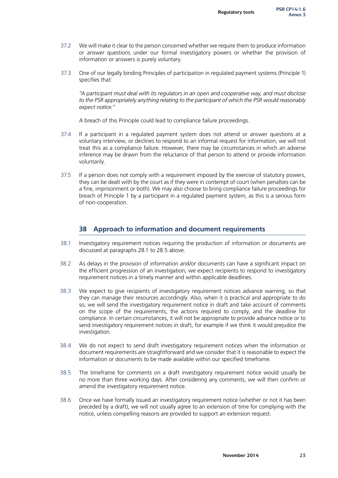- 37.2 We will make it clear to the person concerned whether we require them to produce information or answer questions under our formal investigatory powers or whether the provision of information or answers is purely voluntary.
- 37.3 One of our legally binding Principles of participation in regulated payment systems (Principle 1) specifies that:

*"A participant must deal with its regulators in an open and cooperative way, and must disclose to the PSR appropriately anything relating to the participant of which the PSR would reasonably expect notice."*

A breach of this Principle could lead to compliance failure proceedings.

- 37.4 If a participant in a regulated payment system does not attend or answer questions at a voluntary interview, or declines to respond to an informal request for information, we will not treat this as a compliance failure. However, there may be circumstances in which an adverse inference may be drawn from the reluctance of that person to attend or provide information voluntarily.
- 37.5 If a person does not comply with a requirement imposed by the exercise of statutory powers, they can be dealt with by the court as if they were in contempt of court (when penalties can be a fine, imprisonment or both). We may also choose to bring compliance failure proceedings for breach of Principle 1 by a participant in a regulated payment system, as this is a serious form of non-cooperation.

## **38 Approach to information and document requirements**

- 38.1 Investigatory requirement notices requiring the production of information or documents are discussed at paragraphs 28.1 to 28.5 above.
- 38.2 As delays in the provision of information and/or documents can have a significant impact on the efficient progression of an investigation, we expect recipients to respond to investigatory requirement notices in a timely manner and within applicable deadlines.
- 38.3 We expect to give recipients of investigatory requirement notices advance warning, so that they can manage their resources accordingly. Also, when it is practical and appropriate to do so, we will send the investigatory requirement notice in draft and take account of comments on the scope of the requirements, the actions required to comply, and the deadline for compliance. In certain circumstances, it will not be appropriate to provide advance notice or to send investigatory requirement notices in draft, for example if we think it would prejudice the investigation.
- 38.4 We do not expect to send draft investigatory requirement notices when the information or document requirements are straightforward and we consider that it is reasonable to expect the information or documents to be made available within our specified timeframe.
- 38.5 The timeframe for comments on a draft investigatory requirement notice would usually be no more than three working days. After considering any comments, we will then confirm or amend the investigatory requirement notice.
- 38.6 Once we have formally issued an investigatory requirement notice (whether or not it has been preceded by a draft), we will not usually agree to an extension of time for complying with the notice, unless compelling reasons are provided to support an extension request.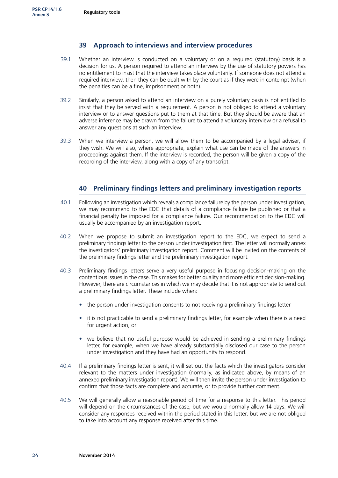## **39 Approach to interviews and interview procedures**

- 39.1 Whether an interview is conducted on a voluntary or on a required (statutory) basis is a decision for us. A person required to attend an interview by the use of statutory powers has no entitlement to insist that the interview takes place voluntarily. If someone does not attend a required interview, then they can be dealt with by the court as if they were in contempt (when the penalties can be a fine, imprisonment or both).
- 39.2 Similarly, a person asked to attend an interview on a purely voluntary basis is not entitled to insist that they be served with a requirement. A person is not obliged to attend a voluntary interview or to answer questions put to them at that time. But they should be aware that an adverse inference may be drawn from the failure to attend a voluntary interview or a refusal to answer any questions at such an interview.
- 39.3 When we interview a person, we will allow them to be accompanied by a legal adviser, if they wish. We will also, where appropriate, explain what use can be made of the answers in proceedings against them. If the interview is recorded, the person will be given a copy of the recording of the interview, along with a copy of any transcript.

## **40 Preliminary findings letters and preliminary investigation reports**

- 40.1 Following an investigation which reveals a compliance failure by the person under investigation, we may recommend to the EDC that details of a compliance failure be published or that a financial penalty be imposed for a compliance failure. Our recommendation to the EDC will usually be accompanied by an investigation report.
- 40.2 When we propose to submit an investigation report to the EDC, we expect to send a preliminary findings letter to the person under investigation first. The letter will normally annex the investigators' preliminary investigation report. Comment will be invited on the contents of the preliminary findings letter and the preliminary investigation report.
- 40.3 Preliminary findings letters serve a very useful purpose in focusing decision-making on the contentious issues in the case. This makes for better quality and more efficient decision-making. However, there are circumstances in which we may decide that it is not appropriate to send out a preliminary findings letter. These include when:
	- the person under investigation consents to not receiving a preliminary findings letter
	- it is not practicable to send a preliminary findings letter, for example when there is a need for urgent action, or
	- we believe that no useful purpose would be achieved in sending a preliminary findings letter, for example, when we have already substantially disclosed our case to the person under investigation and they have had an opportunity to respond.
- 40.4 If a preliminary findings letter is sent, it will set out the facts which the investigators consider relevant to the matters under investigation (normally, as indicated above, by means of an annexed preliminary investigation report). We will then invite the person under investigation to confirm that those facts are complete and accurate, or to provide further comment.
- 40.5 We will generally allow a reasonable period of time for a response to this letter. This period will depend on the circumstances of the case, but we would normally allow 14 days. We will consider any responses received within the period stated in this letter, but we are not obliged to take into account any response received after this time.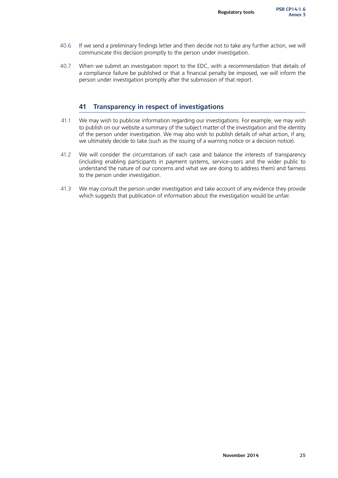- 40.6 If we send a preliminary findings letter and then decide not to take any further action, we will communicate this decision promptly to the person under investigation.
- 40.7 When we submit an investigation report to the EDC, with a recommendation that details of a compliance failure be published or that a financial penalty be imposed, we will inform the person under investigation promptly after the submission of that report.

### **41 Transparency in respect of investigations**

- 41.1 We may wish to publicise information regarding our investigations. For example, we may wish to publish on our website a summary of the subject matter of the investigation and the identity of the person under investigation. We may also wish to publish details of what action, if any, we ultimately decide to take (such as the issuing of a warning notice or a decision notice).
- 41.2 We will consider the circumstances of each case and balance the interests of transparency (including enabling participants in payment systems, service-users and the wider public to understand the nature of our concerns and what we are doing to address them) and fairness to the person under investigation.
- 41.3 We may consult the person under investigation and take account of any evidence they provide which suggests that publication of information about the investigation would be unfair.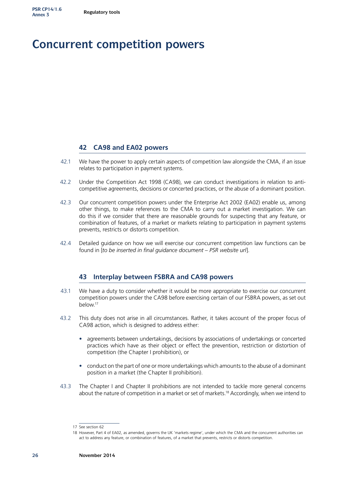# **Concurrent competition powers**

# **42 CA98 and EA02 powers**

- 42.1 We have the power to apply certain aspects of competition law alongside the CMA, if an issue relates to participation in payment systems.
- 42.2 Under the Competition Act 1998 (CA98), we can conduct investigations in relation to anticompetitive agreements, decisions or concerted practices, or the abuse of a dominant position.
- 42.3 Our concurrent competition powers under the Enterprise Act 2002 (EA02) enable us, among other things, to make references to the CMA to carry out a market investigation. We can do this if we consider that there are reasonable grounds for suspecting that any feature, or combination of features, of a market or markets relating to participation in payment systems prevents, restricts or distorts competition.
- 42.4 Detailed guidance on how we will exercise our concurrent competition law functions can be found in [*to be inserted in final guidance document – PSR website url*].

#### **43 Interplay between FSBRA and CA98 powers**

- 43.1 We have a duty to consider whether it would be more appropriate to exercise our concurrent competition powers under the CA98 before exercising certain of our FSBRA powers, as set out below.17
- 43.2 This duty does not arise in all circumstances. Rather, it takes account of the proper focus of CA98 action, which is designed to address either:
	- agreements between undertakings, decisions by associations of undertakings or concerted practices which have as their object or effect the prevention, restriction or distortion of competition (the Chapter I prohibition), or
	- conduct on the part of one or more undertakings which amounts to the abuse of a dominant position in a market (the Chapter II prohibition).
- 43.3 The Chapter I and Chapter II prohibitions are not intended to tackle more general concerns about the nature of competition in a market or set of markets.<sup>18</sup> Accordingly, when we intend to

<sup>17</sup> See section 62

<sup>18</sup> However, Part 4 of EA02, as amended, governs the UK 'markets regime', under which the CMA and the concurrent authorities can act to address any feature, or combination of features, of a market that prevents, restricts or distorts competition.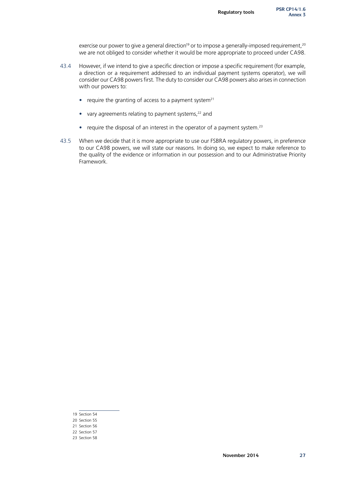exercise our power to give a general direction<sup>19</sup> or to impose a generally-imposed requirement,<sup>20</sup> we are not obliged to consider whether it would be more appropriate to proceed under CA98.

- 43.4 However, if we intend to give a specific direction or impose a specific requirement (for example, a direction or a requirement addressed to an individual payment systems operator), we will consider our CA98 powers first. The duty to consider our CA98 powers also arises in connection with our powers to:
	- require the granting of access to a payment system<sup>21</sup>
	- vary agreements relating to payment systems, $22$  and
	- require the disposal of an interest in the operator of a payment system.<sup>23</sup>
- 43.5 When we decide that it is more appropriate to use our FSBRA regulatory powers, in preference to our CA98 powers, we will state our reasons. In doing so, we expect to make reference to the quality of the evidence or information in our possession and to our Administrative Priority Framework.

- 20 Section 55
- 21 Section 56
- 22 Section 57
- 23 Section 58

<sup>19</sup> Section 54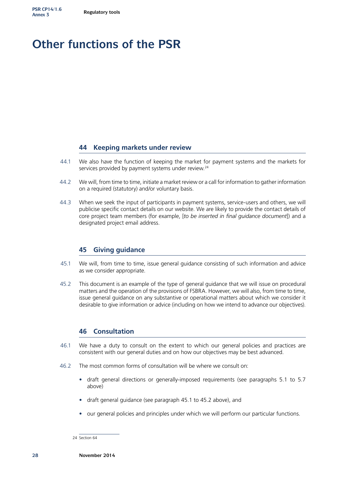**PSR CP14/1.6 Annex 3**

# **Other functions of the PSR**

#### **44 Keeping markets under review**

- 44.1 We also have the function of keeping the market for payment systems and the markets for services provided by payment systems under review.<sup>24</sup>
- 44.2 We will, from time to time, initiate a market review or a call for information to gather information on a required (statutory) and/or voluntary basis.
- 44.3 When we seek the input of participants in payment systems, service-users and others, we will publicise specific contact details on our website. We are likely to provide the contact details of core project team members (for example, [*to be inserted in final guidance document*]) and a designated project email address.

#### **45 Giving guidance**

- 45.1 We will, from time to time, issue general guidance consisting of such information and advice as we consider appropriate.
- 45.2 This document is an example of the type of general guidance that we will issue on procedural matters and the operation of the provisions of FSBRA. However, we will also, from time to time, issue general guidance on any substantive or operational matters about which we consider it desirable to give information or advice (including on how we intend to advance our objectives).

#### **46 Consultation**

- 46.1 We have a duty to consult on the extent to which our general policies and practices are consistent with our general duties and on how our objectives may be best advanced.
- 46.2 The most common forms of consultation will be where we consult on:
	- draft general directions or generally-imposed requirements (see paragraphs 5.1 to 5.7 above)
	- draft general guidance (see paragraph 45.1 to 45.2 above), and
	- our general policies and principles under which we will perform our particular functions.

<sup>24</sup> Section 64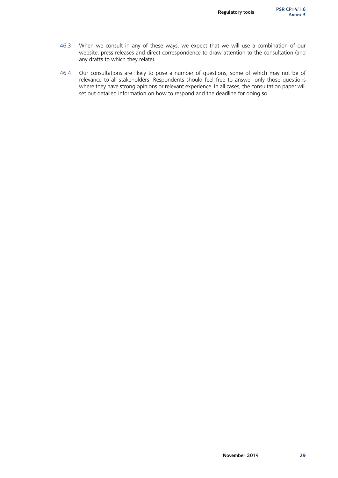- 46.3 When we consult in any of these ways, we expect that we will use a combination of our website, press releases and direct correspondence to draw attention to the consultation (and any drafts to which they relate).
- 46.4 Our consultations are likely to pose a number of questions, some of which may not be of relevance to all stakeholders. Respondents should feel free to answer only those questions where they have strong opinions or relevant experience. In all cases, the consultation paper will set out detailed information on how to respond and the deadline for doing so.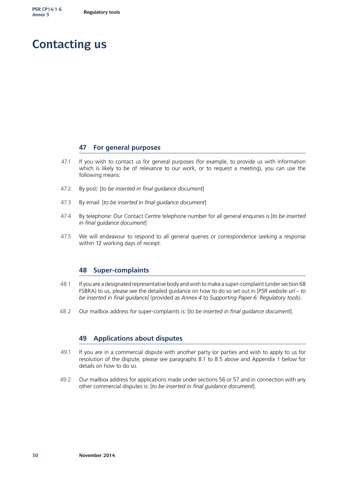# **Contacting us**

## **47 For general purposes**

- 47.1 If you wish to contact us for general purposes (for example, to provide us with information which is likely to be of relevance to our work, or to request a meeting), you can use the following means:
- 47.2 By post: [*to be inserted in final guidance document*]
- 47.3 By email: [*to be inserted in final guidance document*]
- 47.4 By telephone: Our Contact Centre telephone number for all general enquiries is [*to be inserted in final guidance document*]
- 47.5 We will endeavour to respond to all general queries or correspondence seeking a response within 12 working days of receipt.

#### **48 Super-complaints**

- 48.1 If you are a designated representative body and wish to make a super-complaint (under section 68 FSBRA) to us, please see the detailed guidance on how to do so set out in [*PSR website url – to be inserted in final guidance]* (provided as *Annex 4* to *Supporting Paper 6: Regulatory tools*).
- 48.2 Our mailbox address for super-complaints is: [*to be inserted in final guidance document*].

## **49 Applications about disputes**

- 49.1 If you are in a commercial dispute with another party (or parties and wish to apply to us for resolution of the dispute, please see paragraphs 8.1 to 8.5 above and Appendix 1 below for details on how to do so.
- 49.2 Our mailbox address for applications made under sections 56 or 57 and in connection with any other commercial disputes is: [*to be inserted in final guidance document*].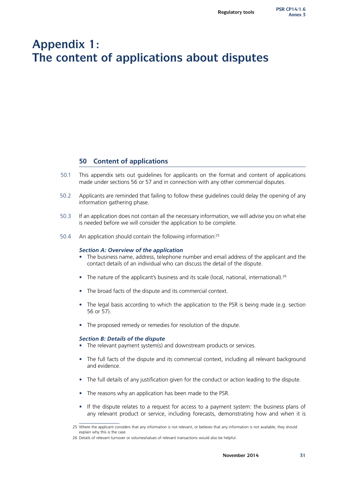# **Appendix 1: The content of applications about disputes**

## **50 Content of applications**

- 50.1 This appendix sets out guidelines for applicants on the format and content of applications made under sections 56 or 57 and in connection with any other commercial disputes.
- 50.2 Applicants are reminded that failing to follow these guidelines could delay the opening of any information gathering phase.
- 50.3 If an application does not contain all the necessary information, we will advise you on what else is needed before we will consider the application to be complete.
- 50.4 An application should contain the following information:<sup>25</sup>

#### *Section A: Overview of the application*

- The business name, address, telephone number and email address of the applicant and the contact details of an individual who can discuss the detail of the dispute.
- The nature of the applicant's business and its scale (local, national, international).<sup>26</sup>
- The broad facts of the dispute and its commercial context.
- The legal basis according to which the application to the PSR is being made (e.g. section 56 or 57).
- The proposed remedy or remedies for resolution of the dispute.

#### *Section B: Details of the dispute*

- The relevant payment system(s) and downstream products or services.
- The full facts of the dispute and its commercial context, including all relevant background and evidence.
- The full details of any justification given for the conduct or action leading to the dispute.
- The reasons why an application has been made to the PSR.
- If the dispute relates to a request for access to a payment system: the business plans of any relevant product or service, including forecasts, demonstrating how and when it is

<sup>25</sup> Where the applicant considers that any information is not relevant, or believes that any information is not available, they should explain why this is the case.

<sup>26</sup> Details of relevant turnover or volumes/values of relevant transactions would also be helpful.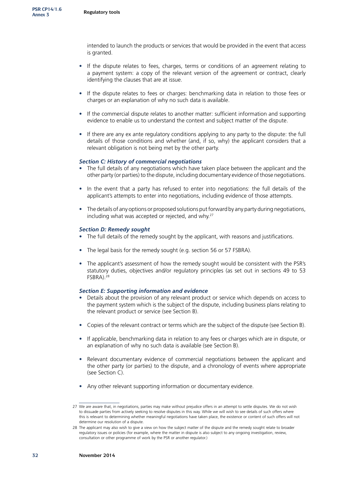intended to launch the products or services that would be provided in the event that access is granted.

- If the dispute relates to fees, charges, terms or conditions of an agreement relating to a payment system: a copy of the relevant version of the agreement or contract, clearly identifying the clauses that are at issue.
- If the dispute relates to fees or charges: benchmarking data in relation to those fees or charges or an explanation of why no such data is available.
- If the commercial dispute relates to another matter: sufficient information and supporting evidence to enable us to understand the context and subject matter of the dispute.
- If there are any ex ante regulatory conditions applying to any party to the dispute: the full details of those conditions and whether (and, if so, why) the applicant considers that a relevant obligation is not being met by the other party.

#### *Section C: History of commercial negotiations*

- The full details of any negotiations which have taken place between the applicant and the other party (or parties) to the dispute, including documentary evidence of those negotiations.
- In the event that a party has refused to enter into negotiations: the full details of the applicant's attempts to enter into negotiations, including evidence of those attempts.
- The details of any options or proposed solutions put forward by any party during negotiations, including what was accepted or rejected, and why.27

#### *Section D: Remedy sought*

- The full details of the remedy sought by the applicant, with reasons and justifications.
- The legal basis for the remedy sought (e.g. section 56 or 57 FSBRA).
- The applicant's assessment of how the remedy sought would be consistent with the PSR's statutory duties, objectives and/or regulatory principles (as set out in sections 49 to 53 FSBRA).28

#### *Section E: Supporting information and evidence*

- Details about the provision of any relevant product or service which depends on access to the payment system which is the subject of the dispute, including business plans relating to the relevant product or service (see Section B).
- Copies of the relevant contract or terms which are the subject of the dispute (see Section B).
- If applicable, benchmarking data in relation to any fees or charges which are in dispute, or an explanation of why no such data is available (see Section B).
- Relevant documentary evidence of commercial negotiations between the applicant and the other party (or parties) to the dispute, and a chronology of events where appropriate (see Section C).
- Any other relevant supporting information or documentary evidence.

<sup>27</sup> We are aware that, in negotiations, parties may make without prejudice offers in an attempt to settle disputes. We do not wish to dissuade parties from actively seeking to resolve disputes in this way. While we will wish to see details of such offers where this is relevant to determining whether meaningful negotiations have taken place, the existence or content of such offers will not determine our resolution of a dispute.

<sup>28</sup> The applicant may also wish to give a view on how the subject matter of the dispute and the remedy sought relate to broader regulatory issues or policies (for example, where the matter in dispute is also subject to any ongoing investigation, review, consultation or other programme of work by the PSR or another regulator.)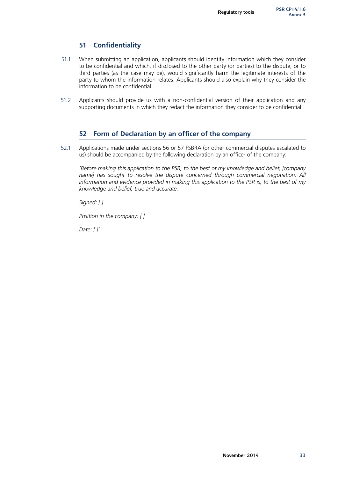# **51 Confidentiality**

- 51.1 When submitting an application, applicants should identify information which they consider to be confidential and which, if disclosed to the other party (or parties) to the dispute, or to third parties (as the case may be), would significantly harm the legitimate interests of the party to whom the information relates. Applicants should also explain why they consider the information to be confidential.
- 51.2 Applicants should provide us with a non-confidential version of their application and any supporting documents in which they redact the information they consider to be confidential.

# **52 Form of Declaration by an officer of the company**

52.1 Applications made under sections 56 or 57 FSBRA (or other commercial disputes escalated to us) should be accompanied by the following declaration by an officer of the company:

*'Before making this application to the PSR, to the best of my knowledge and belief, [company name] has sought to resolve the dispute concerned through commercial negotiation. All information and evidence provided in making this application to the PSR is, to the best of my knowledge and belief, true and accurate.*

*Signed: [ ]*

*Position in the company: [ ]*

*Date: [ ]'*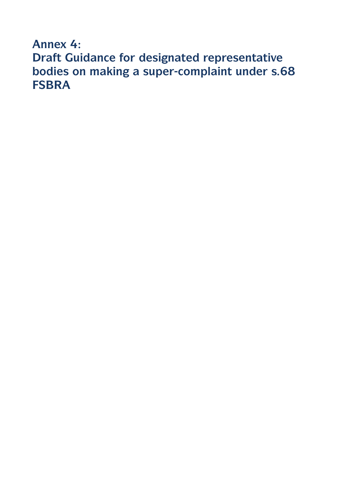**Annex 4: Draft Guidance for designated representative bodies on making a super-complaint under s.68 FSBRA**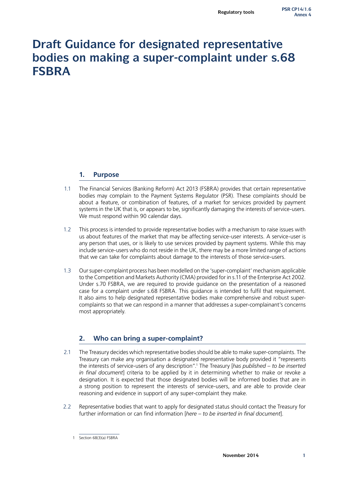# **Draft Guidance for designated representative bodies on making a super-complaint under s.68 FSBRA**

## **1. Purpose**

- 1.1 The Financial Services (Banking Reform) Act 2013 (FSBRA) provides that certain representative bodies may complain to the Payment Systems Regulator (PSR). These complaints should be about a feature, or combination of features, of a market for services provided by payment systems in the UK that is, or appears to be, significantly damaging the interests of service-users. We must respond within 90 calendar days.
- 1.2 This process is intended to provide representative bodies with a mechanism to raise issues with us about features of the market that may be affecting service-user interests. A service-user is any person that uses, or is likely to use services provided by payment systems. While this may include service-users who do not reside in the UK, there may be a more limited range of actions that we can take for complaints about damage to the interests of those service-users.
- 1.3 Our super-complaint process has been modelled on the 'super-complaint' mechanism applicable to the Competition and Markets Authority (CMA) provided for in s.11 of the Enterprise Act 2002. Under s.70 FSBRA, we are required to provide guidance on the presentation of a reasoned case for a complaint under s.68 FSBRA. This guidance is intended to fulfil that requirement. It also aims to help designated representative bodies make comprehensive and robust supercomplaints so that we can respond in a manner that addresses a super-complainant's concerns most appropriately.

# **2. Who can bring a super-complaint?**

- 2.1 The Treasury decides which representative bodies should be able to make super-complaints. The Treasury can make any organisation a designated representative body provided it "represents the interests of service-users of any description".1 The Treasury [*has published – to be inserted in final document*] criteria to be applied by it in determining whether to make or revoke a designation. It is expected that those designated bodies will be informed bodies that are in a strong position to represent the interests of service-users, and are able to provide clear reasoning and evidence in support of any super-complaint they make.
- 2.2 Representative bodies that want to apply for designated status should contact the Treasury for further information or can find information [*here – to be inserted in final document*].

<sup>1</sup> Section 68(3)(a) FSBRA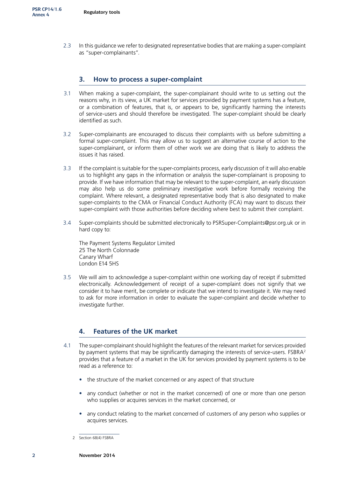2.3 In this guidance we refer to designated representative bodies that are making a super-complaint as "super-complainants".

### **3. How to process a super-complaint**

- 3.1 When making a super-complaint, the super-complainant should write to us setting out the reasons why, in its view, a UK market for services provided by payment systems has a feature, or a combination of features, that is, or appears to be, significantly harming the interests of service-users and should therefore be investigated. The super-complaint should be clearly identified as such.
- 3.2 Super-complainants are encouraged to discuss their complaints with us before submitting a formal super-complaint. This may allow us to suggest an alternative course of action to the super-complainant, or inform them of other work we are doing that is likely to address the issues it has raised.
- 3.3 If the complaint is suitable for the super-complaints process, early discussion of it will also enable us to highlight any gaps in the information or analysis the super-complainant is proposing to provide. If we have information that may be relevant to the super-complaint, an early discussion may also help us do some preliminary investigative work before formally receiving the complaint. Where relevant, a designated representative body that is also designated to make super-complaints to the CMA or Financial Conduct Authority (FCA) may want to discuss their super-complaint with those authorities before deciding where best to submit their complaint.
- 3.4 Super-complaints should be submitted electronically to PSRSuper-Complaints@psr.org.uk or in hard copy to:

The Payment Systems Regulator Limited 25 The North Colonnade Canary Wharf London E14 5HS

3.5 We will aim to acknowledge a super-complaint within one working day of receipt if submitted electronically. Acknowledgement of receipt of a super-complaint does not signify that we consider it to have merit, be complete or indicate that we intend to investigate it. We may need to ask for more information in order to evaluate the super-complaint and decide whether to investigate further.

# **4. Features of the UK market**

- 4.1 The super-complainant should highlight the features of the relevant market for services provided by payment systems that may be significantly damaging the interests of service-users. FSBRA<sup>2</sup> provides that a feature of a market in the UK for services provided by payment systems is to be read as a reference to:
	- the structure of the market concerned or any aspect of that structure
	- any conduct (whether or not in the market concerned) of one or more than one person who supplies or acquires services in the market concerned, or
	- any conduct relating to the market concerned of customers of any person who supplies or acquires services.

<sup>2</sup> Section 68(4) FSBRA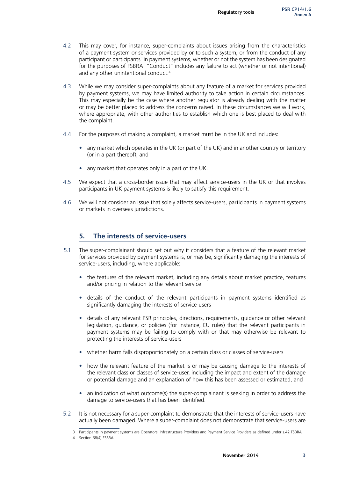- 4.2 This may cover, for instance, super-complaints about issues arising from the characteristics of a payment system or services provided by or to such a system, or from the conduct of any participant or participants<sup>3</sup> in payment systems, whether or not the system has been designated for the purposes of FSBRA. "Conduct" includes any failure to act (whether or not intentional) and any other unintentional conduct.4
- 4.3 While we may consider super-complaints about any feature of a market for services provided by payment systems, we may have limited authority to take action in certain circumstances. This may especially be the case where another regulator is already dealing with the matter or may be better placed to address the concerns raised. In these circumstances we will work, where appropriate, with other authorities to establish which one is best placed to deal with the complaint.
- 4.4 For the purposes of making a complaint, a market must be in the UK and includes:
	- any market which operates in the UK (or part of the UK) and in another country or territory (or in a part thereof), and
	- any market that operates only in a part of the UK.
- 4.5 We expect that a cross-border issue that may affect service-users in the UK or that involves participants in UK payment systems is likely to satisfy this requirement.
- 4.6 We will not consider an issue that solely affects service-users, participants in payment systems or markets in overseas jurisdictions.

## **5. The interests of service-users**

- 5.1 The super-complainant should set out why it considers that a feature of the relevant market for services provided by payment systems is, or may be, significantly damaging the interests of service-users, including, where applicable:
	- the features of the relevant market, including any details about market practice, features and/or pricing in relation to the relevant service
	- details of the conduct of the relevant participants in payment systems identified as significantly damaging the interests of service-users
	- details of any relevant PSR principles, directions, requirements, guidance or other relevant legislation, guidance, or policies (for instance, EU rules) that the relevant participants in payment systems may be failing to comply with or that may otherwise be relevant to protecting the interests of service-users
	- whether harm falls disproportionately on a certain class or classes of service-users
	- how the relevant feature of the market is or may be causing damage to the interests of the relevant class or classes of service-user, including the impact and extent of the damage or potential damage and an explanation of how this has been assessed or estimated, and
	- an indication of what outcome(s) the super-complainant is seeking in order to address the damage to service-users that has been identified.
- 5.2 It is not necessary for a super-complaint to demonstrate that the interests of service-users have actually been damaged. Where a super-complaint does not demonstrate that service-users are

<sup>3</sup> Participants in payment systems are Operators, Infrastructure Providers and Payment Service Providers as defined under s.42 FSBRA

<sup>4</sup> Section 68(4) FSBRA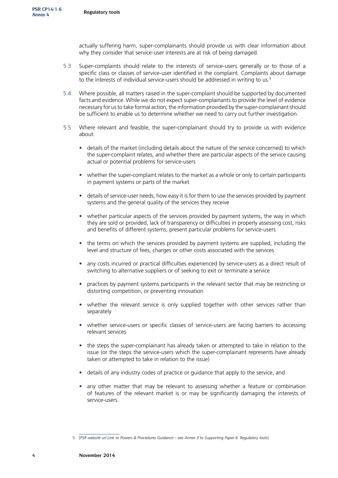actually suffering harm, super-complainants should provide us with clear information about why they consider that service-user interests are at risk of being damaged.

- 5.3 Super-complaints should relate to the interests of service-users generally or to those of a specific class or classes of service-user identified in the complaint. Complaints about damage to the interests of individual service-users should be addressed in writing to us.<sup>5</sup>
- 5.4 Where possible, all matters raised in the super-complaint should be supported by documented facts and evidence. While we do not expect super-complainants to provide the level of evidence necessary for us to take formal action, the information provided by the super-complainant should be sufficient to enable us to determine whether we need to carry out further investigation.
- 5.5 Where relevant and feasible, the super-complainant should try to provide us with evidence about:
	- details of the market (including details about the nature of the service concerned) to which the super-complaint relates, and whether there are particular aspects of the service causing actual or potential problems for service-users
	- whether the super-complaint relates to the market as a whole or only to certain participants in payment systems or parts of the market
	- details of service-user needs, how easy it is for them to use the services provided by payment systems and the general quality of the services they receive
	- whether particular aspects of the services provided by payment systems, the way in which they are sold or provided, lack of transparency or difficulties in properly assessing cost, risks and benefits of different systems, present particular problems for service-users
	- the terms on which the services provided by payment systems are supplied, including the level and structure of fees, charges or other costs associated with the services
	- any costs incurred or practical difficulties experienced by service-users as a direct result of switching to alternative suppliers or of seeking to exit or terminate a service
	- practices by payment systems participants in the relevant sector that may be restricting or distorting competition, or preventing innovation
	- whether the relevant service is only supplied together with other services rather than separately
	- whether service-users or specific classes of service-users are facing barriers to accessing relevant services
	- the steps the super-complainant has already taken or attempted to take in relation to the issue (or the steps the service-users which the super-complainant represents have already taken or attempted to take in relation to the issue)
	- details of any industry codes of practice or guidance that apply to the service, and
	- any other matter that may be relevant to assessing whether a feature or combination of features of the relevant market is or may be significantly damaging the interests of service-users.

<sup>5</sup> [*PSR website url Link to Powers & Procedures Guidance* – see *Annex 3* to *Supporting Paper 6: Regulatory tools*]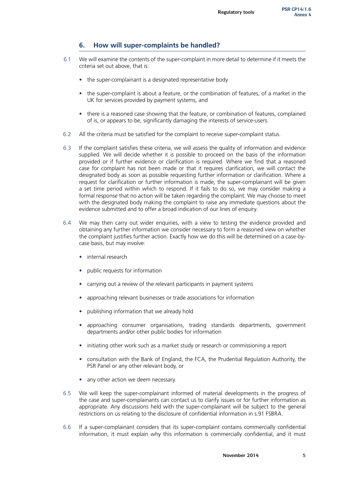# **6. How will super-complaints be handled?**

- 6.1 We will examine the contents of the super-complaint in more detail to determine if it meets the criteria set out above, that is:
	- the super-complainant is a designated representative body
	- the super-complaint is about a feature, or the combination of features, of a market in the UK for services provided by payment systems, and
	- there is a reasoned case showing that the feature, or combination of features, complained of is, or appears to be, significantly damaging the interests of service-users.
- 6.2 All the criteria must be satisfied for the complaint to receive super-complaint status.
- 6.3 If the complaint satisfies these criteria, we will assess the quality of information and evidence supplied. We will decide whether it is possible to proceed on the basis of the information provided or if further evidence or clarification is required. Where we find that a reasoned case for complaint has not been made or that it requires clarification, we will contact the designated body as soon as possible requesting further information or clarification. Where a request for clarification or further information is made, the super-complainant will be given a set time period within which to respond. If it fails to do so, we may consider making a formal response that no action will be taken regarding the complaint. We may choose to meet with the designated body making the complaint to raise any immediate questions about the evidence submitted and to offer a broad indication of our lines of enquiry.
- 6.4 We may then carry out wider enquiries, with a view to testing the evidence provided and obtaining any further information we consider necessary to form a reasoned view on whether the complaint justifies further action. Exactly how we do this will be determined on a case-bycase basis, but may involve:
	- internal research
	- public requests for information
	- carrying out a review of the relevant participants in payment systems
	- approaching relevant businesses or trade associations for information
	- publishing information that we already hold
	- approaching consumer organisations, trading standards departments, government departments and/or other public bodies for information
	- initiating other work such as a market study or research or commissioning a report
	- consultation with the Bank of England, the FCA, the Prudential Regulation Authority, the PSR Panel or any other relevant body, or
	- any other action we deem necessary.
- 6.5 We will keep the super-complainant informed of material developments in the progress of the case and super-complainants can contact us to clarify issues or for further information as appropriate. Any discussions held with the super-complainant will be subject to the general restrictions on us relating to the disclosure of confidential information in s.91 FSBRA.
- 6.6 If a super-complainant considers that its super-complaint contains commercially confidential information, it must explain why this information is commercially confidential, and it must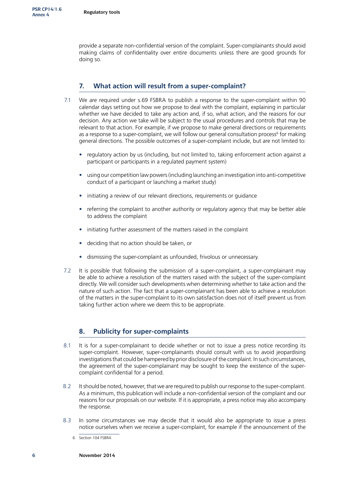provide a separate non-confidential version of the complaint. Super-complainants should avoid making claims of confidentiality over entire documents unless there are good grounds for doing so.

# **7. What action will result from a super-complaint?**

- 7.1 We are required under s.69 FSBRA to publish a response to the super-complaint within 90 calendar days setting out how we propose to deal with the complaint, explaining in particular whether we have decided to take any action and, if so, what action, and the reasons for our decision. Any action we take will be subject to the usual procedures and controls that may be relevant to that action. For example, if we propose to make general directions or requirements as a response to a super-complaint, we will follow our general consultation process<sup>6</sup> for making general directions. The possible outcomes of a super-complaint include, but are not limited to:
	- regulatory action by us (including, but not limited to, taking enforcement action against a participant or participants in a regulated payment system)
	- using our competition law powers (including launching an investigation into anti-competitive conduct of a participant or launching a market study)
	- initiating a review of our relevant directions, requirements or guidance
	- referring the complaint to another authority or regulatory agency that may be better able to address the complaint
	- initiating further assessment of the matters raised in the complaint
	- deciding that no action should be taken, or
	- dismissing the super-complaint as unfounded, frivolous or unnecessary.
- 7.2 It is possible that following the submission of a super-complaint, a super-complainant may be able to achieve a resolution of the matters raised with the subject of the super-complaint directly. We will consider such developments when determining whether to take action and the nature of such action. The fact that a super-complainant has been able to achieve a resolution of the matters in the super-complaint to its own satisfaction does not of itself prevent us from taking further action where we deem this to be appropriate.

## **8. Publicity for super-complaints**

- 8.1 It is for a super-complainant to decide whether or not to issue a press notice recording its super-complaint. However, super-complainants should consult with us to avoid jeopardising investigations that could be hampered by prior disclosure of the complaint. In such circumstances, the agreement of the super-complainant may be sought to keep the existence of the supercomplaint confidential for a period.
- 8.2 It should be noted, however, that we are required to publish our response to the super-complaint. As a minimum, this publication will include a non-confidential version of the complaint and our reasons for our proposals on our website. If it is appropriate, a press notice may also accompany the response.
- 8.3 In some circumstances we may decide that it would also be appropriate to issue a press notice ourselves when we receive a super-complaint, for example if the announcement of the

<sup>6</sup> Section 104 FSBRA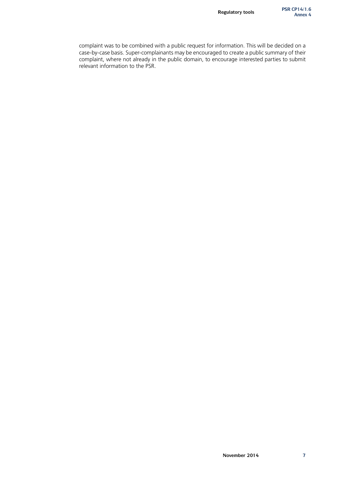complaint was to be combined with a public request for information. This will be decided on a case-by-case basis. Super-complainants may be encouraged to create a public summary of their complaint, where not already in the public domain, to encourage interested parties to submit relevant information to the PSR.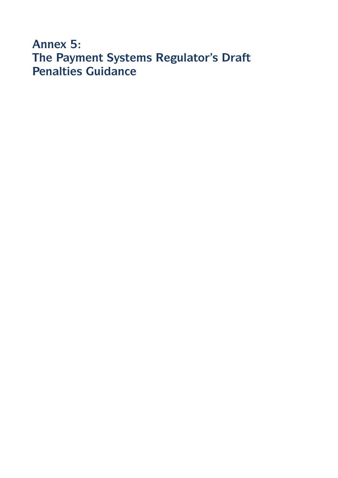**Annex 5: The Payment Systems Regulator's Draft Penalties Guidance**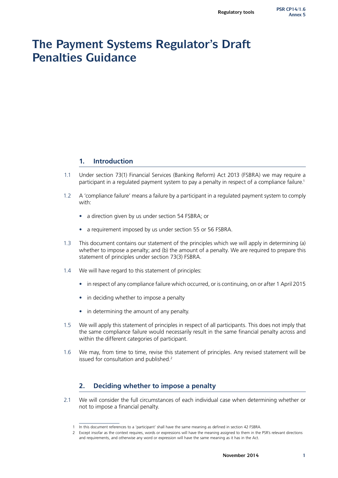**Annex 5**

# **1. Introduction**

- 1.1 Under section 73(1) Financial Services (Banking Reform) Act 2013 (FSBRA) we may require a participant in a regulated payment system to pay a penalty in respect of a compliance failure.<sup>1</sup>
- 1.2 A 'compliance failure' means a failure by a participant in a regulated payment system to comply with:
	- a direction given by us under section 54 FSBRA; or
	- a requirement imposed by us under section 55 or 56 FSBRA.
- 1.3 This document contains our statement of the principles which we will apply in determining (a) whether to impose a penalty; and (b) the amount of a penalty. We are required to prepare this statement of principles under section 73(3) FSBRA.
- 1.4 We will have regard to this statement of principles:
	- in respect of any compliance failure which occurred, or is continuing, on or after 1 April 2015
	- in deciding whether to impose a penalty
	- in determining the amount of any penalty.
- 1.5 We will apply this statement of principles in respect of all participants. This does not imply that the same compliance failure would necessarily result in the same financial penalty across and within the different categories of participant.
- 1.6 We may, from time to time, revise this statement of principles. Any revised statement will be issued for consultation and published.2

## **2. Deciding whether to impose a penalty**

2.1 We will consider the full circumstances of each individual case when determining whether or not to impose a financial penalty.

<sup>1</sup> In this document references to a 'participant' shall have the same meaning as defined in section 42 FSBRA.

<sup>2</sup> Except insofar as the context requires, words or expressions will have the meaning assigned to them in the PSR's relevant directions and requirements, and otherwise any word or expression will have the same meaning as it has in the Act.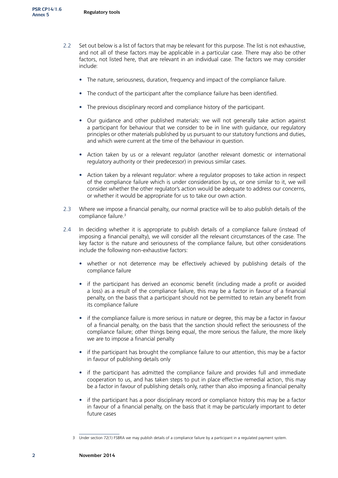- 2.2 Set out below is a list of factors that may be relevant for this purpose. The list is not exhaustive, and not all of these factors may be applicable in a particular case. There may also be other factors, not listed here, that are relevant in an individual case. The factors we may consider include:
	- The nature, seriousness, duration, frequency and impact of the compliance failure.
	- The conduct of the participant after the compliance failure has been identified.
	- The previous disciplinary record and compliance history of the participant.
	- Our guidance and other published materials: we will not generally take action against a participant for behaviour that we consider to be in line with guidance, our regulatory principles or other materials published by us pursuant to our statutory functions and duties, and which were current at the time of the behaviour in question.
	- Action taken by us or a relevant regulator (another relevant domestic or international regulatory authority or their predecessor) in previous similar cases.
	- Action taken by a relevant regulator: where a regulator proposes to take action in respect of the compliance failure which is under consideration by us, or one similar to it, we will consider whether the other regulator's action would be adequate to address our concerns, or whether it would be appropriate for us to take our own action.
- 2.3 Where we impose a financial penalty, our normal practice will be to also publish details of the compliance failure.3
- 2.4 In deciding whether it is appropriate to publish details of a compliance failure (instead of imposing a financial penalty), we will consider all the relevant circumstances of the case. The key factor is the nature and seriousness of the compliance failure, but other considerations include the following non-exhaustive factors:
	- whether or not deterrence may be effectively achieved by publishing details of the compliance failure
	- if the participant has derived an economic benefit (including made a profit or avoided a loss) as a result of the compliance failure, this may be a factor in favour of a financial penalty, on the basis that a participant should not be permitted to retain any benefit from its compliance failure
	- if the compliance failure is more serious in nature or degree, this may be a factor in favour of a financial penalty, on the basis that the sanction should reflect the seriousness of the compliance failure; other things being equal, the more serious the failure, the more likely we are to impose a financial penalty
	- if the participant has brought the compliance failure to our attention, this may be a factor in favour of publishing details only
	- if the participant has admitted the compliance failure and provides full and immediate cooperation to us, and has taken steps to put in place effective remedial action, this may be a factor in favour of publishing details only, rather than also imposing a financial penalty
	- if the participant has a poor disciplinary record or compliance history this may be a factor in favour of a financial penalty, on the basis that it may be particularly important to deter future cases

<sup>3</sup> Under section 72(1) FSBRA we may publish details of a compliance failure by a participant in a regulated payment system.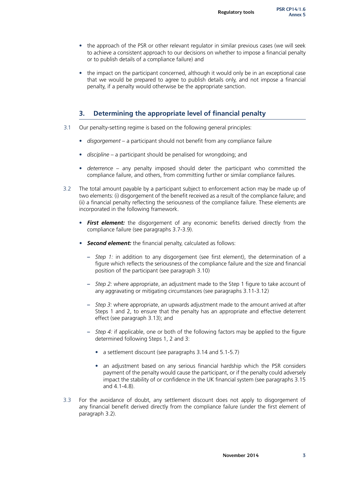- the approach of the PSR or other relevant regulator in similar previous cases (we will seek to achieve a consistent approach to our decisions on whether to impose a financial penalty or to publish details of a compliance failure) and
- the impact on the participant concerned, although it would only be in an exceptional case that we would be prepared to agree to publish details only, and not impose a financial penalty, if a penalty would otherwise be the appropriate sanction.

# **3. Determining the appropriate level of financial penalty**

- 3.1 Our penalty-setting regime is based on the following general principles:
	- *disgorgement* a participant should not benefit from any compliance failure
	- *discipline* a participant should be penalised for wrongdoing; and
	- *deterrence* any penalty imposed should deter the participant who committed the compliance failure, and others, from committing further or similar compliance failures.
- 3.2 The total amount payable by a participant subject to enforcement action may be made up of two elements: (i) disgorgement of the benefit received as a result of the compliance failure; and (ii) a financial penalty reflecting the seriousness of the compliance failure. These elements are incorporated in the following framework.
	- *First element:* the disgorgement of any economic benefits derived directly from the compliance failure (see paragraphs 3.7-3.9).
	- *• Second element:* the financial penalty, calculated as follows:
		- **–** *Step 1:* in addition to any disgorgement (see first element), the determination of a figure which reflects the seriousness of the compliance failure and the size and financial position of the participant (see paragraph 3.10)
		- **–** *Step 2:* where appropriate, an adjustment made to the Step 1 figure to take account of any aggravating or mitigating circumstances (see paragraphs 3.11-3.12)
		- **–** *Step 3:* where appropriate, an upwards adjustment made to the amount arrived at after Steps 1 and 2, to ensure that the penalty has an appropriate and effective deterrent effect (see paragraph 3.13); and
		- **–** *Step 4:* if applicable, one or both of the following factors may be applied to the figure determined following Steps 1, 2 and 3:
			- a settlement discount (see paragraphs 3.14 and 5.1-5.7)
			- an adjustment based on any serious financial hardship which the PSR considers payment of the penalty would cause the participant, or if the penalty could adversely impact the stability of or confidence in the UK financial system (see paragraphs 3.15 and 4.1-4.8).
- 3.3 For the avoidance of doubt, any settlement discount does not apply to disgorgement of any financial benefit derived directly from the compliance failure (under the first element of paragraph 3.2).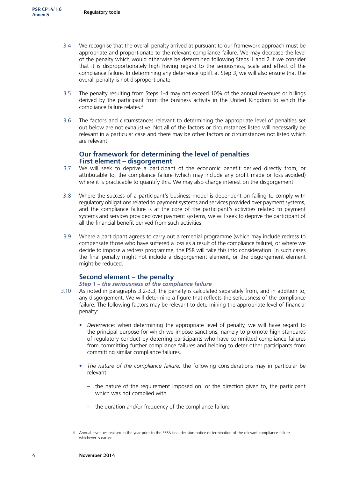- 3.4 We recognise that the overall penalty arrived at pursuant to our framework approach must be appropriate and proportionate to the relevant compliance failure. We may decrease the level of the penalty which would otherwise be determined following Steps 1 and 2 if we consider that it is disproportionately high having regard to the seriousness, scale and effect of the compliance failure. In determining any deterrence uplift at Step 3, we will also ensure that the overall penalty is not disproportionate.
- 3.5 The penalty resulting from Steps 1-4 may not exceed 10% of the annual revenues or billings derived by the participant from the business activity in the United Kingdom to which the compliance failure relates.4
- 3.6 The factors and circumstances relevant to determining the appropriate level of penalties set out below are not exhaustive. Not all of the factors or circumstances listed will necessarily be relevant in a particular case and there may be other factors or circumstances not listed which are relevant.

### **Our framework for determining the level of penalties First element – disgorgement**

- 3.7 We will seek to deprive a participant of the economic benefit derived directly from, or attributable to, the compliance failure (which may include any profit made or loss avoided) where it is practicable to quantify this. We may also charge interest on the disgorgement.
- 3.8 Where the success of a participant's business model is dependent on failing to comply with regulatory obligations related to payment systems and services provided over payment systems, and the compliance failure is at the core of the participant's activities related to payment systems and services provided over payment systems, we will seek to deprive the participant of all the financial benefit derived from such activities.
- 3.9 Where a participant agrees to carry out a remedial programme (which may include redress to compensate those who have suffered a loss as a result of the compliance failure), or where we decide to impose a redress programme, the PSR will take this into consideration. In such cases the final penalty might not include a disgorgement element, or the disgorgement element might be reduced.

#### **Second element – the penalty**

#### *Step 1 – the seriousness of the compliance failure*

- 3.10 As noted in paragraphs 3.2-3.3, the penalty is calculated separately from, and in addition to, any disgorgement. We will determine a figure that reflects the seriousness of the compliance failure. The following factors may be relevant to determining the appropriate level of financial penalty:
	- *Deterrence*: when determining the appropriate level of penalty, we will have regard to the principal purpose for which we impose sanctions, namely to promote high standards of regulatory conduct by deterring participants who have committed compliance failures from committing further compliance failures and helping to deter other participants from committing similar compliance failures.
	- *The nature of the compliance failure:* the following considerations may in particular be relevant:
		- **–** the nature of the requirement imposed on, or the direction given to, the participant which was not complied with
		- **–** the duration and/or frequency of the compliance failure

<sup>4</sup> Annual revenues realised in the year prior to the PSR's final decision notice or termination of the relevant compliance failure, whichever is earlier.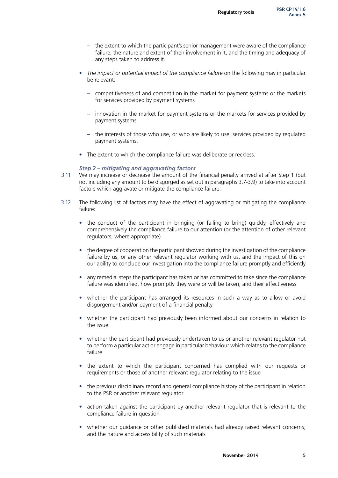- **–** the extent to which the participant's senior management were aware of the compliance failure, the nature and extent of their involvement in it, and the timing and adequacy of any steps taken to address it.
- *The impact or potential impact of the compliance failure* on the following may in particular be relevant:
	- **–** competitiveness of and competition in the market for payment systems or the markets for services provided by payment systems
	- **–** innovation in the market for payment systems or the markets for services provided by payment systems
	- **–** the interests of those who use, or who are likely to use, services provided by regulated payment systems.
- The extent to which the compliance failure was deliberate or reckless.

#### *Step 2 – mitigating and aggravating factors*

- 3.11 We may increase or decrease the amount of the financial penalty arrived at after Step 1 (but not including any amount to be disgorged as set out in paragraphs 3.7-3.9) to take into account factors which aggravate or mitigate the compliance failure.
- 3.12 The following list of factors may have the effect of aggravating or mitigating the compliance failure:
	- the conduct of the participant in bringing (or failing to bring) quickly, effectively and comprehensively the compliance failure to our attention (or the attention of other relevant regulators, where appropriate)
	- the degree of cooperation the participant showed during the investigation of the compliance failure by us, or any other relevant regulator working with us, and the impact of this on our ability to conclude our investigation into the compliance failure promptly and efficiently
	- any remedial steps the participant has taken or has committed to take since the compliance failure was identified, how promptly they were or will be taken, and their effectiveness
	- whether the participant has arranged its resources in such a way as to allow or avoid disgorgement and/or payment of a financial penalty
	- whether the participant had previously been informed about our concerns in relation to the issue
	- whether the participant had previously undertaken to us or another relevant regulator not to perform a particular act or engage in particular behaviour which relates to the compliance failure
	- the extent to which the participant concerned has complied with our requests or requirements or those of another relevant regulator relating to the issue
	- the previous disciplinary record and general compliance history of the participant in relation to the PSR or another relevant regulator
	- action taken against the participant by another relevant regulator that is relevant to the compliance failure in question
	- whether our quidance or other published materials had already raised relevant concerns. and the nature and accessibility of such materials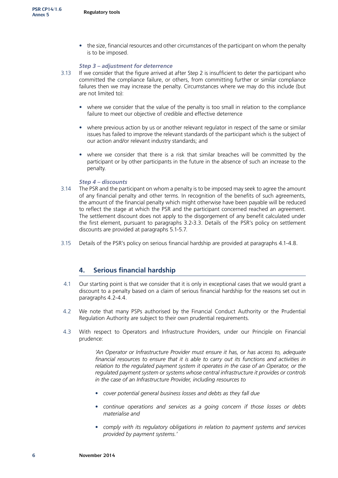• the size, financial resources and other circumstances of the participant on whom the penalty is to be imposed.

#### *Step 3 – adjustment for deterrence*

- 3.13 If we consider that the figure arrived at after Step 2 is insufficient to deter the participant who committed the compliance failure, or others, from committing further or similar compliance failures then we may increase the penalty. Circumstances where we may do this include (but are not limited to):
	- where we consider that the value of the penalty is too small in relation to the compliance failure to meet our objective of credible and effective deterrence
	- where previous action by us or another relevant regulator in respect of the same or similar issues has failed to improve the relevant standards of the participant which is the subject of our action and/or relevant industry standards; and
	- where we consider that there is a risk that similar breaches will be committed by the participant or by other participants in the future in the absence of such an increase to the penalty.

#### *Step 4 – discounts*

- 3.14 The PSR and the participant on whom a penalty is to be imposed may seek to agree the amount of any financial penalty and other terms. In recognition of the benefits of such agreements, the amount of the financial penalty which might otherwise have been payable will be reduced to reflect the stage at which the PSR and the participant concerned reached an agreement. The settlement discount does not apply to the disgorgement of any benefit calculated under the first element, pursuant to paragraphs 3.2-3.3. Details of the PSR's policy on settlement discounts are provided at paragraphs 5.1-5.7.
- 3.15 Details of the PSR's policy on serious financial hardship are provided at paragraphs 4.1-4.8.

### **4. Serious financial hardship**

- 4.1 Our starting point is that we consider that it is only in exceptional cases that we would grant a discount to a penalty based on a claim of serious financial hardship for the reasons set out in paragraphs 4.2-4.4.
- 4.2 We note that many PSPs authorised by the Financial Conduct Authority or the Prudential Regulation Authority are subject to their own prudential requirements.
- 4.3 With respect to Operators and Infrastructure Providers, under our Principle on Financial prudence:

*'An Operator or Infrastructure Provider must ensure it has, or has access to, adequate financial resources to ensure that it is able to carry out its functions and activities in relation to the regulated payment system it operates in the case of an Operator, or the regulated payment system or systems whose central infrastructure it provides or controls in the case of an Infrastructure Provider, including resources to*

- *cover potential general business losses and debts as they fall due*
- *continue operations and services as a going concern if those losses or debts materialise and*
- *comply with its regulatory obligations in relation to payment systems and services provided by payment systems.'*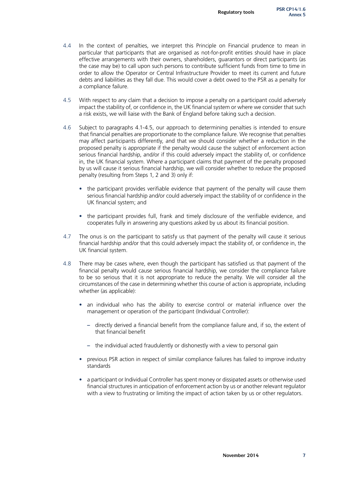- 4.4 In the context of penalties, we interpret this Principle on Financial prudence to mean in particular that participants that are organised as not-for-profit entities should have in place effective arrangements with their owners, shareholders, guarantors or direct participants (as the case may be) to call upon such persons to contribute sufficient funds from time to time in order to allow the Operator or Central Infrastructure Provider to meet its current and future debts and liabilities as they fall due. This would cover a debt owed to the PSR as a penalty for a compliance failure.
- 4.5 With respect to any claim that a decision to impose a penalty on a participant could adversely impact the stability of, or confidence in, the UK financial system or where we consider that such a risk exists, we will liaise with the Bank of England before taking such a decision.
- 4.6 Subject to paragraphs 4.1-4.5, our approach to determining penalties is intended to ensure that financial penalties are proportionate to the compliance failure. We recognise that penalties may affect participants differently, and that we should consider whether a reduction in the proposed penalty is appropriate if the penalty would cause the subject of enforcement action serious financial hardship, and/or if this could adversely impact the stability of, or confidence in, the UK financial system. Where a participant claims that payment of the penalty proposed by us will cause it serious financial hardship, we will consider whether to reduce the proposed penalty (resulting from Steps 1, 2 and 3) only if:
	- the participant provides verifiable evidence that payment of the penalty will cause them serious financial hardship and/or could adversely impact the stability of or confidence in the UK financial system; and
	- the participant provides full, frank and timely disclosure of the verifiable evidence, and cooperates fully in answering any questions asked by us about its financial position.
- 4.7 The onus is on the participant to satisfy us that payment of the penalty will cause it serious financial hardship and/or that this could adversely impact the stability of, or confidence in, the UK financial system.
- 4.8 There may be cases where, even though the participant has satisfied us that payment of the financial penalty would cause serious financial hardship, we consider the compliance failure to be so serious that it is not appropriate to reduce the penalty. We will consider all the circumstances of the case in determining whether this course of action is appropriate, including whether (as applicable):
	- an individual who has the ability to exercise control or material influence over the management or operation of the participant (Individual Controller):
		- **–** directly derived a financial benefit from the compliance failure and, if so, the extent of that financial benefit
		- **–** the individual acted fraudulently or dishonestly with a view to personal gain
	- previous PSR action in respect of similar compliance failures has failed to improve industry standards
	- a participant or Individual Controller has spent money or dissipated assets or otherwise used financial structures in anticipation of enforcement action by us or another relevant regulator with a view to frustrating or limiting the impact of action taken by us or other regulators.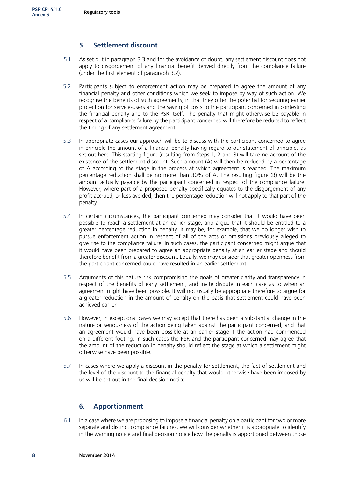# **5. Settlement discount**

- 5.1 As set out in paragraph 3.3 and for the avoidance of doubt, any settlement discount does not apply to disgorgement of any financial benefit derived directly from the compliance failure (under the first element of paragraph 3.2).
- 5.2 Participants subject to enforcement action may be prepared to agree the amount of any financial penalty and other conditions which we seek to impose by way of such action. We recognise the benefits of such agreements, in that they offer the potential for securing earlier protection for service-users and the saving of costs to the participant concerned in contesting the financial penalty and to the PSR itself. The penalty that might otherwise be payable in respect of a compliance failure by the participant concerned will therefore be reduced to reflect the timing of any settlement agreement.
- 5.3 In appropriate cases our approach will be to discuss with the participant concerned to agree in principle the amount of a financial penalty having regard to our statement of principles as set out here. This starting figure (resulting from Steps 1, 2 and 3) will take no account of the existence of the settlement discount. Such amount (A) will then be reduced by a percentage of A according to the stage in the process at which agreement is reached. The maximum percentage reduction shall be no more than 30% of A. The resulting figure (B) will be the amount actually payable by the participant concerned in respect of the compliance failure. However, where part of a proposed penalty specifically equates to the disgorgement of any profit accrued, or loss avoided, then the percentage reduction will not apply to that part of the penalty.
- 5.4 In certain circumstances, the participant concerned may consider that it would have been possible to reach a settlement at an earlier stage, and argue that it should be entitled to a greater percentage reduction in penalty. It may be, for example, that we no longer wish to pursue enforcement action in respect of all of the acts or omissions previously alleged to give rise to the compliance failure. In such cases, the participant concerned might argue that it would have been prepared to agree an appropriate penalty at an earlier stage and should therefore benefit from a greater discount. Equally, we may consider that greater openness from the participant concerned could have resulted in an earlier settlement.
- 5.5 Arguments of this nature risk compromising the goals of greater clarity and transparency in respect of the benefits of early settlement, and invite dispute in each case as to when an agreement might have been possible. It will not usually be appropriate therefore to argue for a greater reduction in the amount of penalty on the basis that settlement could have been achieved earlier.
- 5.6 However, in exceptional cases we may accept that there has been a substantial change in the nature or seriousness of the action being taken against the participant concerned, and that an agreement would have been possible at an earlier stage if the action had commenced on a different footing. In such cases the PSR and the participant concerned may agree that the amount of the reduction in penalty should reflect the stage at which a settlement might otherwise have been possible.
- 5.7 In cases where we apply a discount in the penalty for settlement, the fact of settlement and the level of the discount to the financial penalty that would otherwise have been imposed by us will be set out in the final decision notice.

## **6. Apportionment**

6.1 In a case where we are proposing to impose a financial penalty on a participant for two or more separate and distinct compliance failures, we will consider whether it is appropriate to identify in the warning notice and final decision notice how the penalty is apportioned between those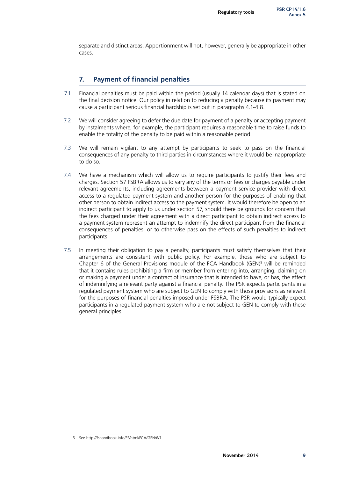separate and distinct areas. Apportionment will not, however, generally be appropriate in other cases.

# **7. Payment of financial penalties**

- 7.1 Financial penalties must be paid within the period (usually 14 calendar days) that is stated on the final decision notice. Our policy in relation to reducing a penalty because its payment may cause a participant serious financial hardship is set out in paragraphs 4.1-4.8.
- 7.2 We will consider agreeing to defer the due date for payment of a penalty or accepting payment by instalments where, for example, the participant requires a reasonable time to raise funds to enable the totality of the penalty to be paid within a reasonable period.
- 7.3 We will remain vigilant to any attempt by participants to seek to pass on the financial consequences of any penalty to third parties in circumstances where it would be inappropriate to do so.
- 7.4 We have a mechanism which will allow us to require participants to justify their fees and charges. Section 57 FSBRA allows us to vary any of the terms or fees or charges payable under relevant agreements, including agreements between a payment service provider with direct access to a regulated payment system and another person for the purposes of enabling that other person to obtain indirect access to the payment system. It would therefore be open to an indirect participant to apply to us under section 57, should there be grounds for concern that the fees charged under their agreement with a direct participant to obtain indirect access to a payment system represent an attempt to indemnify the direct participant from the financial consequences of penalties, or to otherwise pass on the effects of such penalties to indirect participants.
- 7.5 In meeting their obligation to pay a penalty, participants must satisfy themselves that their arrangements are consistent with public policy. For example, those who are subject to Chapter 6 of the General Provisions module of the FCA Handbook (GEN)<sup>5</sup> will be reminded that it contains rules prohibiting a firm or member from entering into, arranging, claiming on or making a payment under a contract of insurance that is intended to have, or has, the effect of indemnifying a relevant party against a financial penalty. The PSR expects participants in a regulated payment system who are subject to GEN to comply with those provisions as relevant for the purposes of financial penalties imposed under FSBRA. The PSR would typically expect participants in a regulated payment system who are not subject to GEN to comply with these general principles.

<sup>5</sup> See http://fshandbook.info/FS/html/FCA/GEN/6/1